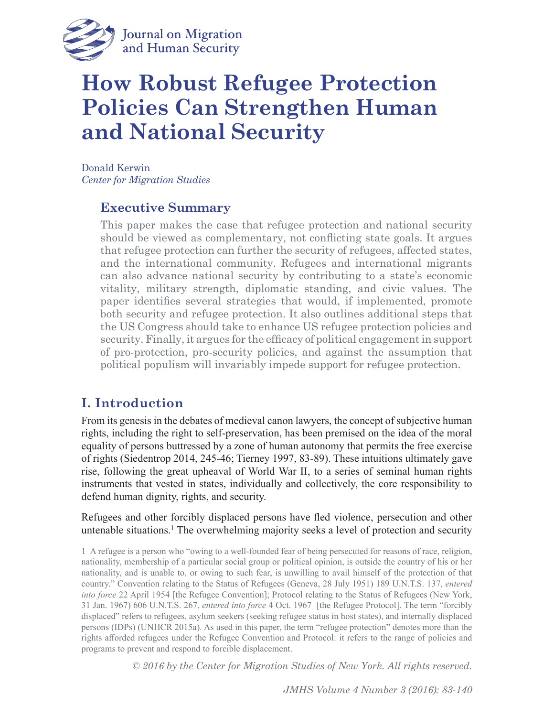

# **How Robust Refugee Protection Policies Can Strengthen Human and National Security**

Donald Kerwin *Center for Migration Studies*

# **Executive Summary**

This paper makes the case that refugee protection and national security should be viewed as complementary, not conflicting state goals. It argues that refugee protection can further the security of refugees, affected states, and the international community. Refugees and international migrants can also advance national security by contributing to a state's economic vitality, military strength, diplomatic standing, and civic values. The paper identifies several strategies that would, if implemented, promote both security and refugee protection. It also outlines additional steps that the US Congress should take to enhance US refugee protection policies and security. Finally, it argues for the efficacy of political engagement in support of pro-protection, pro-security policies, and against the assumption that political populism will invariably impede support for refugee protection.

# **I. Introduction**

From its genesis in the debates of medieval canon lawyers, the concept of subjective human rights, including the right to self-preservation, has been premised on the idea of the moral equality of persons buttressed by a zone of human autonomy that permits the free exercise of rights (Siedentrop 2014, 245-46; Tierney 1997, 83-89). These intuitions ultimately gave rise, following the great upheaval of World War II, to a series of seminal human rights instruments that vested in states, individually and collectively, the core responsibility to defend human dignity, rights, and security.

Refugees and other forcibly displaced persons have fled violence, persecution and other untenable situations.<sup>1</sup> The overwhelming majority seeks a level of protection and security

1 A refugee is a person who "owing to a well-founded fear of being persecuted for reasons of race, religion, nationality, membership of a particular social group or political opinion, is outside the country of his or her nationality, and is unable to, or owing to such fear, is unwilling to avail himself of the protection of that country." Convention relating to the Status of Refugees (Geneva, 28 July 1951) 189 U.N.T.S. 137, *entered into force* 22 April 1954 [the Refugee Convention]; Protocol relating to the Status of Refugees (New York, 31 Jan. 1967) 606 U.N.T.S. 267, *entered into force* 4 Oct. 1967 [the Refugee Protocol]. The term "forcibly displaced" refers to refugees, asylum seekers (seeking refugee status in host states), and internally displaced persons (IDPs) (UNHCR 2015a). As used in this paper, the term "refugee protection" denotes more than the rights afforded refugees under the Refugee Convention and Protocol: it refers to the range of policies and programs to prevent and respond to forcible displacement.

*© 2016 by the Center for Migration Studies of New York. All rights reserved.*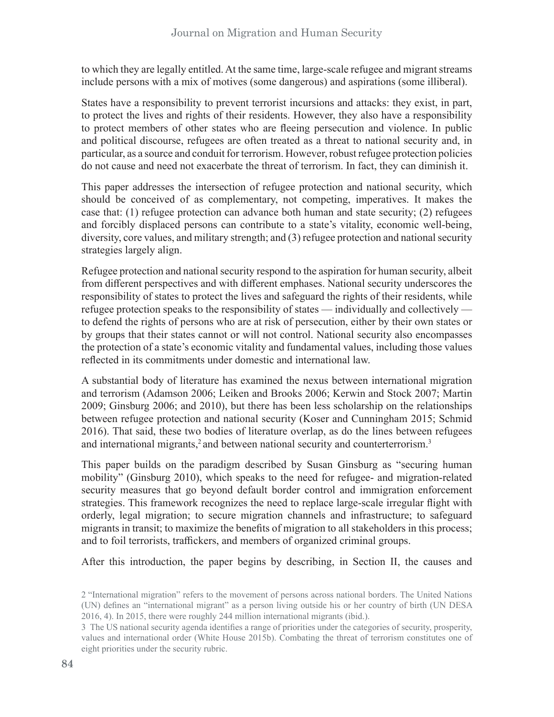to which they are legally entitled. At the same time, large-scale refugee and migrant streams include persons with a mix of motives (some dangerous) and aspirations (some illiberal).

States have a responsibility to prevent terrorist incursions and attacks: they exist, in part, to protect the lives and rights of their residents. However, they also have a responsibility to protect members of other states who are fleeing persecution and violence. In public and political discourse, refugees are often treated as a threat to national security and, in particular, as a source and conduit for terrorism. However, robust refugee protection policies do not cause and need not exacerbate the threat of terrorism. In fact, they can diminish it.

This paper addresses the intersection of refugee protection and national security, which should be conceived of as complementary, not competing, imperatives. It makes the case that: (1) refugee protection can advance both human and state security; (2) refugees and forcibly displaced persons can contribute to a state's vitality, economic well-being, diversity, core values, and military strength; and (3) refugee protection and national security strategies largely align.

Refugee protection and national security respond to the aspiration for human security, albeit from different perspectives and with different emphases. National security underscores the responsibility of states to protect the lives and safeguard the rights of their residents, while refugee protection speaks to the responsibility of states — individually and collectively to defend the rights of persons who are at risk of persecution, either by their own states or by groups that their states cannot or will not control. National security also encompasses the protection of a state's economic vitality and fundamental values, including those values reflected in its commitments under domestic and international law.

A substantial body of literature has examined the nexus between international migration and terrorism (Adamson 2006; Leiken and Brooks 2006; Kerwin and Stock 2007; Martin 2009; Ginsburg 2006; and 2010), but there has been less scholarship on the relationships between refugee protection and national security (Koser and Cunningham 2015; Schmid 2016). That said, these two bodies of literature overlap, as do the lines between refugees and international migrants,<sup>2</sup> and between national security and counterterrorism.<sup>3</sup>

This paper builds on the paradigm described by Susan Ginsburg as "securing human mobility" (Ginsburg 2010), which speaks to the need for refugee- and migration-related security measures that go beyond default border control and immigration enforcement strategies. This framework recognizes the need to replace large-scale irregular flight with orderly, legal migration; to secure migration channels and infrastructure; to safeguard migrants in transit; to maximize the benefits of migration to all stakeholders in this process; and to foil terrorists, traffickers, and members of organized criminal groups.

After this introduction, the paper begins by describing, in Section II, the causes and

<sup>2 &</sup>quot;International migration" refers to the movement of persons across national borders. The United Nations (UN) defines an "international migrant" as a person living outside his or her country of birth (UN DESA 2016, 4). In 2015, there were roughly 244 million international migrants (ibid.).

<sup>3</sup> The US national security agenda identifies a range of priorities under the categories of security, prosperity, values and international order (White House 2015b). Combating the threat of terrorism constitutes one of eight priorities under the security rubric.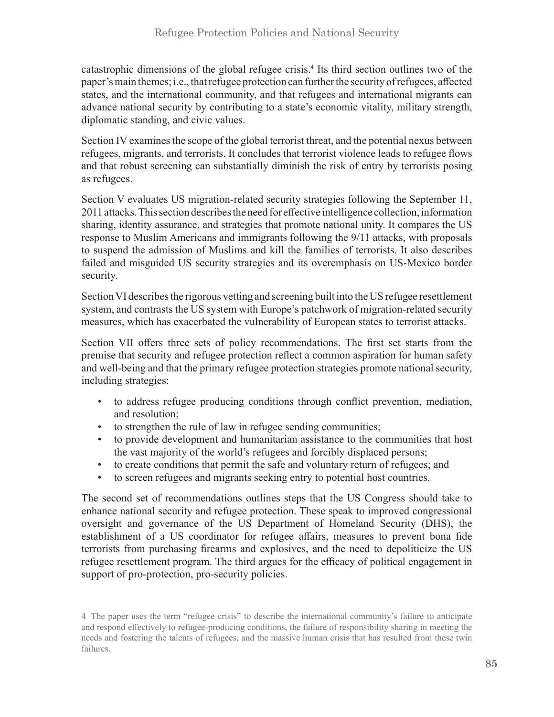catastrophic dimensions of the global refugee crisis.4 Its third section outlines two of the paper's main themes; i.e., that refugee protection can further the security of refugees, affected states, and the international community, and that refugees and international migrants can advance national security by contributing to a state's economic vitality, military strength, diplomatic standing, and civic values.

Section IV examines the scope of the global terrorist threat, and the potential nexus between refugees, migrants, and terrorists. It concludes that terrorist violence leads to refugee flows and that robust screening can substantially diminish the risk of entry by terrorists posing as refugees.

Section V evaluates US migration-related security strategies following the September 11, 2011 attacks. This section describes the need for effective intelligence collection, information sharing, identity assurance, and strategies that promote national unity. It compares the US response to Muslim Americans and immigrants following the 9/11 attacks, with proposals to suspend the admission of Muslims and kill the families of terrorists. It also describes failed and misguided US security strategies and its overemphasis on US-Mexico border security.

Section VI describes the rigorous vetting and screening built into the US refugee resettlement system, and contrasts the US system with Europe's patchwork of migration-related security measures, which has exacerbated the vulnerability of European states to terrorist attacks.

Section VII offers three sets of policy recommendations. The first set starts from the premise that security and refugee protection reflect a common aspiration for human safety and well-being and that the primary refugee protection strategies promote national security, including strategies:

- to address refugee producing conditions through conflict prevention, mediation, and resolution;
- to strengthen the rule of law in refugee sending communities;
- to provide development and humanitarian assistance to the communities that host the vast majority of the world's refugees and forcibly displaced persons;
- to create conditions that permit the safe and voluntary return of refugees; and
- to screen refugees and migrants seeking entry to potential host countries.

The second set of recommendations outlines steps that the US Congress should take to enhance national security and refugee protection. These speak to improved congressional oversight and governance of the US Department of Homeland Security (DHS), the establishment of a US coordinator for refugee affairs, measures to prevent bona fide terrorists from purchasing firearms and explosives, and the need to depoliticize the US refugee resettlement program. The third argues for the efficacy of political engagement in support of pro-protection, pro-security policies.

<sup>4</sup> The paper uses the term "refugee crisis" to describe the international community's failure to anticipate and respond effectively to refugee-producing conditions, the failure of responsibility sharing in meeting the needs and fostering the talents of refugees, and the massive human crisis that has resulted from these twin failures.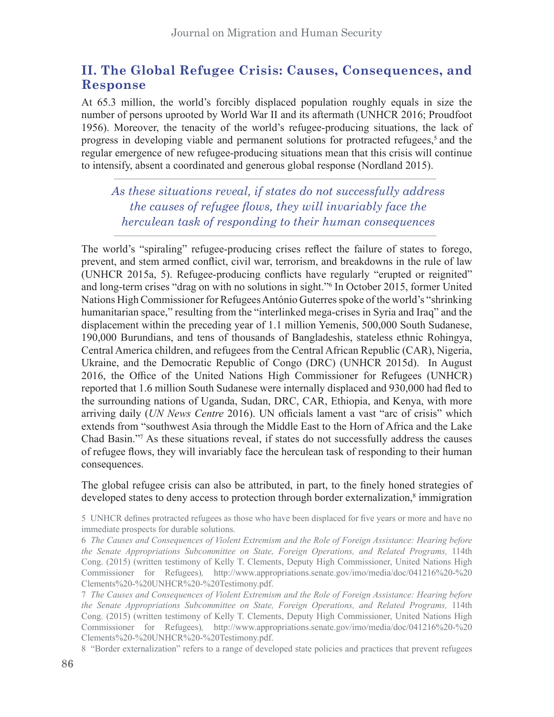# **II. The Global Refugee Crisis: Causes, Consequences, and Response**

At 65.3 million, the world's forcibly displaced population roughly equals in size the number of persons uprooted by World War II and its aftermath (UNHCR 2016; Proudfoot 1956). Moreover, the tenacity of the world's refugee-producing situations, the lack of progress in developing viable and permanent solutions for protracted refugees,5 and the regular emergence of new refugee-producing situations mean that this crisis will continue to intensify, absent a coordinated and generous global response (Nordland 2015).

*As these situations reveal, if states do not successfully address the causes of refugee flows, they will invariably face the herculean task of responding to their human consequences*

The world's "spiraling" refugee-producing crises reflect the failure of states to forego, prevent, and stem armed conflict, civil war, terrorism, and breakdowns in the rule of law (UNHCR 2015a, 5). Refugee-producing conflicts have regularly "erupted or reignited" and long-term crises "drag on with no solutions in sight."6 In October 2015, former United Nations High Commissioner for Refugees António Guterres spoke of the world's "shrinking humanitarian space," resulting from the "interlinked mega-crises in Syria and Iraq" and the displacement within the preceding year of 1.1 million Yemenis, 500,000 South Sudanese, 190,000 Burundians, and tens of thousands of Bangladeshis, stateless ethnic Rohingya, Central America children, and refugees from the Central African Republic (CAR), Nigeria, Ukraine, and the Democratic Republic of Congo (DRC) (UNHCR 2015d). In August 2016, the Office of the United Nations High Commissioner for Refugees (UNHCR) reported that 1.6 million South Sudanese were internally displaced and 930,000 had fled to the surrounding nations of Uganda, Sudan, DRC, CAR, Ethiopia, and Kenya, with more arriving daily (*UN News Centre* 2016). UN officials lament a vast "arc of crisis" which extends from "southwest Asia through the Middle East to the Horn of Africa and the Lake Chad Basin."7 As these situations reveal, if states do not successfully address the causes of refugee flows, they will invariably face the herculean task of responding to their human consequences.

The global refugee crisis can also be attributed, in part, to the finely honed strategies of developed states to deny access to protection through border externalization,<sup>8</sup> immigration

5   UNHCR defines protracted refugees as those who have been displaced for five years or more and have no immediate prospects for durable solutions.

6 *The Causes and Consequences of Violent Extremism and the Role of Foreign Assistance: Hearing before the Senate Appropriations Subcommittee on State, Foreign Operations, and Related Programs,* 114th Cong. (2015) (written testimony of Kelly T. Clements, Deputy High Commissioner, United Nations High Commissioner for Refugees)*,* http://www.appropriations.senate.gov/imo/media/doc/041216%20-%20 Clements%20-%20UNHCR%20-%20Testimony.pdf.

7 *The Causes and Consequences of Violent Extremism and the Role of Foreign Assistance: Hearing before the Senate Appropriations Subcommittee on State, Foreign Operations, and Related Programs,* 114th Cong. (2015) (written testimony of Kelly T. Clements, Deputy High Commissioner, United Nations High Commissioner for Refugees)*,* http://www.appropriations.senate.gov/imo/media/doc/041216%20-%20 Clements%20-%20UNHCR%20-%20Testimony.pdf.

8 "Border externalization" refers to a range of developed state policies and practices that prevent refugees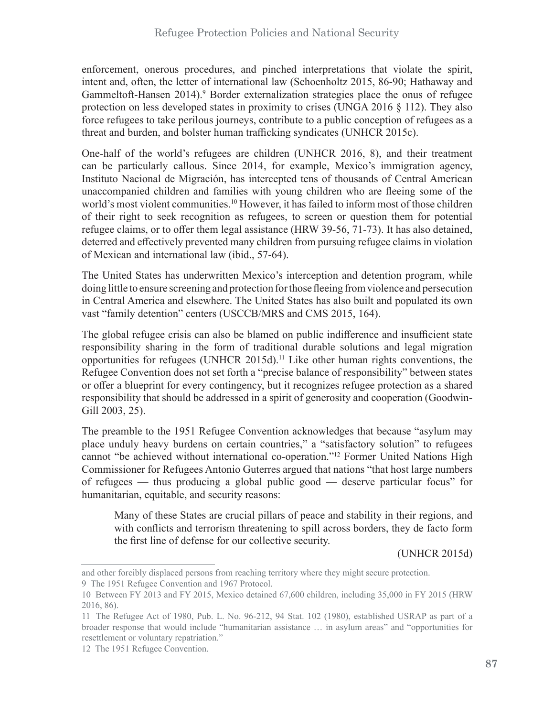enforcement, onerous procedures, and pinched interpretations that violate the spirit, intent and, often, the letter of international law (Schoenholtz 2015, 86-90; Hathaway and Gammeltoft-Hansen 2014).<sup>9</sup> Border externalization strategies place the onus of refugee protection on less developed states in proximity to crises (UNGA 2016 § 112). They also force refugees to take perilous journeys, contribute to a public conception of refugees as a threat and burden, and bolster human trafficking syndicates (UNHCR 2015c).

One-half of the world's refugees are children (UNHCR 2016, 8), and their treatment can be particularly callous. Since 2014, for example, Mexico's immigration agency, Instituto Nacional de Migración, has intercepted tens of thousands of Central American unaccompanied children and families with young children who are fleeing some of the world's most violent communities.<sup>10</sup> However, it has failed to inform most of those children of their right to seek recognition as refugees, to screen or question them for potential refugee claims, or to offer them legal assistance (HRW 39-56, 71-73). It has also detained, deterred and effectively prevented many children from pursuing refugee claims in violation of Mexican and international law (ibid., 57-64).

The United States has underwritten Mexico's interception and detention program, while doing little to ensure screening and protection for those fleeing from violence and persecution in Central America and elsewhere. The United States has also built and populated its own vast "family detention" centers (USCCB/MRS and CMS 2015, 164).

The global refugee crisis can also be blamed on public indifference and insufficient state responsibility sharing in the form of traditional durable solutions and legal migration opportunities for refugees (UNHCR 2015d).11 Like other human rights conventions, the Refugee Convention does not set forth a "precise balance of responsibility" between states or offer a blueprint for every contingency, but it recognizes refugee protection as a shared responsibility that should be addressed in a spirit of generosity and cooperation (Goodwin-Gill 2003, 25).

The preamble to the 1951 Refugee Convention acknowledges that because "asylum may place unduly heavy burdens on certain countries," a "satisfactory solution" to refugees cannot "be achieved without international co-operation."12 Former United Nations High Commissioner for Refugees Antonio Guterres argued that nations "that host large numbers of refugees — thus producing a global public good — deserve particular focus" for humanitarian, equitable, and security reasons:

Many of these States are crucial pillars of peace and stability in their regions, and with conflicts and terrorism threatening to spill across borders, they de facto form the first line of defense for our collective security.

(UNHCR 2015d)

and other forcibly displaced persons from reaching territory where they might secure protection. 9 The 1951 Refugee Convention and 1967 Protocol.

<sup>10</sup> Between FY 2013 and FY 2015, Mexico detained 67,600 children, including 35,000 in FY 2015 (HRW 2016, 86).

<sup>11</sup> The Refugee Act of 1980, Pub. L. No. 96-212, 94 Stat. 102 (1980), established USRAP as part of a broader response that would include "humanitarian assistance … in asylum areas" and "opportunities for resettlement or voluntary repatriation."

<sup>12</sup> The 1951 Refugee Convention.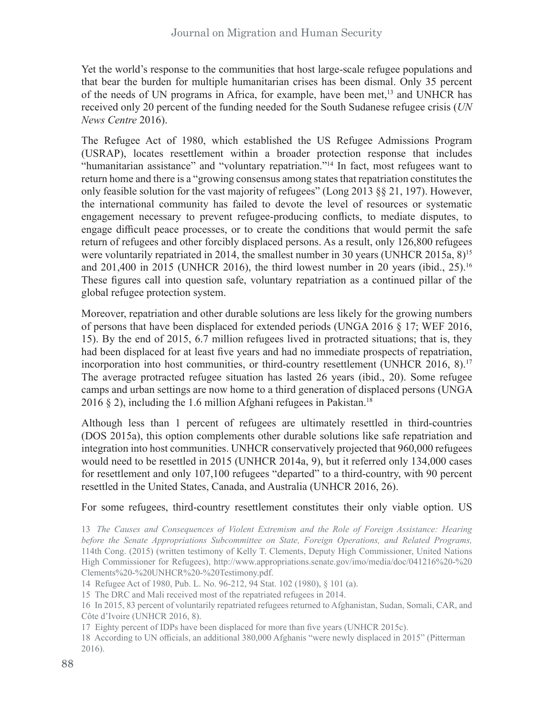Yet the world's response to the communities that host large-scale refugee populations and that bear the burden for multiple humanitarian crises has been dismal. Only 35 percent of the needs of UN programs in Africa, for example, have been met,<sup>13</sup> and UNHCR has received only 20 percent of the funding needed for the South Sudanese refugee crisis (*UN News Centre* 2016).

The Refugee Act of 1980, which established the US Refugee Admissions Program (USRAP), locates resettlement within a broader protection response that includes "humanitarian assistance" and "voluntary repatriation."14 In fact, most refugees want to return home and there is a "growing consensus among states that repatriation constitutes the only feasible solution for the vast majority of refugees" (Long 2013 §§ 21, 197). However, the international community has failed to devote the level of resources or systematic engagement necessary to prevent refugee-producing conflicts, to mediate disputes, to engage difficult peace processes, or to create the conditions that would permit the safe return of refugees and other forcibly displaced persons. As a result, only 126,800 refugees were voluntarily repatriated in 2014, the smallest number in 30 years (UNHCR 2015a,  $8$ )<sup>15</sup> and 201,400 in 2015 (UNHCR 2016), the third lowest number in 20 years (ibid., 25).16 These figures call into question safe, voluntary repatriation as a continued pillar of the global refugee protection system.

Moreover, repatriation and other durable solutions are less likely for the growing numbers of persons that have been displaced for extended periods (UNGA 2016 § 17; WEF 2016, 15). By the end of 2015, 6.7 million refugees lived in protracted situations; that is, they had been displaced for at least five years and had no immediate prospects of repatriation, incorporation into host communities, or third-country resettlement (UNHCR 2016, 8).<sup>17</sup> The average protracted refugee situation has lasted 26 years (ibid., 20). Some refugee camps and urban settings are now home to a third generation of displaced persons (UNGA 2016 § 2), including the 1.6 million Afghani refugees in Pakistan.<sup>18</sup>

Although less than 1 percent of refugees are ultimately resettled in third-countries (DOS 2015a), this option complements other durable solutions like safe repatriation and integration into host communities. UNHCR conservatively projected that 960,000 refugees would need to be resettled in 2015 (UNHCR 2014a, 9), but it referred only 134,000 cases for resettlement and only 107,100 refugees "departed" to a third-country, with 90 percent resettled in the United States, Canada, and Australia (UNHCR 2016, 26).

#### For some refugees, third-country resettlement constitutes their only viable option. US

13 *The Causes and Consequences of Violent Extremism and the Role of Foreign Assistance: Hearing before the Senate Appropriations Subcommittee on State, Foreign Operations, and Related Programs,*  114th Cong. (2015) (written testimony of Kelly T. Clements, Deputy High Commissioner, United Nations High Commissioner for Refugees), http://www.appropriations.senate.gov/imo/media/doc/041216%20-%20 Clements%20-%20UNHCR%20-%20Testimony.pdf.

14 Refugee Act of 1980, Pub. L. No. 96-212, 94 Stat. 102 (1980), § 101 (a).

15 The DRC and Mali received most of the repatriated refugees in 2014.

16 In 2015, 83 percent of voluntarily repatriated refugees returned to Afghanistan, Sudan, Somali, CAR, and Côte d'Ivoire (UNHCR 2016, 8).

17   Eighty percent of IDPs have been displaced for more than five years (UNHCR 2015c).

18   According to UN officials, an additional 380,000 Afghanis "were newly displaced in 2015" (Pitterman 2016).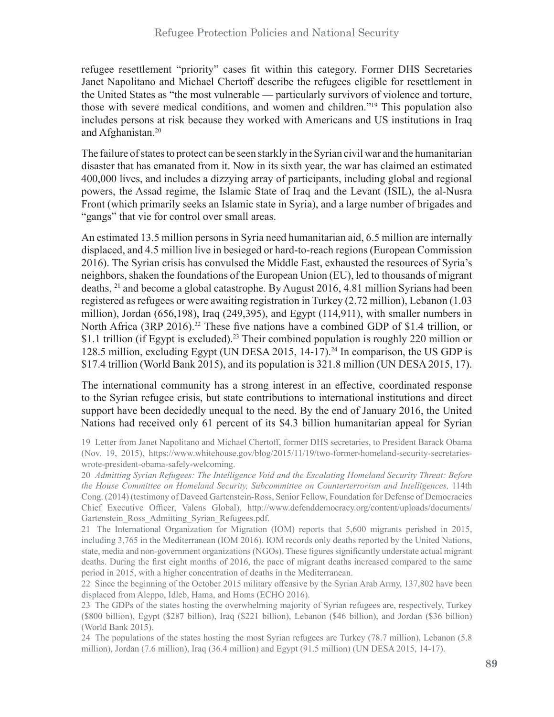refugee resettlement "priority" cases fit within this category. Former DHS Secretaries Janet Napolitano and Michael Chertoff describe the refugees eligible for resettlement in the United States as "the most vulnerable — particularly survivors of violence and torture, those with severe medical conditions, and women and children."19 This population also includes persons at risk because they worked with Americans and US institutions in Iraq and Afghanistan.20

The failure of states to protect can be seen starkly in the Syrian civil war and the humanitarian disaster that has emanated from it. Now in its sixth year, the war has claimed an estimated 400,000 lives, and includes a dizzying array of participants, including global and regional powers, the Assad regime, the Islamic State of Iraq and the Levant (ISIL), the al-Nusra Front (which primarily seeks an Islamic state in Syria), and a large number of brigades and "gangs" that vie for control over small areas.

An estimated 13.5 million persons in Syria need humanitarian aid, 6.5 million are internally displaced, and 4.5 million live in besieged or hard-to-reach regions (European Commission 2016). The Syrian crisis has convulsed the Middle East, exhausted the resources of Syria's neighbors, shaken the foundations of the European Union (EU), led to thousands of migrant deaths,  $^{21}$  and become a global catastrophe. By August 2016, 4.81 million Syrians had been registered as refugees or were awaiting registration in Turkey (2.72 million), Lebanon (1.03 million), Jordan (656,198), Iraq (249,395), and Egypt (114,911), with smaller numbers in North Africa (3RP 2016).<sup>22</sup> These five nations have a combined GDP of \$1.4 trillion, or \$1.1 trillion (if Egypt is excluded).<sup>23</sup> Their combined population is roughly 220 million or 128.5 million, excluding Egypt (UN DESA 2015, 14-17).<sup>24</sup> In comparison, the US GDP is \$17.4 trillion (World Bank 2015), and its population is 321.8 million (UN DESA 2015, 17).

The international community has a strong interest in an effective, coordinated response to the Syrian refugee crisis, but state contributions to international institutions and direct support have been decidedly unequal to the need. By the end of January 2016, the United Nations had received only 61 percent of its \$4.3 billion humanitarian appeal for Syrian

19   Letter from Janet Napolitano and Michael Chertoff, former DHS secretaries, to President Barack Obama (Nov. 19, 2015), https://www.whitehouse.gov/blog/2015/11/19/two-former-homeland-security-secretarieswrote-president-obama-safely-welcoming.

20 *Admitting Syrian Refugees: The Intelligence Void and the Escalating Homeland Security Threat: Before the House Committee on Homeland Security, Subcommittee on Counterterrorism and Intelligences,* 114th Cong. (2014) (testimony of Daveed Gartenstein-Ross, Senior Fellow, Foundation for Defense of Democracies Chief Executive Officer, Valens Global), http://www.defenddemocracy.org/content/uploads/documents/ Gartenstein Ross Admitting Syrian Refugees.pdf.

21 The International Organization for Migration (IOM) reports that 5,600 migrants perished in 2015, including 3,765 in the Mediterranean (IOM 2016). IOM records only deaths reported by the United Nations, state, media and non-government organizations (NGOs). These figures significantly understate actual migrant deaths. During the first eight months of 2016, the pace of migrant deaths increased compared to the same period in 2015, with a higher concentration of deaths in the Mediterranean.

22   Since the beginning of the October 2015 military offensive by the Syrian Arab Army, 137,802 have been displaced from Aleppo, Idleb, Hama, and Homs (ECHO 2016).

23 The GDPs of the states hosting the overwhelming majority of Syrian refugees are, respectively, Turkey (\$800 billion), Egypt (\$287 billion), Iraq (\$221 billion), Lebanon (\$46 billion), and Jordan (\$36 billion) (World Bank 2015).

24 The populations of the states hosting the most Syrian refugees are Turkey (78.7 million), Lebanon (5.8 million), Jordan (7.6 million), Iraq (36.4 million) and Egypt (91.5 million) (UN DESA 2015, 14-17).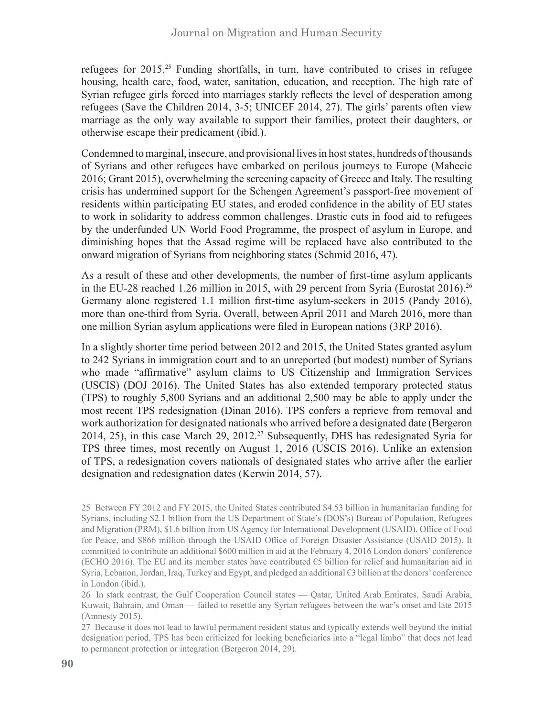refugees for 2015.25 Funding shortfalls, in turn, have contributed to crises in refugee housing, health care, food, water, sanitation, education, and reception. The high rate of Syrian refugee girls forced into marriages starkly reflects the level of desperation among refugees (Save the Children 2014, 3-5; UNICEF 2014, 27). The girls' parents often view marriage as the only way available to support their families, protect their daughters, or otherwise escape their predicament (ibid.).

Condemned to marginal, insecure, and provisional lives in host states, hundreds of thousands of Syrians and other refugees have embarked on perilous journeys to Europe (Mahecic 2016; Grant 2015), overwhelming the screening capacity of Greece and Italy. The resulting crisis has undermined support for the Schengen Agreement's passport-free movement of residents within participating EU states, and eroded confidence in the ability of EU states to work in solidarity to address common challenges. Drastic cuts in food aid to refugees by the underfunded UN World Food Programme, the prospect of asylum in Europe, and diminishing hopes that the Assad regime will be replaced have also contributed to the onward migration of Syrians from neighboring states (Schmid 2016, 47).

As a result of these and other developments, the number of first-time asylum applicants in the EU-28 reached 1.26 million in 2015, with 29 percent from Syria (Eurostat 2016).<sup>26</sup> Germany alone registered 1.1 million first-time asylum-seekers in 2015 (Pandy 2016), more than one-third from Syria. Overall, between April 2011 and March 2016, more than one million Syrian asylum applications were filed in European nations (3RP 2016).

In a slightly shorter time period between 2012 and 2015, the United States granted asylum to 242 Syrians in immigration court and to an unreported (but modest) number of Syrians who made "affirmative" asylum claims to US Citizenship and Immigration Services (USCIS) (DOJ 2016). The United States has also extended temporary protected status (TPS) to roughly 5,800 Syrians and an additional 2,500 may be able to apply under the most recent TPS redesignation (Dinan 2016). TPS confers a reprieve from removal and work authorization for designated nationals who arrived before a designated date (Bergeron 2014, 25), in this case March 29, 2012.<sup>27</sup> Subsequently, DHS has redesignated Syria for TPS three times, most recently on August 1, 2016 (USCIS 2016). Unlike an extension of TPS, a redesignation covers nationals of designated states who arrive after the earlier designation and redesignation dates (Kerwin 2014, 57).

<sup>25</sup> Between FY 2012 and FY 2015, the United States contributed \$4.53 billion in humanitarian funding for Syrians, including \$2.1 billion from the US Department of State's (DOS's) Bureau of Population, Refugees and Migration (PRM), \$1.6 billion from US Agency for International Development (USAID), Office of Food for Peace, and \$866 million through the USAID Office of Foreign Disaster Assistance (USAID 2015). It committed to contribute an additional \$600 million in aid at the February 4, 2016 London donors' conference (ECHO 2016). The EU and its member states have contributed €5 billion for relief and humanitarian aid in Syria, Lebanon, Jordan, Iraq, Turkey and Egypt, and pledged an additional €3 billion at the donors' conference in London (ibid.).

<sup>26</sup> In stark contrast, the Gulf Cooperation Council states — Qatar, United Arab Emirates, Saudi Arabia, Kuwait, Bahrain, and Oman — failed to resettle any Syrian refugees between the war's onset and late 2015 (Amnesty 2015).

<sup>27</sup> Because it does not lead to lawful permanent resident status and typically extends well beyond the initial designation period, TPS has been criticized for locking beneficiaries into a "legal limbo" that does not lead to permanent protection or integration (Bergeron 2014, 29).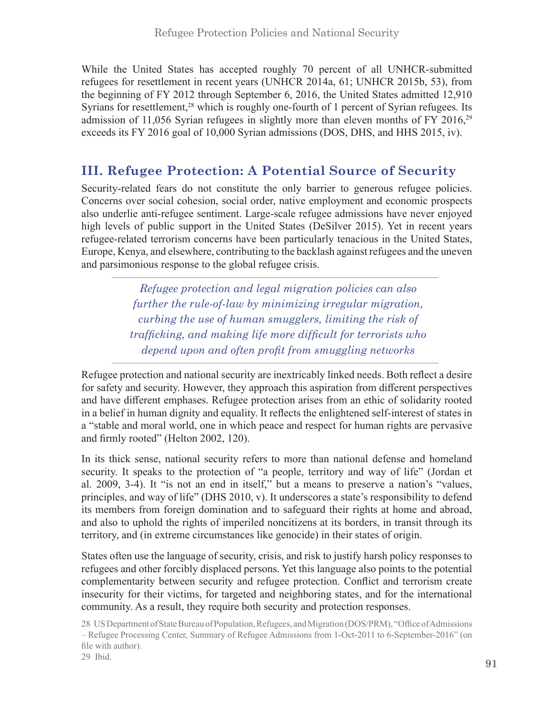While the United States has accepted roughly 70 percent of all UNHCR-submitted refugees for resettlement in recent years (UNHCR 2014a, 61; UNHCR 2015b, 53), from the beginning of FY 2012 through September 6, 2016, the United States admitted 12,910 Syrians for resettlement,<sup>28</sup> which is roughly one-fourth of 1 percent of Syrian refugees. Its admission of 11,056 Syrian refugees in slightly more than eleven months of FY 2016, $^{29}$ exceeds its FY 2016 goal of 10,000 Syrian admissions (DOS, DHS, and HHS 2015, iv).

# **III. Refugee Protection: A Potential Source of Security**

Security-related fears do not constitute the only barrier to generous refugee policies. Concerns over social cohesion, social order, native employment and economic prospects also underlie anti-refugee sentiment. Large-scale refugee admissions have never enjoyed high levels of public support in the United States (DeSilver 2015). Yet in recent years refugee-related terrorism concerns have been particularly tenacious in the United States, Europe, Kenya, and elsewhere, contributing to the backlash against refugees and the uneven and parsimonious response to the global refugee crisis.

> *Refugee protection and legal migration policies can also further the rule-of-law by minimizing irregular migration, curbing the use of human smugglers, limiting the risk of trafficking, and making life more difficult for terrorists who depend upon and often profit from smuggling networks*

Refugee protection and national security are inextricably linked needs. Both reflect a desire for safety and security. However, they approach this aspiration from different perspectives and have different emphases. Refugee protection arises from an ethic of solidarity rooted in a belief in human dignity and equality. It reflects the enlightened self-interest of states in a "stable and moral world, one in which peace and respect for human rights are pervasive and firmly rooted" (Helton 2002, 120).

In its thick sense, national security refers to more than national defense and homeland security. It speaks to the protection of "a people, territory and way of life" (Jordan et al. 2009, 3-4). It "is not an end in itself," but a means to preserve a nation's "values, principles, and way of life" (DHS 2010, v). It underscores a state's responsibility to defend its members from foreign domination and to safeguard their rights at home and abroad, and also to uphold the rights of imperiled noncitizens at its borders, in transit through its territory, and (in extreme circumstances like genocide) in their states of origin.

States often use the language of security, crisis, and risk to justify harsh policy responses to refugees and other forcibly displaced persons. Yet this language also points to the potential complementarity between security and refugee protection. Conflict and terrorism create insecurity for their victims, for targeted and neighboring states, and for the international community. As a result, they require both security and protection responses.

<sup>28</sup> US Department of State Bureau of Population, Refugees, and Migration (DOS/PRM), "Office of Admissions – Refugee Processing Center, Summary of Refugee Admissions from 1-Oct-2011 to 6-September-2016" (on file with author). 29 Ibid.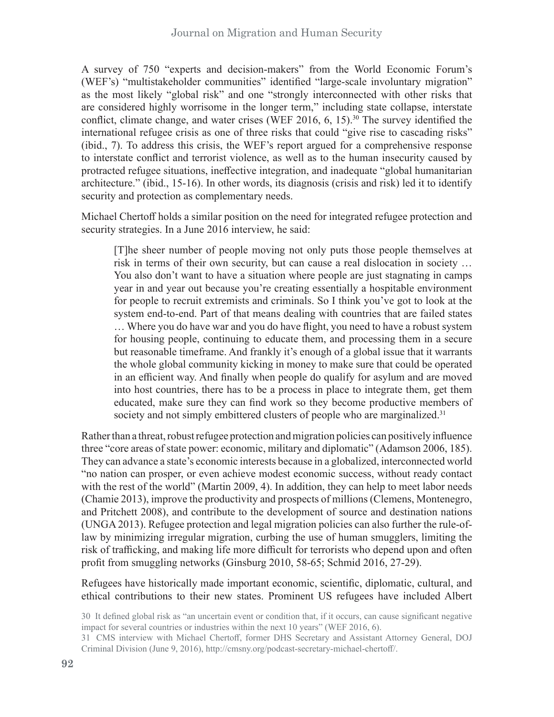A survey of 750 "experts and decision-makers" from the World Economic Forum's (WEF's) "multistakeholder communities" identified "large-scale involuntary migration" as the most likely "global risk" and one "strongly interconnected with other risks that are considered highly worrisome in the longer term," including state collapse, interstate conflict, climate change, and water crises (WEF 2016, 6, 15).<sup>30</sup> The survey identified the international refugee crisis as one of three risks that could "give rise to cascading risks" (ibid., 7). To address this crisis, the WEF's report argued for a comprehensive response to interstate conflict and terrorist violence, as well as to the human insecurity caused by protracted refugee situations, ineffective integration, and inadequate "global humanitarian architecture." (ibid., 15-16). In other words, its diagnosis (crisis and risk) led it to identify security and protection as complementary needs.

Michael Chertoff holds a similar position on the need for integrated refugee protection and security strategies. In a June 2016 interview, he said:

[T]he sheer number of people moving not only puts those people themselves at risk in terms of their own security, but can cause a real dislocation in society … You also don't want to have a situation where people are just stagnating in camps year in and year out because you're creating essentially a hospitable environment for people to recruit extremists and criminals. So I think you've got to look at the system end-to-end. Part of that means dealing with countries that are failed states … Where you do have war and you do have flight, you need to have a robust system for housing people, continuing to educate them, and processing them in a secure but reasonable timeframe. And frankly it's enough of a global issue that it warrants the whole global community kicking in money to make sure that could be operated in an efficient way. And finally when people do qualify for asylum and are moved into host countries, there has to be a process in place to integrate them, get them educated, make sure they can find work so they become productive members of society and not simply embittered clusters of people who are marginalized.<sup>31</sup>

Rather than a threat, robust refugee protection and migration policies can positively influence three "core areas of state power: economic, military and diplomatic" (Adamson 2006, 185). They can advance a state's economic interests because in a globalized, interconnected world "no nation can prosper, or even achieve modest economic success, without ready contact with the rest of the world" (Martin 2009, 4). In addition, they can help to meet labor needs (Chamie 2013), improve the productivity and prospects of millions (Clemens, Montenegro, and Pritchett 2008), and contribute to the development of source and destination nations (UNGA 2013). Refugee protection and legal migration policies can also further the rule-oflaw by minimizing irregular migration, curbing the use of human smugglers, limiting the risk of trafficking, and making life more difficult for terrorists who depend upon and often profit from smuggling networks (Ginsburg 2010, 58-65; Schmid 2016, 27-29).

Refugees have historically made important economic, scientific, diplomatic, cultural, and ethical contributions to their new states. Prominent US refugees have included Albert

<sup>30</sup> It defined global risk as "an uncertain event or condition that, if it occurs, can cause significant negative impact for several countries or industries within the next 10 years" (WEF 2016, 6).

<sup>31</sup> CMS interview with Michael Chertoff, former DHS Secretary and Assistant Attorney General, DOJ Criminal Division (June 9, 2016), http://cmsny.org/podcast-secretary-michael-chertoff/.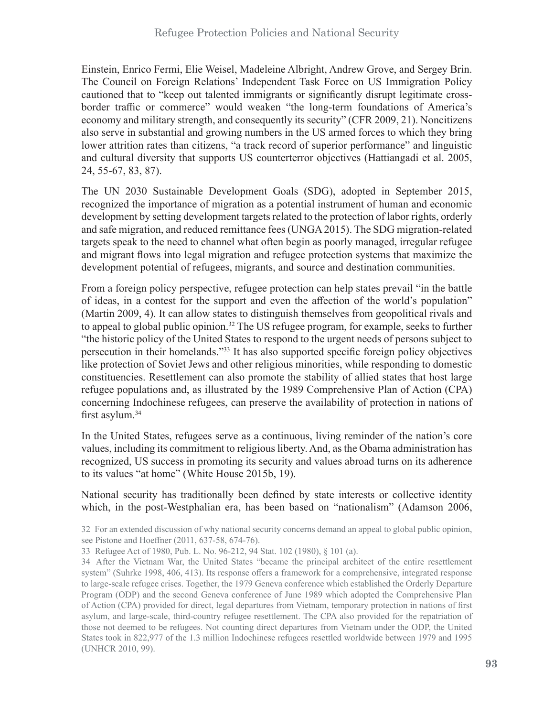Einstein, Enrico Fermi, Elie Weisel, Madeleine Albright, Andrew Grove, and Sergey Brin. The Council on Foreign Relations' Independent Task Force on US Immigration Policy cautioned that to "keep out talented immigrants or significantly disrupt legitimate crossborder traffic or commerce" would weaken "the long-term foundations of America's economy and military strength, and consequently its security" (CFR 2009, 21). Noncitizens also serve in substantial and growing numbers in the US armed forces to which they bring lower attrition rates than citizens, "a track record of superior performance" and linguistic and cultural diversity that supports US counterterror objectives (Hattiangadi et al. 2005, 24, 55-67, 83, 87).

The UN 2030 Sustainable Development Goals (SDG), adopted in September 2015, recognized the importance of migration as a potential instrument of human and economic development by setting development targets related to the protection of labor rights, orderly and safe migration, and reduced remittance fees (UNGA 2015). The SDG migration-related targets speak to the need to channel what often begin as poorly managed, irregular refugee and migrant flows into legal migration and refugee protection systems that maximize the development potential of refugees, migrants, and source and destination communities.

From a foreign policy perspective, refugee protection can help states prevail "in the battle of ideas, in a contest for the support and even the affection of the world's population" (Martin 2009, 4). It can allow states to distinguish themselves from geopolitical rivals and to appeal to global public opinion.<sup>32</sup> The US refugee program, for example, seeks to further "the historic policy of the United States to respond to the urgent needs of persons subject to persecution in their homelands."33 It has also supported specific foreign policy objectives like protection of Soviet Jews and other religious minorities, while responding to domestic constituencies. Resettlement can also promote the stability of allied states that host large refugee populations and, as illustrated by the 1989 Comprehensive Plan of Action (CPA) concerning Indochinese refugees, can preserve the availability of protection in nations of first asylum.<sup>34</sup>

In the United States, refugees serve as a continuous, living reminder of the nation's core values, including its commitment to religious liberty. And, as the Obama administration has recognized, US success in promoting its security and values abroad turns on its adherence to its values "at home" (White House 2015b, 19).

#### National security has traditionally been defined by state interests or collective identity which, in the post-Westphalian era, has been based on "nationalism" (Adamson 2006,

32 For an extended discussion of why national security concerns demand an appeal to global public opinion, see Pistone and Hoeffner (2011, 637-58, 674-76).

33 Refugee Act of 1980, Pub. L. No. 96-212, 94 Stat. 102 (1980), § 101 (a).

34 After the Vietnam War, the United States "became the principal architect of the entire resettlement system" (Suhrke 1998, 406, 413). Its response offers a framework for a comprehensive, integrated response to large-scale refugee crises. Together, the 1979 Geneva conference which established the Orderly Departure Program (ODP) and the second Geneva conference of June 1989 which adopted the Comprehensive Plan of Action (CPA) provided for direct, legal departures from Vietnam, temporary protection in nations of first asylum, and large-scale, third-country refugee resettlement. The CPA also provided for the repatriation of those not deemed to be refugees. Not counting direct departures from Vietnam under the ODP, the United States took in 822,977 of the 1.3 million Indochinese refugees resettled worldwide between 1979 and 1995 (UNHCR 2010, 99).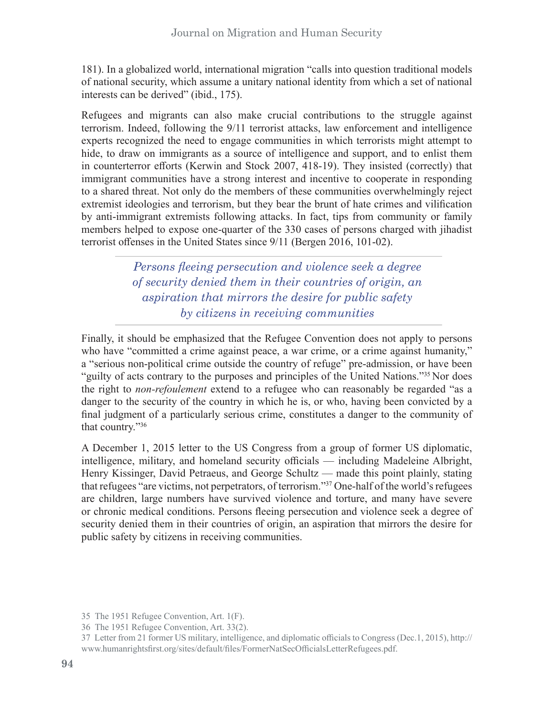181). In a globalized world, international migration "calls into question traditional models of national security, which assume a unitary national identity from which a set of national interests can be derived" (ibid., 175).

Refugees and migrants can also make crucial contributions to the struggle against terrorism. Indeed, following the 9/11 terrorist attacks, law enforcement and intelligence experts recognized the need to engage communities in which terrorists might attempt to hide, to draw on immigrants as a source of intelligence and support, and to enlist them in counterterror efforts (Kerwin and Stock 2007, 418-19). They insisted (correctly) that immigrant communities have a strong interest and incentive to cooperate in responding to a shared threat. Not only do the members of these communities overwhelmingly reject extremist ideologies and terrorism, but they bear the brunt of hate crimes and vilification by anti-immigrant extremists following attacks. In fact, tips from community or family members helped to expose one-quarter of the 330 cases of persons charged with jihadist terrorist offenses in the United States since 9/11 (Bergen 2016, 101-02).

> *Persons fleeing persecution and violence seek a degree of security denied them in their countries of origin, an aspiration that mirrors the desire for public safety by citizens in receiving communities*

Finally, it should be emphasized that the Refugee Convention does not apply to persons who have "committed a crime against peace, a war crime, or a crime against humanity," a "serious non-political crime outside the country of refuge" pre-admission, or have been "guilty of acts contrary to the purposes and principles of the United Nations."35 Nor does the right to *non-refoulement* extend to a refugee who can reasonably be regarded "as a danger to the security of the country in which he is, or who, having been convicted by a final judgment of a particularly serious crime, constitutes a danger to the community of that country."36

A December 1, 2015 letter to the US Congress from a group of former US diplomatic, intelligence, military, and homeland security officials — including Madeleine Albright, Henry Kissinger, David Petraeus, and George Schultz — made this point plainly, stating that refugees "are victims, not perpetrators, of terrorism."37 One-half of the world's refugees are children, large numbers have survived violence and torture, and many have severe or chronic medical conditions. Persons fleeing persecution and violence seek a degree of security denied them in their countries of origin, an aspiration that mirrors the desire for public safety by citizens in receiving communities.

<sup>35</sup> The 1951 Refugee Convention, Art. 1(F).

<sup>36</sup> The 1951 Refugee Convention, Art. 33(2).

<sup>37</sup> Letter from 21 former US military, intelligence, and diplomatic officials to Congress (Dec.1, 2015), http:// www.humanrightsfirst.org/sites/default/files/FormerNatSecOfficialsLetterRefugees.pdf.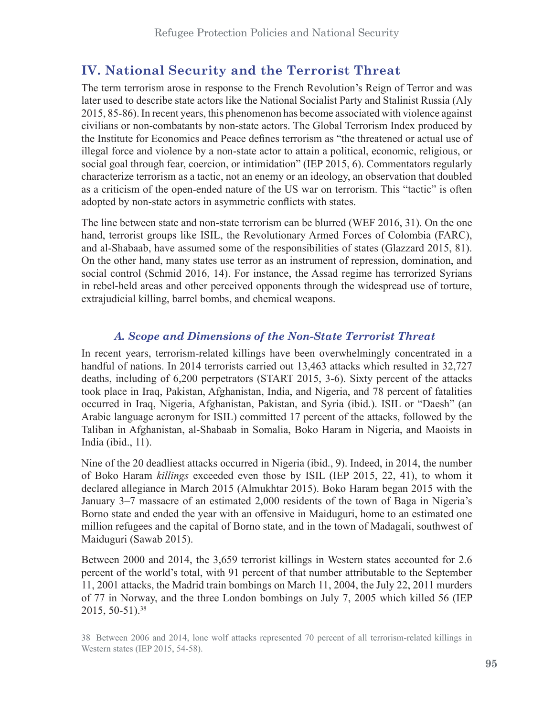# **IV. National Security and the Terrorist Threat**

The term terrorism arose in response to the French Revolution's Reign of Terror and was later used to describe state actors like the National Socialist Party and Stalinist Russia (Aly 2015, 85-86). In recent years, this phenomenon has become associated with violence against civilians or non-combatants by non-state actors. The Global Terrorism Index produced by the Institute for Economics and Peace defines terrorism as "the threatened or actual use of illegal force and violence by a non-state actor to attain a political, economic, religious, or social goal through fear, coercion, or intimidation" (IEP 2015, 6). Commentators regularly characterize terrorism as a tactic, not an enemy or an ideology, an observation that doubled as a criticism of the open-ended nature of the US war on terrorism. This "tactic" is often adopted by non-state actors in asymmetric conflicts with states.

The line between state and non-state terrorism can be blurred (WEF 2016, 31). On the one hand, terrorist groups like ISIL, the Revolutionary Armed Forces of Colombia (FARC), and al-Shabaab, have assumed some of the responsibilities of states (Glazzard 2015, 81). On the other hand, many states use terror as an instrument of repression, domination, and social control (Schmid 2016, 14). For instance, the Assad regime has terrorized Syrians in rebel-held areas and other perceived opponents through the widespread use of torture, extrajudicial killing, barrel bombs, and chemical weapons.

#### *A. Scope and Dimensions of the Non-State Terrorist Threat*

In recent years, terrorism-related killings have been overwhelmingly concentrated in a handful of nations. In 2014 terrorists carried out 13,463 attacks which resulted in 32,727 deaths, including of 6,200 perpetrators (START 2015, 3-6). Sixty percent of the attacks took place in Iraq, Pakistan, Afghanistan, India, and Nigeria, and 78 percent of fatalities occurred in Iraq, Nigeria, Afghanistan, Pakistan, and Syria (ibid.). ISIL or "Daesh" (an Arabic language acronym for ISIL) committed 17 percent of the attacks, followed by the Taliban in Afghanistan, al-Shabaab in Somalia, Boko Haram in Nigeria, and Maoists in India (ibid., 11).

Nine of the 20 deadliest attacks occurred in Nigeria (ibid., 9). Indeed, in 2014, the number of Boko Haram *killings* exceeded even those by ISIL (IEP 2015, 22, 41), to whom it declared allegiance in March 2015 (Almukhtar 2015). Boko Haram began 2015 with the January 3–7 massacre of an estimated 2,000 residents of the town of Baga in Nigeria's Borno state and ended the year with an offensive in Maiduguri, home to an estimated one million refugees and the capital of Borno state, and in the town of Madagali, southwest of Maiduguri (Sawab 2015).

Between 2000 and 2014, the 3,659 terrorist killings in Western states accounted for 2.6 percent of the world's total, with 91 percent of that number attributable to the September 11, 2001 attacks, the Madrid train bombings on March 11, 2004, the July 22, 2011 murders of 77 in Norway, and the three London bombings on July 7, 2005 which killed 56 (IEP 2015, 50-51).38

38 Between 2006 and 2014, lone wolf attacks represented 70 percent of all terrorism-related killings in Western states (IEP 2015, 54-58).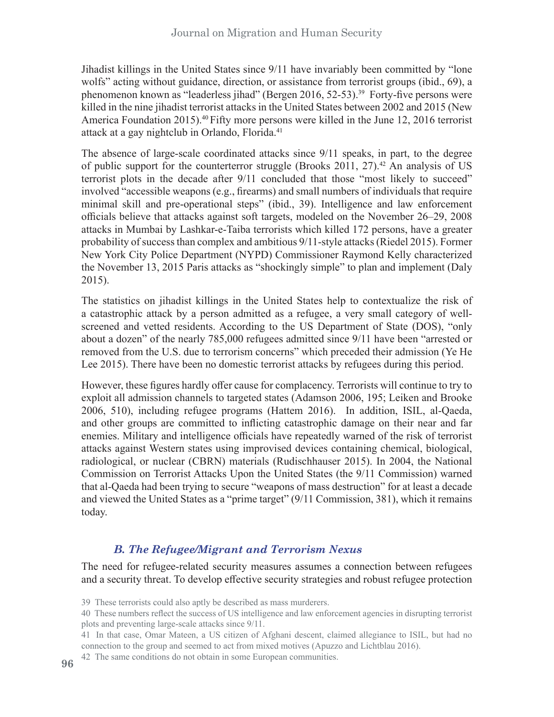Jihadist killings in the United States since 9/11 have invariably been committed by "lone wolfs" acting without guidance, direction, or assistance from terrorist groups (ibid., 69), a phenomenon known as "leaderless jihad" (Bergen 2016, 52-53).<sup>39</sup> Forty-five persons were killed in the nine jihadist terrorist attacks in the United States between 2002 and 2015 (New America Foundation 2015).<sup>40</sup> Fifty more persons were killed in the June 12, 2016 terrorist attack at a gay nightclub in Orlando, Florida.<sup>41</sup>

The absence of large-scale coordinated attacks since 9/11 speaks, in part, to the degree of public support for the counterterror struggle (Brooks 2011, 27).<sup>42</sup> An analysis of US terrorist plots in the decade after 9/11 concluded that those "most likely to succeed" involved "accessible weapons (e.g., firearms) and small numbers of individuals that require minimal skill and pre-operational steps" (ibid., 39). Intelligence and law enforcement officials believe that attacks against soft targets, modeled on the November 26–29, 2008 attacks in Mumbai by Lashkar-e-Taiba terrorists which killed 172 persons, have a greater probability of success than complex and ambitious 9/11-style attacks (Riedel 2015). Former New York City Police Department (NYPD) Commissioner Raymond Kelly characterized the November 13, 2015 Paris attacks as "shockingly simple" to plan and implement (Daly 2015).

The statistics on jihadist killings in the United States help to contextualize the risk of a catastrophic attack by a person admitted as a refugee, a very small category of wellscreened and vetted residents. According to the US Department of State (DOS), "only about a dozen" of the nearly 785,000 refugees admitted since 9/11 have been "arrested or removed from the U.S. due to terrorism concerns" which preceded their admission (Ye He Lee 2015). There have been no domestic terrorist attacks by refugees during this period.

However, these figures hardly offer cause for complacency. Terrorists will continue to try to exploit all admission channels to targeted states (Adamson 2006, 195; Leiken and Brooke 2006, 510), including refugee programs (Hattem 2016). In addition, ISIL, al-Qaeda, and other groups are committed to inflicting catastrophic damage on their near and far enemies. Military and intelligence officials have repeatedly warned of the risk of terrorist attacks against Western states using improvised devices containing chemical, biological, radiological, or nuclear (CBRN) materials (Rudischhauser 2015). In 2004, the National Commission on Terrorist Attacks Upon the United States (the 9/11 Commission) warned that al-Qaeda had been trying to secure "weapons of mass destruction" for at least a decade and viewed the United States as a "prime target" (9/11 Commission, 381), which it remains today.

#### *B. The Refugee/Migrant and Terrorism Nexus*

The need for refugee-related security measures assumes a connection between refugees and a security threat. To develop effective security strategies and robust refugee protection

42   The same conditions do not obtain in some European communities.

<sup>39</sup> These terrorists could also aptly be described as mass murderers.

<sup>40</sup> These numbers reflect the success of US intelligence and law enforcement agencies in disrupting terrorist plots and preventing large-scale attacks since 9/11.

<sup>41</sup> In that case, Omar Mateen, a US citizen of Afghani descent, claimed allegiance to ISIL, but had no connection to the group and seemed to act from mixed motives (Apuzzo and Lichtblau 2016).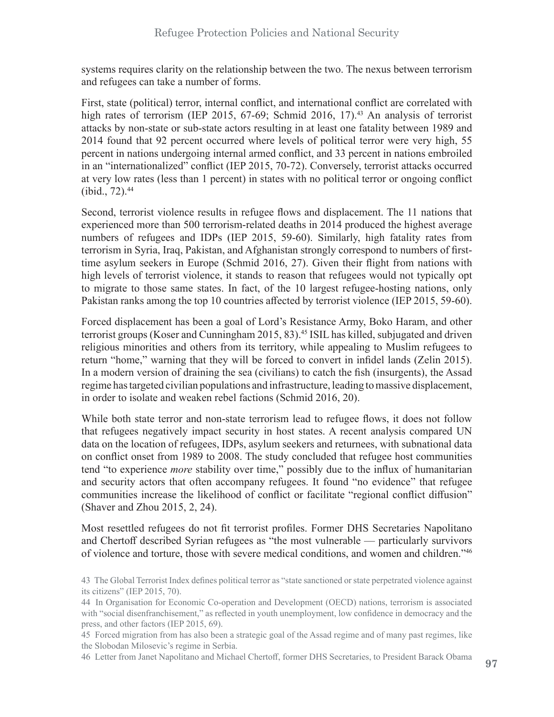systems requires clarity on the relationship between the two. The nexus between terrorism and refugees can take a number of forms.

First, state (political) terror, internal conflict, and international conflict are correlated with high rates of terrorism (IEP 2015, 67-69; Schmid 2016, 17).<sup>43</sup> An analysis of terrorist attacks by non-state or sub-state actors resulting in at least one fatality between 1989 and 2014 found that 92 percent occurred where levels of political terror were very high, 55 percent in nations undergoing internal armed conflict, and 33 percent in nations embroiled in an "internationalized" conflict (IEP 2015, 70-72). Conversely, terrorist attacks occurred at very low rates (less than 1 percent) in states with no political terror or ongoing conflict (ibid., 72).44

Second, terrorist violence results in refugee flows and displacement. The 11 nations that experienced more than 500 terrorism-related deaths in 2014 produced the highest average numbers of refugees and IDPs (IEP 2015, 59-60). Similarly, high fatality rates from terrorism in Syria, Iraq, Pakistan, and Afghanistan strongly correspond to numbers of firsttime asylum seekers in Europe (Schmid 2016, 27). Given their flight from nations with high levels of terrorist violence, it stands to reason that refugees would not typically opt to migrate to those same states. In fact, of the 10 largest refugee-hosting nations, only Pakistan ranks among the top 10 countries affected by terrorist violence (IEP 2015, 59-60).

Forced displacement has been a goal of Lord's Resistance Army, Boko Haram, and other terrorist groups (Koser and Cunningham 2015, 83).<sup>45</sup> ISIL has killed, subjugated and driven religious minorities and others from its territory, while appealing to Muslim refugees to return "home," warning that they will be forced to convert in infidel lands (Zelin 2015). In a modern version of draining the sea (civilians) to catch the fish (insurgents), the Assad regime has targeted civilian populations and infrastructure, leading to massive displacement, in order to isolate and weaken rebel factions (Schmid 2016, 20).

While both state terror and non-state terrorism lead to refugee flows, it does not follow that refugees negatively impact security in host states. A recent analysis compared UN data on the location of refugees, IDPs, asylum seekers and returnees, with subnational data on conflict onset from 1989 to 2008. The study concluded that refugee host communities tend "to experience *more* stability over time," possibly due to the influx of humanitarian and security actors that often accompany refugees. It found "no evidence" that refugee communities increase the likelihood of conflict or facilitate "regional conflict diffusion" (Shaver and Zhou 2015, 2, 24).

Most resettled refugees do not fit terrorist profiles. Former DHS Secretaries Napolitano and Chertoff described Syrian refugees as "the most vulnerable — particularly survivors of violence and torture, those with severe medical conditions, and women and children."46

46   Letter from Janet Napolitano and Michael Chertoff, former DHS Secretaries, to President Barack Obama

<sup>43</sup> The Global Terrorist Index defines political terror as "state sanctioned or state perpetrated violence against its citizens" (IEP 2015, 70).

<sup>44</sup> In Organisation for Economic Co-operation and Development (OECD) nations, terrorism is associated with "social disenfranchisement," as reflected in youth unemployment, low confidence in democracy and the press, and other factors (IEP 2015, 69).

<sup>45</sup> Forced migration from has also been a strategic goal of the Assad regime and of many past regimes, like the Slobodan Milosevic's regime in Serbia.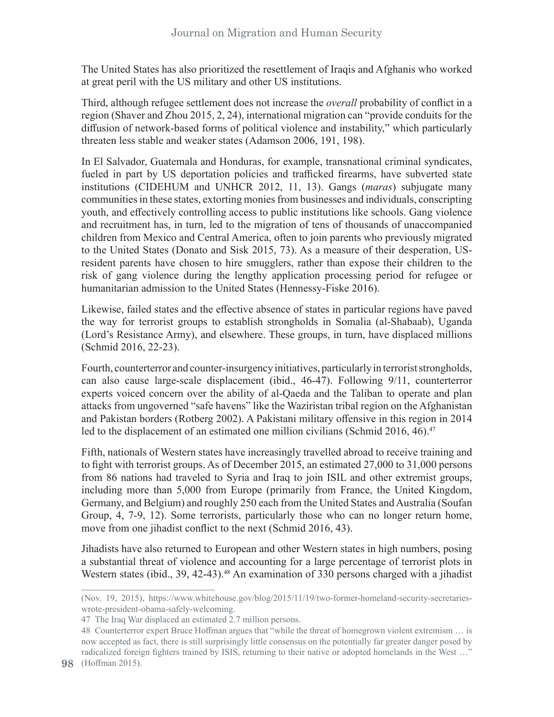The United States has also prioritized the resettlement of Iraqis and Afghanis who worked at great peril with the US military and other US institutions.

Third, although refugee settlement does not increase the *overall* probability of conflict in a region (Shaver and Zhou 2015, 2, 24), international migration can "provide conduits for the diffusion of network-based forms of political violence and instability," which particularly threaten less stable and weaker states (Adamson 2006, 191, 198).

In El Salvador, Guatemala and Honduras, for example, transnational criminal syndicates, fueled in part by US deportation policies and trafficked firearms, have subverted state institutions (CIDEHUM and UNHCR 2012, 11, 13). Gangs (*maras*) subjugate many communities in these states, extorting monies from businesses and individuals, conscripting youth, and effectively controlling access to public institutions like schools. Gang violence and recruitment has, in turn, led to the migration of tens of thousands of unaccompanied children from Mexico and Central America, often to join parents who previously migrated to the United States (Donato and Sisk 2015, 73). As a measure of their desperation, USresident parents have chosen to hire smugglers, rather than expose their children to the risk of gang violence during the lengthy application processing period for refugee or humanitarian admission to the United States (Hennessy-Fiske 2016).

Likewise, failed states and the effective absence of states in particular regions have paved the way for terrorist groups to establish strongholds in Somalia (al-Shabaab), Uganda (Lord's Resistance Army), and elsewhere. These groups, in turn, have displaced millions (Schmid 2016, 22-23).

Fourth, counterterror and counter-insurgency initiatives, particularly in terrorist strongholds, can also cause large-scale displacement (ibid., 46-47). Following 9/11, counterterror experts voiced concern over the ability of al-Qaeda and the Taliban to operate and plan attacks from ungoverned "safe havens" like the Waziristan tribal region on the Afghanistan and Pakistan borders (Rotberg 2002). A Pakistani military offensive in this region in 2014 led to the displacement of an estimated one million civilians (Schmid 2016, 46).<sup>47</sup>

Fifth, nationals of Western states have increasingly travelled abroad to receive training and to fight with terrorist groups. As of December 2015, an estimated 27,000 to 31,000 persons from 86 nations had traveled to Syria and Iraq to join ISIL and other extremist groups, including more than 5,000 from Europe (primarily from France, the United Kingdom, Germany, and Belgium) and roughly 250 each from the United States and Australia (Soufan Group, 4, 7-9, 12). Some terrorists, particularly those who can no longer return home, move from one jihadist conflict to the next (Schmid 2016, 43).

Jihadists have also returned to European and other Western states in high numbers, posing a substantial threat of violence and accounting for a large percentage of terrorist plots in Western states (ibid., 39, 42-43).<sup>48</sup> An examination of 330 persons charged with a jihadist

<sup>(</sup>Nov. 19, 2015), https://www.whitehouse.gov/blog/2015/11/19/two-former-homeland-security-secretarieswrote-president-obama-safely-welcoming.

<sup>47</sup> The Iraq War displaced an estimated 2.7 million persons.

<sup>48</sup> Counterterror expert Bruce Hoffman argues that "while the threat of homegrown violent extremism … is now accepted as fact, there is still surprisingly little consensus on the potentially far greater danger posed by radicalized foreign fighters trained by ISIS, returning to their native or adopted homelands in the West …"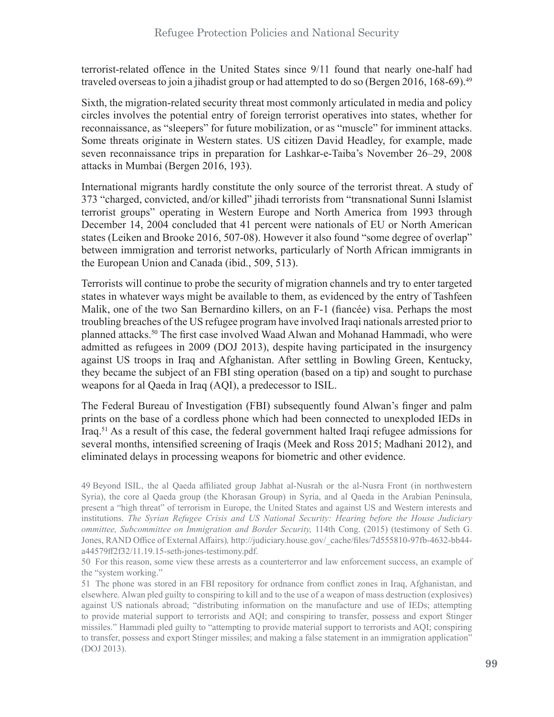terrorist-related offence in the United States since 9/11 found that nearly one-half had traveled overseas to join a jihadist group or had attempted to do so (Bergen 2016, 168-69).<sup>49</sup>

Sixth, the migration-related security threat most commonly articulated in media and policy circles involves the potential entry of foreign terrorist operatives into states, whether for reconnaissance, as "sleepers" for future mobilization, or as "muscle" for imminent attacks. Some threats originate in Western states. US citizen David Headley, for example, made seven reconnaissance trips in preparation for Lashkar-e-Taiba's November 26–29, 2008 attacks in Mumbai (Bergen 2016, 193).

International migrants hardly constitute the only source of the terrorist threat. A study of 373 "charged, convicted, and/or killed" jihadi terrorists from "transnational Sunni Islamist terrorist groups" operating in Western Europe and North America from 1993 through December 14, 2004 concluded that 41 percent were nationals of EU or North American states (Leiken and Brooke 2016, 507-08). However it also found "some degree of overlap" between immigration and terrorist networks, particularly of North African immigrants in the European Union and Canada (ibid., 509, 513).

Terrorists will continue to probe the security of migration channels and try to enter targeted states in whatever ways might be available to them, as evidenced by the entry of Tashfeen Malik, one of the two San Bernardino killers, on an F-1 (fiancée) visa. Perhaps the most troubling breaches of the US refugee program have involved Iraqi nationals arrested prior to planned attacks.50 The first case involved Waad Alwan and Mohanad Hammadi, who were admitted as refugees in 2009 (DOJ 2013), despite having participated in the insurgency against US troops in Iraq and Afghanistan. After settling in Bowling Green, Kentucky, they became the subject of an FBI sting operation (based on a tip) and sought to purchase weapons for al Qaeda in Iraq (AQI), a predecessor to ISIL.

The Federal Bureau of Investigation (FBI) subsequently found Alwan's finger and palm prints on the base of a cordless phone which had been connected to unexploded IEDs in Iraq.51 As a result of this case, the federal government halted Iraqi refugee admissions for several months, intensified screening of Iraqis (Meek and Ross 2015; Madhani 2012), and eliminated delays in processing weapons for biometric and other evidence.

49  Beyond ISIL, the al Qaeda affiliated group Jabhat al-Nusrah or the al-Nusra Front (in northwestern Syria), the core al Qaeda group (the Khorasan Group) in Syria, and al Qaeda in the Arabian Peninsula, present a "high threat" of terrorism in Europe, the United States and against US and Western interests and institutions. *The Syrian Refugee Crisis and US National Security: Hearing before the House Judiciary ommittee, Subcommittee on Immigration and Border Security,* 114th Cong. (2015) (testimony of Seth G. Jones, RAND Office of External Affairs)*,* http://judiciary.house.gov/\_cache/files/7d555810-97fb-4632-bb44 a44579ff2f32/11.19.15-seth-jones-testimony.pdf.

50 For this reason, some view these arrests as a counterterror and law enforcement success, an example of the "system working."

51   The phone was stored in an FBI repository for ordnance from conflict zones in Iraq, Afghanistan, and elsewhere. Alwan pled guilty to conspiring to kill and to the use of a weapon of mass destruction (explosives) against US nationals abroad; "distributing information on the manufacture and use of IEDs; attempting to provide material support to terrorists and AQI; and conspiring to transfer, possess and export Stinger missiles." Hammadi pled guilty to "attempting to provide material support to terrorists and AQI; conspiring to transfer, possess and export Stinger missiles; and making a false statement in an immigration application" (DOJ 2013).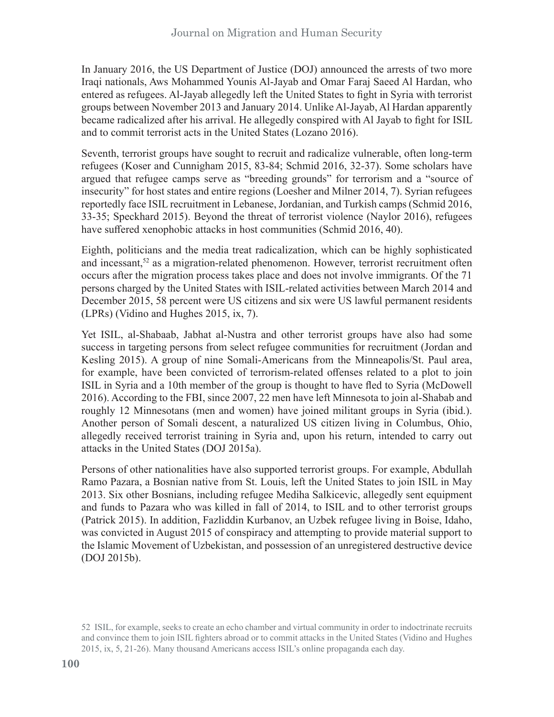In January 2016, the US Department of Justice (DOJ) announced the arrests of two more Iraqi nationals, Aws Mohammed Younis Al-Jayab and Omar Faraj Saeed Al Hardan, who entered as refugees. Al-Jayab allegedly left the United States to fight in Syria with terrorist groups between November 2013 and January 2014. Unlike Al-Jayab, Al Hardan apparently became radicalized after his arrival. He allegedly conspired with Al Jayab to fight for ISIL and to commit terrorist acts in the United States (Lozano 2016).

Seventh, terrorist groups have sought to recruit and radicalize vulnerable, often long-term refugees (Koser and Cunnigham 2015, 83-84; Schmid 2016, 32-37). Some scholars have argued that refugee camps serve as "breeding grounds" for terrorism and a "source of insecurity" for host states and entire regions (Loesher and Milner 2014, 7). Syrian refugees reportedly face ISIL recruitment in Lebanese, Jordanian, and Turkish camps (Schmid 2016, 33-35; Speckhard 2015). Beyond the threat of terrorist violence (Naylor 2016), refugees have suffered xenophobic attacks in host communities (Schmid 2016, 40).

Eighth, politicians and the media treat radicalization, which can be highly sophisticated and incessant,<sup>52</sup> as a migration-related phenomenon. However, terrorist recruitment often occurs after the migration process takes place and does not involve immigrants. Of the 71 persons charged by the United States with ISIL-related activities between March 2014 and December 2015, 58 percent were US citizens and six were US lawful permanent residents (LPRs) (Vidino and Hughes 2015, ix, 7).

Yet ISIL, al-Shabaab, Jabhat al-Nustra and other terrorist groups have also had some success in targeting persons from select refugee communities for recruitment (Jordan and Kesling 2015). A group of nine Somali-Americans from the Minneapolis/St. Paul area, for example, have been convicted of terrorism-related offenses related to a plot to join ISIL in Syria and a 10th member of the group is thought to have fled to Syria (McDowell 2016). According to the FBI, since 2007, 22 men have left Minnesota to join al-Shabab and roughly 12 Minnesotans (men and women) have joined militant groups in Syria (ibid.). Another person of Somali descent, a naturalized US citizen living in Columbus, Ohio, allegedly received terrorist training in Syria and, upon his return, intended to carry out attacks in the United States (DOJ 2015a).

Persons of other nationalities have also supported terrorist groups. For example, Abdullah Ramo Pazara, a Bosnian native from St. Louis, left the United States to join ISIL in May 2013. Six other Bosnians, including refugee Mediha Salkicevic, allegedly sent equipment and funds to Pazara who was killed in fall of 2014, to ISIL and to other terrorist groups (Patrick 2015). In addition, Fazliddin Kurbanov, an Uzbek refugee living in Boise, Idaho, was convicted in August 2015 of conspiracy and attempting to provide material support to the Islamic Movement of Uzbekistan, and possession of an unregistered destructive device (DOJ 2015b).

<sup>52</sup> ISIL, for example, seeks to create an echo chamber and virtual community in order to indoctrinate recruits and convince them to join ISIL fighters abroad or to commit attacks in the United States (Vidino and Hughes 2015, ix, 5, 21-26). Many thousand Americans access ISIL's online propaganda each day.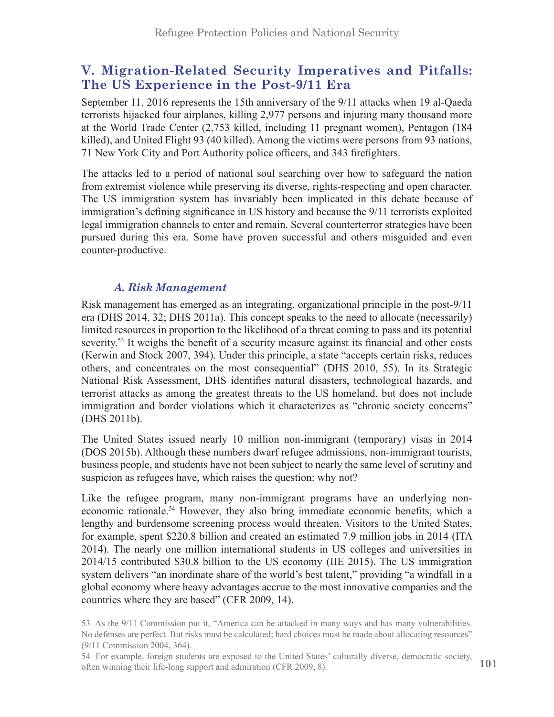# **V. Migration-Related Security Imperatives and Pitfalls: The US Experience in the Post-9/11 Era**

September 11, 2016 represents the 15th anniversary of the 9/11 attacks when 19 al-Qaeda terrorists hijacked four airplanes, killing 2,977 persons and injuring many thousand more at the World Trade Center (2,753 killed, including 11 pregnant women), Pentagon (184 killed), and United Flight 93 (40 killed). Among the victims were persons from 93 nations, 71 New York City and Port Authority police officers, and 343 firefighters.

The attacks led to a period of national soul searching over how to safeguard the nation from extremist violence while preserving its diverse, rights-respecting and open character. The US immigration system has invariably been implicated in this debate because of immigration's defining significance in US history and because the 9/11 terrorists exploited legal immigration channels to enter and remain. Several counterterror strategies have been pursued during this era. Some have proven successful and others misguided and even counter-productive.

#### *A. Risk Management*

Risk management has emerged as an integrating, organizational principle in the post-9/11 era (DHS 2014, 32; DHS 2011a). This concept speaks to the need to allocate (necessarily) limited resources in proportion to the likelihood of a threat coming to pass and its potential severity.<sup>53</sup> It weighs the benefit of a security measure against its financial and other costs (Kerwin and Stock 2007, 394). Under this principle, a state "accepts certain risks, reduces others, and concentrates on the most consequential" (DHS 2010, 55). In its Strategic National Risk Assessment, DHS identifies natural disasters, technological hazards, and terrorist attacks as among the greatest threats to the US homeland, but does not include immigration and border violations which it characterizes as "chronic society concerns" (DHS 2011b).

The United States issued nearly 10 million non-immigrant (temporary) visas in 2014 (DOS 2015b). Although these numbers dwarf refugee admissions, non-immigrant tourists, business people, and students have not been subject to nearly the same level of scrutiny and suspicion as refugees have, which raises the question: why not?

Like the refugee program, many non-immigrant programs have an underlying noneconomic rationale.54 However, they also bring immediate economic benefits, which a lengthy and burdensome screening process would threaten. Visitors to the United States, for example, spent \$220.8 billion and created an estimated 7.9 million jobs in 2014 (ITA 2014). The nearly one million international students in US colleges and universities in 2014/15 contributed \$30.8 billion to the US economy (IIE 2015). The US immigration system delivers "an inordinate share of the world's best talent," providing "a windfall in a global economy where heavy advantages accrue to the most innovative companies and the countries where they are based" (CFR 2009, 14).

<sup>53</sup> As the 9/11 Commission put it, "America can be attacked in many ways and has many vulnerabilities. No defenses are perfect. But risks must be calculated; hard choices must be made about allocating resources" (9/11 Commission 2004, 364).

**<sup>101</sup>** 54 For example, foreign students are exposed to the United States' culturally diverse, democratic society, often winning their life-long support and admiration (CFR 2009, 8).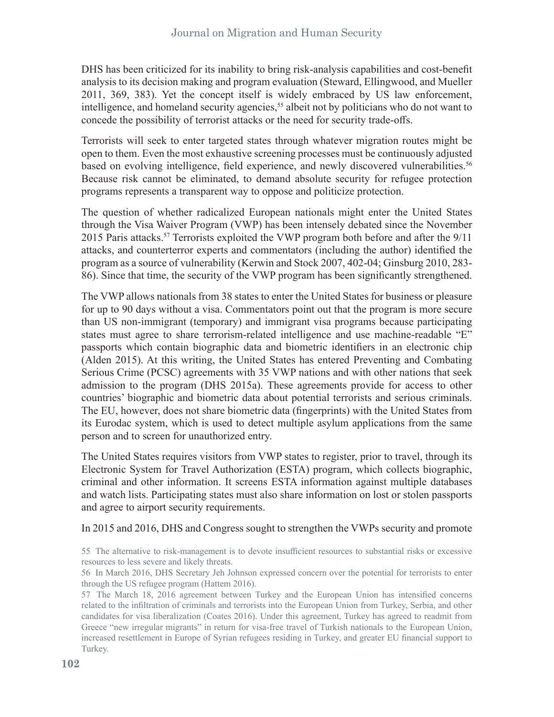DHS has been criticized for its inability to bring risk-analysis capabilities and cost-benefit analysis to its decision making and program evaluation (Steward, Ellingwood, and Mueller 2011, 369, 383). Yet the concept itself is widely embraced by US law enforcement, intelligence, and homeland security agencies,<sup>55</sup> albeit not by politicians who do not want to concede the possibility of terrorist attacks or the need for security trade-offs.

Terrorists will seek to enter targeted states through whatever migration routes might be open to them. Even the most exhaustive screening processes must be continuously adjusted based on evolving intelligence, field experience, and newly discovered vulnerabilities.<sup>56</sup> Because risk cannot be eliminated, to demand absolute security for refugee protection programs represents a transparent way to oppose and politicize protection.

The question of whether radicalized European nationals might enter the United States through the Visa Waiver Program (VWP) has been intensely debated since the November 2015 Paris attacks.57 Terrorists exploited the VWP program both before and after the 9/11 attacks, and counterterror experts and commentators (including the author) identified the program as a source of vulnerability (Kerwin and Stock 2007, 402-04; Ginsburg 2010, 283- 86). Since that time, the security of the VWP program has been significantly strengthened.

The VWP allows nationals from 38 states to enter the United States for business or pleasure for up to 90 days without a visa. Commentators point out that the program is more secure than US non-immigrant (temporary) and immigrant visa programs because participating states must agree to share terrorism-related intelligence and use machine-readable "E" passports which contain biographic data and biometric identifiers in an electronic chip (Alden 2015). At this writing, the United States has entered Preventing and Combating Serious Crime (PCSC) agreements with 35 VWP nations and with other nations that seek admission to the program (DHS 2015a). These agreements provide for access to other countries' biographic and biometric data about potential terrorists and serious criminals. The EU, however, does not share biometric data (fingerprints) with the United States from its Eurodac system, which is used to detect multiple asylum applications from the same person and to screen for unauthorized entry.

The United States requires visitors from VWP states to register, prior to travel, through its Electronic System for Travel Authorization (ESTA) program, which collects biographic, criminal and other information. It screens ESTA information against multiple databases and watch lists. Participating states must also share information on lost or stolen passports and agree to airport security requirements.

In 2015 and 2016, DHS and Congress sought to strengthen the VWPs security and promote

55   The alternative to risk-management is to devote insufficient resources to substantial risks or excessive resources to less severe and likely threats.

56 In March 2016, DHS Secretary Jeh Johnson expressed concern over the potential for terrorists to enter through the US refugee program (Hattem 2016).

57   The March 18, 2016 agreement between Turkey and the European Union has intensified concerns related to the infiltration of criminals and terrorists into the European Union from Turkey, Serbia, and other candidates for visa liberalization (Coates 2016). Under this agreement, Turkey has agreed to readmit from Greece "new irregular migrants" in return for visa-free travel of Turkish nationals to the European Union, increased resettlement in Europe of Syrian refugees residing in Turkey, and greater EU financial support to Turkey.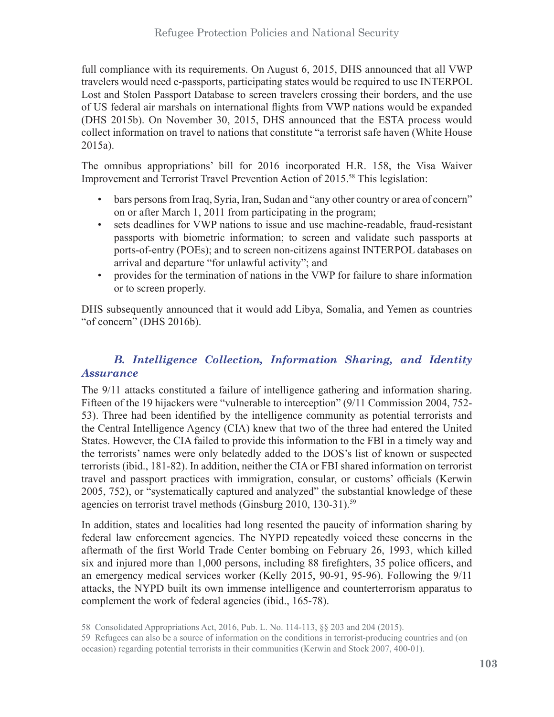full compliance with its requirements. On August 6, 2015, DHS announced that all VWP travelers would need e-passports, participating states would be required to use INTERPOL Lost and Stolen Passport Database to screen travelers crossing their borders, and the use of US federal air marshals on international flights from VWP nations would be expanded (DHS 2015b). On November 30, 2015, DHS announced that the ESTA process would collect information on travel to nations that constitute "a terrorist safe haven (White House 2015a).

The omnibus appropriations' bill for 2016 incorporated H.R. 158, the Visa Waiver Improvement and Terrorist Travel Prevention Action of 2015.58 This legislation:

- bars persons from Iraq, Syria, Iran, Sudan and "any other country or area of concern" on or after March 1, 2011 from participating in the program;
- sets deadlines for VWP nations to issue and use machine-readable, fraud-resistant passports with biometric information; to screen and validate such passports at ports-of-entry (POEs); and to screen non-citizens against INTERPOL databases on arrival and departure "for unlawful activity"; and
- provides for the termination of nations in the VWP for failure to share information or to screen properly.

DHS subsequently announced that it would add Libya, Somalia, and Yemen as countries "of concern" (DHS 2016b).

### *B. Intelligence Collection, Information Sharing, and Identity Assurance*

The 9/11 attacks constituted a failure of intelligence gathering and information sharing. Fifteen of the 19 hijackers were "vulnerable to interception" (9/11 Commission 2004, 752- 53). Three had been identified by the intelligence community as potential terrorists and the Central Intelligence Agency (CIA) knew that two of the three had entered the United States. However, the CIA failed to provide this information to the FBI in a timely way and the terrorists' names were only belatedly added to the DOS's list of known or suspected terrorists (ibid., 181-82). In addition, neither the CIA or FBI shared information on terrorist travel and passport practices with immigration, consular, or customs' officials (Kerwin 2005, 752), or "systematically captured and analyzed" the substantial knowledge of these agencies on terrorist travel methods (Ginsburg 2010, 130-31).<sup>59</sup>

In addition, states and localities had long resented the paucity of information sharing by federal law enforcement agencies. The NYPD repeatedly voiced these concerns in the aftermath of the first World Trade Center bombing on February 26, 1993, which killed six and injured more than 1,000 persons, including 88 firefighters, 35 police officers, and an emergency medical services worker (Kelly 2015, 90-91, 95-96). Following the 9/11 attacks, the NYPD built its own immense intelligence and counterterrorism apparatus to complement the work of federal agencies (ibid., 165-78).

<sup>58</sup> Consolidated Appropriations Act, 2016, Pub. L. No. 114-113, §§ 203 and 204 (2015).

<sup>59</sup> Refugees can also be a source of information on the conditions in terrorist-producing countries and (on occasion) regarding potential terrorists in their communities (Kerwin and Stock 2007, 400-01).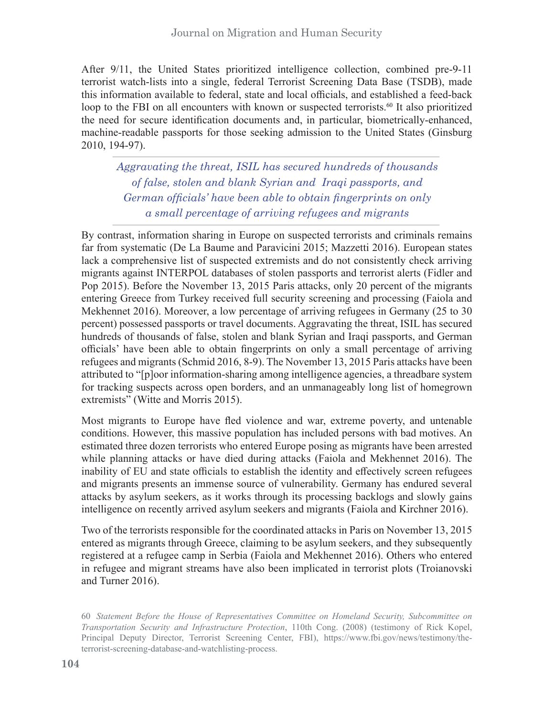After 9/11, the United States prioritized intelligence collection, combined pre-9-11 terrorist watch-lists into a single, federal Terrorist Screening Data Base (TSDB), made this information available to federal, state and local officials, and established a feed-back loop to the FBI on all encounters with known or suspected terrorists.<sup>60</sup> It also prioritized the need for secure identification documents and, in particular, biometrically-enhanced, machine-readable passports for those seeking admission to the United States (Ginsburg 2010, 194-97).

*Aggravating the threat, ISIL has secured hundreds of thousands of false, stolen and blank Syrian and Iraqi passports, and German officials' have been able to obtain fingerprints on only a small percentage of arriving refugees and migrants*

By contrast, information sharing in Europe on suspected terrorists and criminals remains far from systematic (De La Baume and Paravicini 2015; Mazzetti 2016). European states lack a comprehensive list of suspected extremists and do not consistently check arriving migrants against INTERPOL databases of stolen passports and terrorist alerts (Fidler and Pop 2015). Before the November 13, 2015 Paris attacks, only 20 percent of the migrants entering Greece from Turkey received full security screening and processing (Faiola and Mekhennet 2016). Moreover, a low percentage of arriving refugees in Germany (25 to 30 percent) possessed passports or travel documents. Aggravating the threat, ISIL has secured hundreds of thousands of false, stolen and blank Syrian and Iraqi passports, and German officials' have been able to obtain fingerprints on only a small percentage of arriving refugees and migrants (Schmid 2016, 8-9). The November 13, 2015 Paris attacks have been attributed to "[p]oor information-sharing among intelligence agencies, a threadbare system for tracking suspects across open borders, and an unmanageably long list of homegrown extremists" (Witte and Morris 2015).

Most migrants to Europe have fled violence and war, extreme poverty, and untenable conditions. However, this massive population has included persons with bad motives. An estimated three dozen terrorists who entered Europe posing as migrants have been arrested while planning attacks or have died during attacks (Faiola and Mekhennet 2016). The inability of EU and state officials to establish the identity and effectively screen refugees and migrants presents an immense source of vulnerability. Germany has endured several attacks by asylum seekers, as it works through its processing backlogs and slowly gains intelligence on recently arrived asylum seekers and migrants (Faiola and Kirchner 2016).

Two of the terrorists responsible for the coordinated attacks in Paris on November 13, 2015 entered as migrants through Greece, claiming to be asylum seekers, and they subsequently registered at a refugee camp in Serbia (Faiola and Mekhennet 2016). Others who entered in refugee and migrant streams have also been implicated in terrorist plots (Troianovski and Turner 2016).

<sup>60</sup> *Statement Before the House of Representatives Committee on Homeland Security, Subcommittee on Transportation Security and Infrastructure Protection*, 110th Cong. (2008) (testimony of Rick Kopel, Principal Deputy Director, Terrorist Screening Center, FBI), https://www.fbi.gov/news/testimony/theterrorist-screening-database-and-watchlisting-process.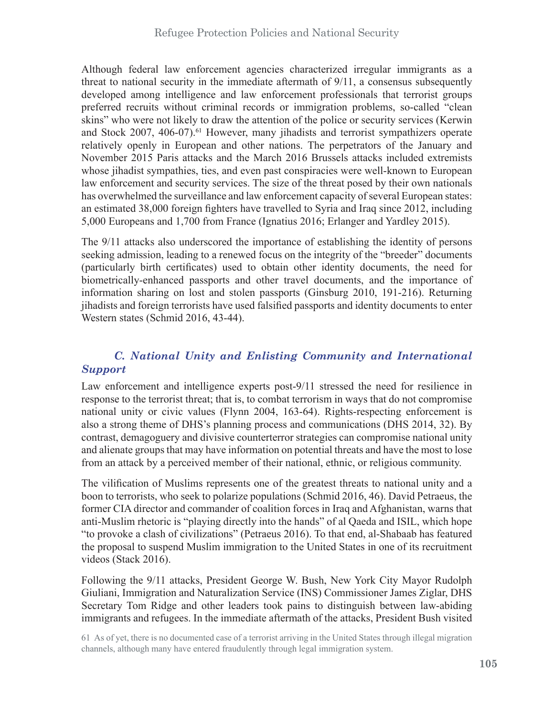Although federal law enforcement agencies characterized irregular immigrants as a threat to national security in the immediate aftermath of 9/11, a consensus subsequently developed among intelligence and law enforcement professionals that terrorist groups preferred recruits without criminal records or immigration problems, so-called "clean skins" who were not likely to draw the attention of the police or security services (Kerwin and Stock 2007, 406-07).<sup>61</sup> However, many jihadists and terrorist sympathizers operate relatively openly in European and other nations. The perpetrators of the January and November 2015 Paris attacks and the March 2016 Brussels attacks included extremists whose jihadist sympathies, ties, and even past conspiracies were well-known to European law enforcement and security services. The size of the threat posed by their own nationals has overwhelmed the surveillance and law enforcement capacity of several European states: an estimated 38,000 foreign fighters have travelled to Syria and Iraq since 2012, including 5,000 Europeans and 1,700 from France (Ignatius 2016; Erlanger and Yardley 2015).

The 9/11 attacks also underscored the importance of establishing the identity of persons seeking admission, leading to a renewed focus on the integrity of the "breeder" documents (particularly birth certificates) used to obtain other identity documents, the need for biometrically-enhanced passports and other travel documents, and the importance of information sharing on lost and stolen passports (Ginsburg 2010, 191-216). Returning jihadists and foreign terrorists have used falsified passports and identity documents to enter Western states (Schmid 2016, 43-44).

# *C. National Unity and Enlisting Community and International Support*

Law enforcement and intelligence experts post-9/11 stressed the need for resilience in response to the terrorist threat; that is, to combat terrorism in ways that do not compromise national unity or civic values (Flynn 2004, 163-64). Rights-respecting enforcement is also a strong theme of DHS's planning process and communications (DHS 2014, 32). By contrast, demagoguery and divisive counterterror strategies can compromise national unity and alienate groups that may have information on potential threats and have the most to lose from an attack by a perceived member of their national, ethnic, or religious community.

The vilification of Muslims represents one of the greatest threats to national unity and a boon to terrorists, who seek to polarize populations (Schmid 2016, 46). David Petraeus, the former CIA director and commander of coalition forces in Iraq and Afghanistan, warns that anti-Muslim rhetoric is "playing directly into the hands" of al Qaeda and ISIL, which hope "to provoke a clash of civilizations" (Petraeus 2016). To that end, al-Shabaab has featured the proposal to suspend Muslim immigration to the United States in one of its recruitment videos (Stack 2016).

Following the 9/11 attacks, President George W. Bush, New York City Mayor Rudolph Giuliani, Immigration and Naturalization Service (INS) Commissioner James Ziglar, DHS Secretary Tom Ridge and other leaders took pains to distinguish between law-abiding immigrants and refugees. In the immediate aftermath of the attacks, President Bush visited

<sup>61</sup> As of yet, there is no documented case of a terrorist arriving in the United States through illegal migration channels, although many have entered fraudulently through legal immigration system.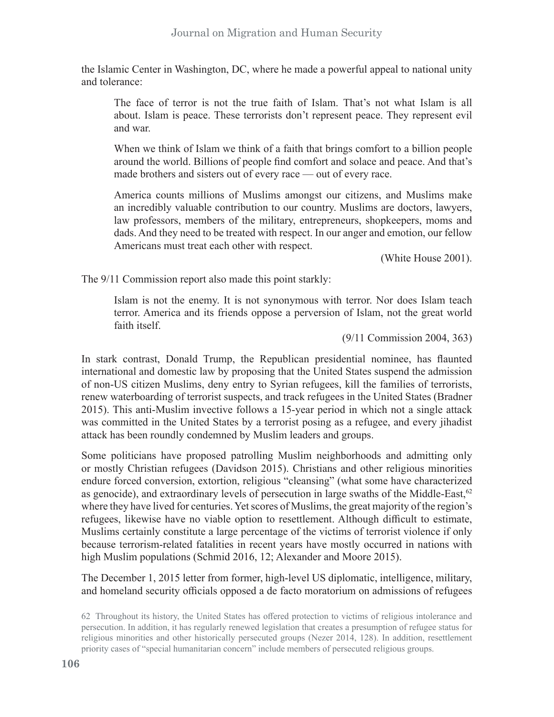the Islamic Center in Washington, DC, where he made a powerful appeal to national unity and tolerance:

The face of terror is not the true faith of Islam. That's not what Islam is all about. Islam is peace. These terrorists don't represent peace. They represent evil and war.

When we think of Islam we think of a faith that brings comfort to a billion people around the world. Billions of people find comfort and solace and peace. And that's made brothers and sisters out of every race — out of every race.

America counts millions of Muslims amongst our citizens, and Muslims make an incredibly valuable contribution to our country. Muslims are doctors, lawyers, law professors, members of the military, entrepreneurs, shopkeepers, moms and dads. And they need to be treated with respect. In our anger and emotion, our fellow Americans must treat each other with respect.

(White House 2001).

The 9/11 Commission report also made this point starkly:

Islam is not the enemy. It is not synonymous with terror. Nor does Islam teach terror. America and its friends oppose a perversion of Islam, not the great world faith itself.

In stark contrast, Donald Trump, the Republican presidential nominee, has flaunted international and domestic law by proposing that the United States suspend the admission of non-US citizen Muslims, deny entry to Syrian refugees, kill the families of terrorists, renew waterboarding of terrorist suspects, and track refugees in the United States (Bradner 2015). This anti-Muslim invective follows a 15-year period in which not a single attack was committed in the United States by a terrorist posing as a refugee, and every jihadist attack has been roundly condemned by Muslim leaders and groups.

Some politicians have proposed patrolling Muslim neighborhoods and admitting only or mostly Christian refugees (Davidson 2015). Christians and other religious minorities endure forced conversion, extortion, religious "cleansing" (what some have characterized as genocide), and extraordinary levels of persecution in large swaths of the Middle-East,  $62$ where they have lived for centuries. Yet scores of Muslims, the great majority of the region's refugees, likewise have no viable option to resettlement. Although difficult to estimate, Muslims certainly constitute a large percentage of the victims of terrorist violence if only because terrorism-related fatalities in recent years have mostly occurred in nations with high Muslim populations (Schmid 2016, 12; Alexander and Moore 2015).

The December 1, 2015 letter from former, high-level US diplomatic, intelligence, military, and homeland security officials opposed a de facto moratorium on admissions of refugees

<sup>(9/11</sup> Commission 2004, 363)

<sup>62</sup> Throughout its history, the United States has offered protection to victims of religious intolerance and persecution. In addition, it has regularly renewed legislation that creates a presumption of refugee status for religious minorities and other historically persecuted groups (Nezer 2014, 128). In addition, resettlement priority cases of "special humanitarian concern" include members of persecuted religious groups.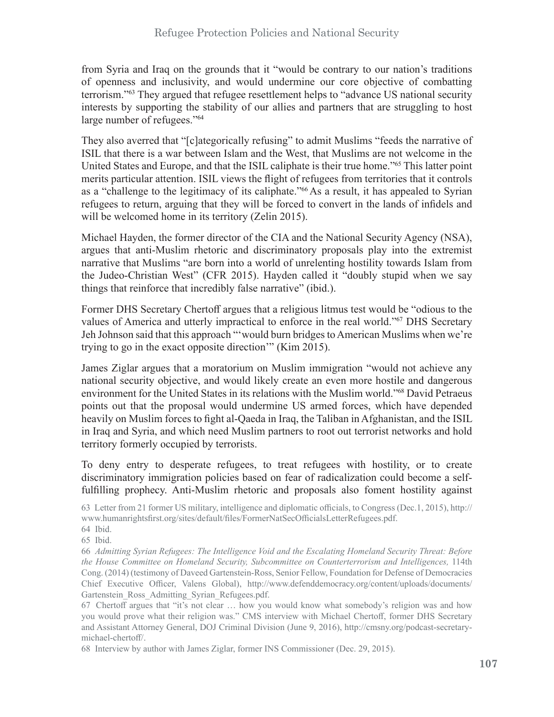from Syria and Iraq on the grounds that it "would be contrary to our nation's traditions of openness and inclusivity, and would undermine our core objective of combatting terrorism."63 They argued that refugee resettlement helps to "advance US national security interests by supporting the stability of our allies and partners that are struggling to host large number of refugees."<sup>64</sup>

They also averred that "[c]ategorically refusing" to admit Muslims "feeds the narrative of ISIL that there is a war between Islam and the West, that Muslims are not welcome in the United States and Europe, and that the ISIL caliphate is their true home."65 This latter point merits particular attention. ISIL views the flight of refugees from territories that it controls as a "challenge to the legitimacy of its caliphate."66 As a result, it has appealed to Syrian refugees to return, arguing that they will be forced to convert in the lands of infidels and will be welcomed home in its territory (Zelin 2015).

Michael Hayden, the former director of the CIA and the National Security Agency (NSA), argues that anti-Muslim rhetoric and discriminatory proposals play into the extremist narrative that Muslims "are born into a world of unrelenting hostility towards Islam from the Judeo-Christian West" (CFR 2015). Hayden called it "doubly stupid when we say things that reinforce that incredibly false narrative" (ibid.).

Former DHS Secretary Chertoff argues that a religious litmus test would be "odious to the values of America and utterly impractical to enforce in the real world."<sup>67</sup> DHS Secretary Jeh Johnson said that this approach "'would burn bridges to American Muslims when we're trying to go in the exact opposite direction'" (Kim 2015).

James Ziglar argues that a moratorium on Muslim immigration "would not achieve any national security objective, and would likely create an even more hostile and dangerous environment for the United States in its relations with the Muslim world."68 David Petraeus points out that the proposal would undermine US armed forces, which have depended heavily on Muslim forces to fight al-Qaeda in Iraq, the Taliban in Afghanistan, and the ISIL in Iraq and Syria, and which need Muslim partners to root out terrorist networks and hold territory formerly occupied by terrorists.

To deny entry to desperate refugees, to treat refugees with hostility, or to create discriminatory immigration policies based on fear of radicalization could become a selffulfilling prophecy. Anti-Muslim rhetoric and proposals also foment hostility against

63   Letter from 21 former US military, intelligence and diplomatic officials, to Congress (Dec.1, 2015), http:// www.humanrightsfirst.org/sites/default/files/FormerNatSecOfficialsLetterRefugees.pdf.

66 *Admitting Syrian Refugees: The Intelligence Void and the Escalating Homeland Security Threat: Before the House Committee on Homeland Security, Subcommittee on Counterterrorism and Intelligences,* 114th Cong. (2014) (testimony of Daveed Gartenstein-Ross, Senior Fellow, Foundation for Defense of Democracies Chief Executive Officer, Valens Global), http://www.defenddemocracy.org/content/uploads/documents/ Gartenstein Ross Admitting Syrian Refugees.pdf.

67   Chertoff argues that "it's not clear … how you would know what somebody's religion was and how you would prove what their religion was." CMS interview with Michael Chertoff, former DHS Secretary and Assistant Attorney General, DOJ Criminal Division (June 9, 2016), http://cmsny.org/podcast-secretarymichael-chertoff/.

68   Interview by author with James Ziglar, former INS Commissioner (Dec. 29, 2015).

<sup>64</sup> Ibid.

<sup>65</sup> Ibid.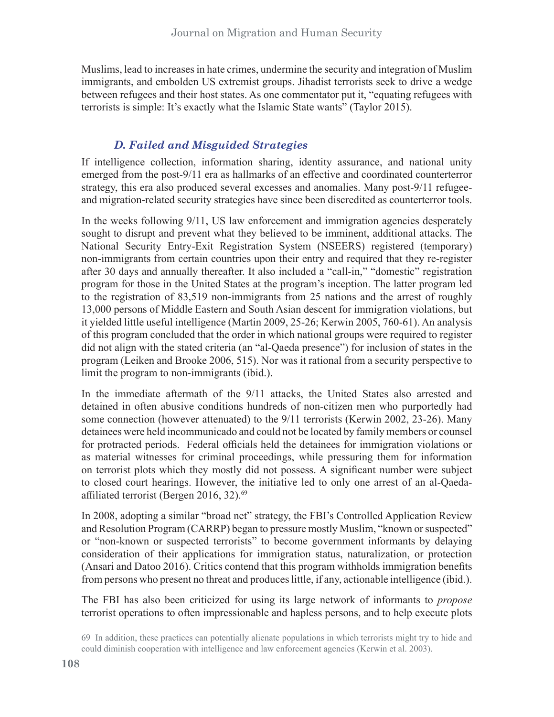Muslims, lead to increases in hate crimes, undermine the security and integration of Muslim immigrants, and embolden US extremist groups. Jihadist terrorists seek to drive a wedge between refugees and their host states. As one commentator put it, "equating refugees with terrorists is simple: It's exactly what the Islamic State wants" (Taylor 2015).

### *D. Failed and Misguided Strategies*

If intelligence collection, information sharing, identity assurance, and national unity emerged from the post-9/11 era as hallmarks of an effective and coordinated counterterror strategy, this era also produced several excesses and anomalies. Many post-9/11 refugeeand migration-related security strategies have since been discredited as counterterror tools.

In the weeks following 9/11, US law enforcement and immigration agencies desperately sought to disrupt and prevent what they believed to be imminent, additional attacks. The National Security Entry-Exit Registration System (NSEERS) registered (temporary) non-immigrants from certain countries upon their entry and required that they re-register after 30 days and annually thereafter. It also included a "call-in," "domestic" registration program for those in the United States at the program's inception. The latter program led to the registration of 83,519 non-immigrants from 25 nations and the arrest of roughly 13,000 persons of Middle Eastern and South Asian descent for immigration violations, but it yielded little useful intelligence (Martin 2009, 25-26; Kerwin 2005, 760-61). An analysis of this program concluded that the order in which national groups were required to register did not align with the stated criteria (an "al-Qaeda presence") for inclusion of states in the program (Leiken and Brooke 2006, 515). Nor was it rational from a security perspective to limit the program to non-immigrants (ibid.).

In the immediate aftermath of the 9/11 attacks, the United States also arrested and detained in often abusive conditions hundreds of non-citizen men who purportedly had some connection (however attenuated) to the 9/11 terrorists (Kerwin 2002, 23-26). Many detainees were held incommunicado and could not be located by family members or counsel for protracted periods. Federal officials held the detainees for immigration violations or as material witnesses for criminal proceedings, while pressuring them for information on terrorist plots which they mostly did not possess. A significant number were subject to closed court hearings. However, the initiative led to only one arrest of an al-Qaedaaffiliated terrorist (Bergen 2016, 32).<sup>69</sup>

In 2008, adopting a similar "broad net" strategy, the FBI's Controlled Application Review and Resolution Program (CARRP) began to pressure mostly Muslim, "known or suspected" or "non-known or suspected terrorists" to become government informants by delaying consideration of their applications for immigration status, naturalization, or protection (Ansari and Datoo 2016). Critics contend that this program withholds immigration benefits from persons who present no threat and produces little, if any, actionable intelligence (ibid.).

The FBI has also been criticized for using its large network of informants to *propose*  terrorist operations to often impressionable and hapless persons, and to help execute plots

<sup>69</sup> In addition, these practices can potentially alienate populations in which terrorists might try to hide and could diminish cooperation with intelligence and law enforcement agencies (Kerwin et al. 2003).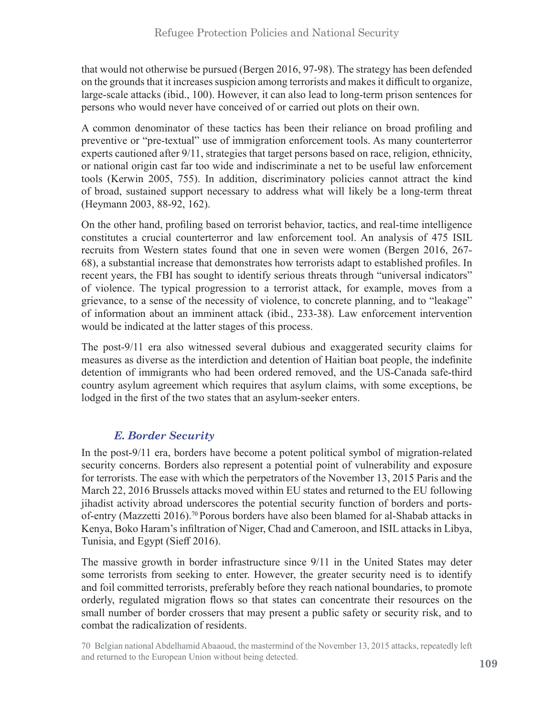that would not otherwise be pursued (Bergen 2016, 97-98). The strategy has been defended on the grounds that it increases suspicion among terrorists and makes it difficult to organize, large-scale attacks (ibid., 100). However, it can also lead to long-term prison sentences for persons who would never have conceived of or carried out plots on their own.

A common denominator of these tactics has been their reliance on broad profiling and preventive or "pre-textual" use of immigration enforcement tools. As many counterterror experts cautioned after 9/11, strategies that target persons based on race, religion, ethnicity, or national origin cast far too wide and indiscriminate a net to be useful law enforcement tools (Kerwin 2005, 755). In addition, discriminatory policies cannot attract the kind of broad, sustained support necessary to address what will likely be a long-term threat (Heymann 2003, 88-92, 162).

On the other hand, profiling based on terrorist behavior, tactics, and real-time intelligence constitutes a crucial counterterror and law enforcement tool. An analysis of 475 ISIL recruits from Western states found that one in seven were women (Bergen 2016, 267- 68), a substantial increase that demonstrates how terrorists adapt to established profiles. In recent years, the FBI has sought to identify serious threats through "universal indicators" of violence. The typical progression to a terrorist attack, for example, moves from a grievance, to a sense of the necessity of violence, to concrete planning, and to "leakage" of information about an imminent attack (ibid., 233-38). Law enforcement intervention would be indicated at the latter stages of this process.

The post-9/11 era also witnessed several dubious and exaggerated security claims for measures as diverse as the interdiction and detention of Haitian boat people, the indefinite detention of immigrants who had been ordered removed, and the US-Canada safe-third country asylum agreement which requires that asylum claims, with some exceptions, be lodged in the first of the two states that an asylum-seeker enters.

# *E. Border Security*

In the post-9/11 era, borders have become a potent political symbol of migration-related security concerns. Borders also represent a potential point of vulnerability and exposure for terrorists. The ease with which the perpetrators of the November 13, 2015 Paris and the March 22, 2016 Brussels attacks moved within EU states and returned to the EU following jihadist activity abroad underscores the potential security function of borders and portsof-entry (Mazzetti 2016).70 Porous borders have also been blamed for al-Shabab attacks in Kenya, Boko Haram's infiltration of Niger, Chad and Cameroon, and ISIL attacks in Libya, Tunisia, and Egypt (Sieff 2016).

The massive growth in border infrastructure since 9/11 in the United States may deter some terrorists from seeking to enter. However, the greater security need is to identify and foil committed terrorists, preferably before they reach national boundaries, to promote orderly, regulated migration flows so that states can concentrate their resources on the small number of border crossers that may present a public safety or security risk, and to combat the radicalization of residents.

70 Belgian national Abdelhamid Abaaoud, the mastermind of the November 13, 2015 attacks, repeatedly left and returned to the European Union without being detected.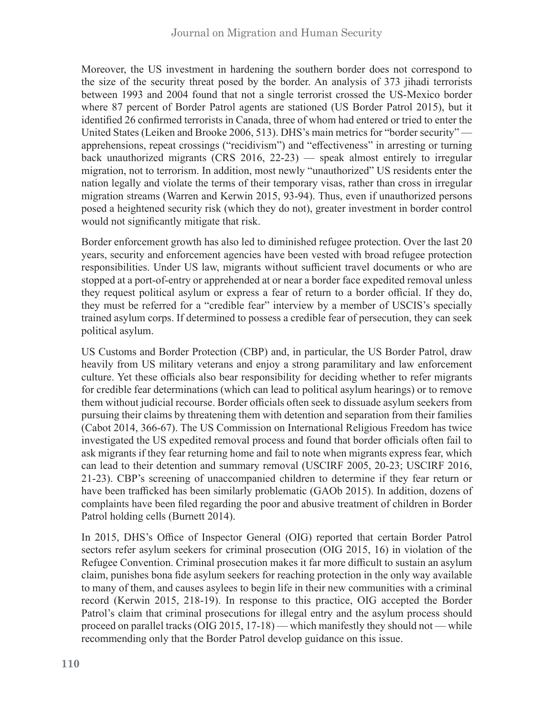Moreover, the US investment in hardening the southern border does not correspond to the size of the security threat posed by the border. An analysis of 373 jihadi terrorists between 1993 and 2004 found that not a single terrorist crossed the US-Mexico border where 87 percent of Border Patrol agents are stationed (US Border Patrol 2015), but it identified 26 confirmed terrorists in Canada, three of whom had entered or tried to enter the United States (Leiken and Brooke 2006, 513). DHS's main metrics for "border security" apprehensions, repeat crossings ("recidivism") and "effectiveness" in arresting or turning back unauthorized migrants (CRS 2016, 22-23) — speak almost entirely to irregular migration, not to terrorism. In addition, most newly "unauthorized" US residents enter the nation legally and violate the terms of their temporary visas, rather than cross in irregular migration streams (Warren and Kerwin 2015, 93-94). Thus, even if unauthorized persons posed a heightened security risk (which they do not), greater investment in border control would not significantly mitigate that risk.

Border enforcement growth has also led to diminished refugee protection. Over the last 20 years, security and enforcement agencies have been vested with broad refugee protection responsibilities. Under US law, migrants without sufficient travel documents or who are stopped at a port-of-entry or apprehended at or near a border face expedited removal unless they request political asylum or express a fear of return to a border official. If they do, they must be referred for a "credible fear" interview by a member of USCIS's specially trained asylum corps. If determined to possess a credible fear of persecution, they can seek political asylum.

US Customs and Border Protection (CBP) and, in particular, the US Border Patrol, draw heavily from US military veterans and enjoy a strong paramilitary and law enforcement culture. Yet these officials also bear responsibility for deciding whether to refer migrants for credible fear determinations (which can lead to political asylum hearings) or to remove them without judicial recourse. Border officials often seek to dissuade asylum seekers from pursuing their claims by threatening them with detention and separation from their families (Cabot 2014, 366-67). The US Commission on International Religious Freedom has twice investigated the US expedited removal process and found that border officials often fail to ask migrants if they fear returning home and fail to note when migrants express fear, which can lead to their detention and summary removal (USCIRF 2005, 20-23; USCIRF 2016, 21-23). CBP's screening of unaccompanied children to determine if they fear return or have been trafficked has been similarly problematic (GAOb 2015). In addition, dozens of complaints have been filed regarding the poor and abusive treatment of children in Border Patrol holding cells (Burnett 2014).

In 2015, DHS's Office of Inspector General (OIG) reported that certain Border Patrol sectors refer asylum seekers for criminal prosecution (OIG 2015, 16) in violation of the Refugee Convention. Criminal prosecution makes it far more difficult to sustain an asylum claim, punishes bona fide asylum seekers for reaching protection in the only way available to many of them, and causes asylees to begin life in their new communities with a criminal record (Kerwin 2015, 218-19). In response to this practice, OIG accepted the Border Patrol's claim that criminal prosecutions for illegal entry and the asylum process should proceed on parallel tracks (OIG 2015, 17-18) — which manifestly they should not — while recommending only that the Border Patrol develop guidance on this issue.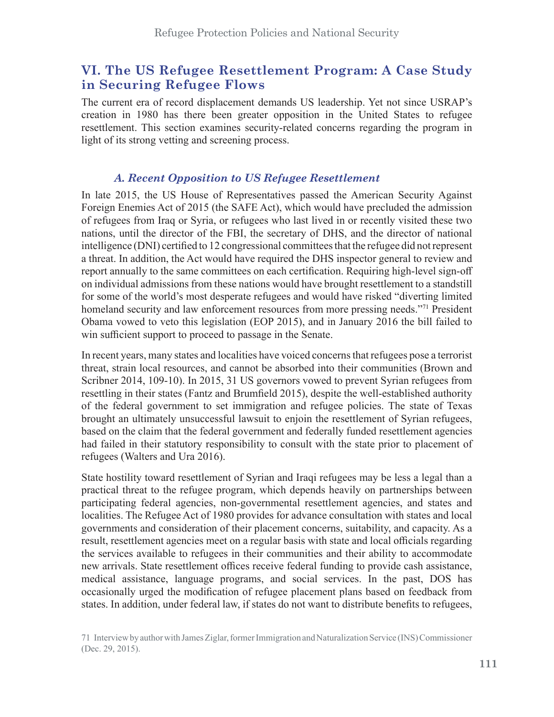# **VI. The US Refugee Resettlement Program: A Case Study in Securing Refugee Flows**

The current era of record displacement demands US leadership. Yet not since USRAP's creation in 1980 has there been greater opposition in the United States to refugee resettlement. This section examines security-related concerns regarding the program in light of its strong vetting and screening process.

#### *A. Recent Opposition to US Refugee Resettlement*

In late 2015, the US House of Representatives passed the American Security Against Foreign Enemies Act of 2015 (the SAFE Act), which would have precluded the admission of refugees from Iraq or Syria, or refugees who last lived in or recently visited these two nations, until the director of the FBI, the secretary of DHS, and the director of national intelligence (DNI) certified to 12 congressional committees that the refugee did not represent a threat. In addition, the Act would have required the DHS inspector general to review and report annually to the same committees on each certification. Requiring high-level sign-off on individual admissions from these nations would have brought resettlement to a standstill for some of the world's most desperate refugees and would have risked "diverting limited homeland security and law enforcement resources from more pressing needs."<sup>71</sup> President Obama vowed to veto this legislation (EOP 2015), and in January 2016 the bill failed to win sufficient support to proceed to passage in the Senate.

In recent years, many states and localities have voiced concerns that refugees pose a terrorist threat, strain local resources, and cannot be absorbed into their communities (Brown and Scribner 2014, 109-10). In 2015, 31 US governors vowed to prevent Syrian refugees from resettling in their states (Fantz and Brumfield 2015), despite the well-established authority of the federal government to set immigration and refugee policies. The state of Texas brought an ultimately unsuccessful lawsuit to enjoin the resettlement of Syrian refugees, based on the claim that the federal government and federally funded resettlement agencies had failed in their statutory responsibility to consult with the state prior to placement of refugees (Walters and Ura 2016).

State hostility toward resettlement of Syrian and Iraqi refugees may be less a legal than a practical threat to the refugee program, which depends heavily on partnerships between participating federal agencies, non-governmental resettlement agencies, and states and localities. The Refugee Act of 1980 provides for advance consultation with states and local governments and consideration of their placement concerns, suitability, and capacity. As a result, resettlement agencies meet on a regular basis with state and local officials regarding the services available to refugees in their communities and their ability to accommodate new arrivals. State resettlement offices receive federal funding to provide cash assistance, medical assistance, language programs, and social services. In the past, DOS has occasionally urged the modification of refugee placement plans based on feedback from states. In addition, under federal law, if states do not want to distribute benefits to refugees,

<sup>71</sup> Interview by author with James Ziglar, former Immigration and Naturalization Service (INS) Commissioner (Dec. 29, 2015).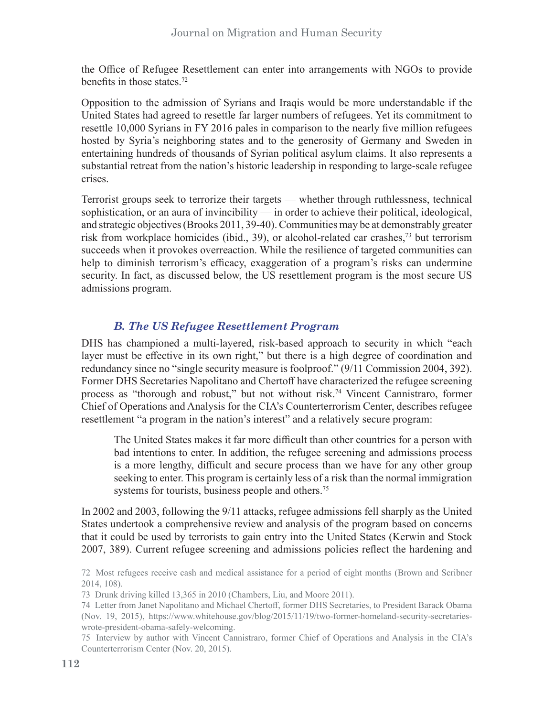the Office of Refugee Resettlement can enter into arrangements with NGOs to provide benefits in those states.<sup>72</sup>

Opposition to the admission of Syrians and Iraqis would be more understandable if the United States had agreed to resettle far larger numbers of refugees. Yet its commitment to resettle 10,000 Syrians in FY 2016 pales in comparison to the nearly five million refugees hosted by Syria's neighboring states and to the generosity of Germany and Sweden in entertaining hundreds of thousands of Syrian political asylum claims. It also represents a substantial retreat from the nation's historic leadership in responding to large-scale refugee crises.

Terrorist groups seek to terrorize their targets — whether through ruthlessness, technical sophistication, or an aura of invincibility — in order to achieve their political, ideological, and strategic objectives (Brooks 2011, 39-40). Communities may be at demonstrably greater risk from workplace homicides (ibid., 39), or alcohol-related car crashes,73 but terrorism succeeds when it provokes overreaction. While the resilience of targeted communities can help to diminish terrorism's efficacy, exaggeration of a program's risks can undermine security. In fact, as discussed below, the US resettlement program is the most secure US admissions program.

#### *B. The US Refugee Resettlement Program*

DHS has championed a multi-layered, risk-based approach to security in which "each layer must be effective in its own right," but there is a high degree of coordination and redundancy since no "single security measure is foolproof." (9/11 Commission 2004, 392). Former DHS Secretaries Napolitano and Chertoff have characterized the refugee screening process as "thorough and robust," but not without risk.74 Vincent Cannistraro, former Chief of Operations and Analysis for the CIA's Counterterrorism Center, describes refugee resettlement "a program in the nation's interest" and a relatively secure program:

The United States makes it far more difficult than other countries for a person with bad intentions to enter. In addition, the refugee screening and admissions process is a more lengthy, difficult and secure process than we have for any other group seeking to enter. This program is certainly less of a risk than the normal immigration systems for tourists, business people and others.<sup>75</sup>

In 2002 and 2003, following the 9/11 attacks, refugee admissions fell sharply as the United States undertook a comprehensive review and analysis of the program based on concerns that it could be used by terrorists to gain entry into the United States (Kerwin and Stock 2007, 389). Current refugee screening and admissions policies reflect the hardening and

72 Most refugees receive cash and medical assistance for a period of eight months (Brown and Scribner 2014, 108).

73 Drunk driving killed 13,365 in 2010 (Chambers, Liu, and Moore 2011).

74   Letter from Janet Napolitano and Michael Chertoff, former DHS Secretaries, to President Barack Obama (Nov. 19, 2015), https://www.whitehouse.gov/blog/2015/11/19/two-former-homeland-security-secretarieswrote-president-obama-safely-welcoming.

75 Interview by author with Vincent Cannistraro, former Chief of Operations and Analysis in the CIA's Counterterrorism Center (Nov. 20, 2015).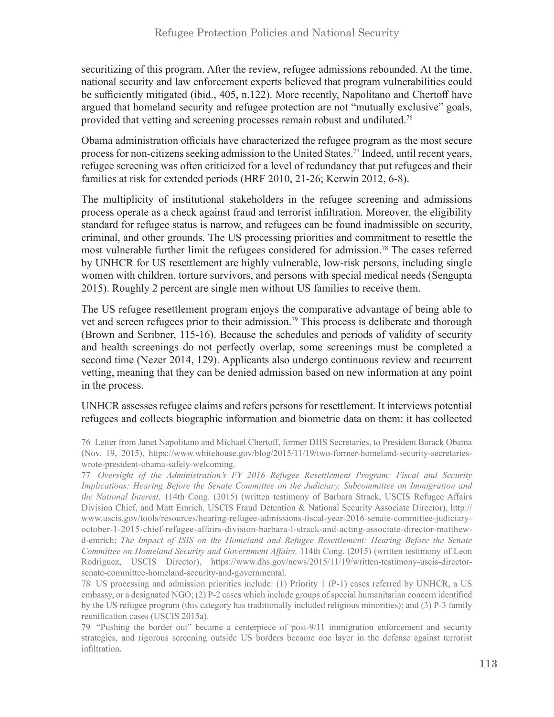securitizing of this program. After the review, refugee admissions rebounded. At the time, national security and law enforcement experts believed that program vulnerabilities could be sufficiently mitigated (ibid., 405, n.122). More recently, Napolitano and Chertoff have argued that homeland security and refugee protection are not "mutually exclusive" goals, provided that vetting and screening processes remain robust and undiluted.<sup>76</sup>

Obama administration officials have characterized the refugee program as the most secure process for non-citizens seeking admission to the United States.<sup>77</sup> Indeed, until recent years, refugee screening was often criticized for a level of redundancy that put refugees and their families at risk for extended periods (HRF 2010, 21-26; Kerwin 2012, 6-8).

The multiplicity of institutional stakeholders in the refugee screening and admissions process operate as a check against fraud and terrorist infiltration. Moreover, the eligibility standard for refugee status is narrow, and refugees can be found inadmissible on security, criminal, and other grounds. The US processing priorities and commitment to resettle the most vulnerable further limit the refugees considered for admission.78 The cases referred by UNHCR for US resettlement are highly vulnerable, low-risk persons, including single women with children, torture survivors, and persons with special medical needs (Sengupta 2015). Roughly 2 percent are single men without US families to receive them.

The US refugee resettlement program enjoys the comparative advantage of being able to vet and screen refugees prior to their admission.<sup>79</sup> This process is deliberate and thorough (Brown and Scribner, 115-16). Because the schedules and periods of validity of security and health screenings do not perfectly overlap, some screenings must be completed a second time (Nezer 2014, 129). Applicants also undergo continuous review and recurrent vetting, meaning that they can be denied admission based on new information at any point in the process.

UNHCR assesses refugee claims and refers persons for resettlement. It interviews potential refugees and collects biographic information and biometric data on them: it has collected

76   Letter from Janet Napolitano and Michael Chertoff, former DHS Secretaries, to President Barack Obama (Nov. 19, 2015), https://www.whitehouse.gov/blog/2015/11/19/two-former-homeland-security-secretarieswrote-president-obama-safely-welcoming.

77 *Oversight of the Administration's FY 2016 Refugee Resettlement Program: Fiscal and Security Implications: Hearing Before the Senate Committee on the Judiciary, Subcommittee on Immigration and the National Interest,* 114th Cong. (2015) (written testimony of Barbara Strack, USCIS Refugee Affairs Division Chief, and Matt Emrich, USCIS Fraud Detention & National Security Associate Director), http:// www.uscis.gov/tools/resources/hearing-refugee-admissions-fiscal-year-2016-senate-committee-judiciaryoctober-1-2015-chief-refugee-affairs-division-barbara-l-strack-and-acting-associate-director-matthewd-emrich; *The Impact of ISIS on the Homeland and Refugee Resettlement: Hearing Before the Senate Committee on Homeland Security and Government Affairs,* 114th Cong. (2015) (written testimony of Leon Rodriguez, USCIS Director), https://www.dhs.gov/news/2015/11/19/written-testimony-uscis-directorsenate-committee-homeland-security-and-governmental.

78   US processing and admission priorities include: (1) Priority 1 (P-1) cases referred by UNHCR, a US embassy, or a designated NGO; (2) P-2 cases which include groups of special humanitarian concern identified by the US refugee program (this category has traditionally included religious minorities); and (3) P-3 family reunification cases (USCIS 2015a).

79 "Pushing the border out" became a centerpiece of post-9/11 immigration enforcement and security strategies, and rigorous screening outside US borders became one layer in the defense against terrorist infiltration.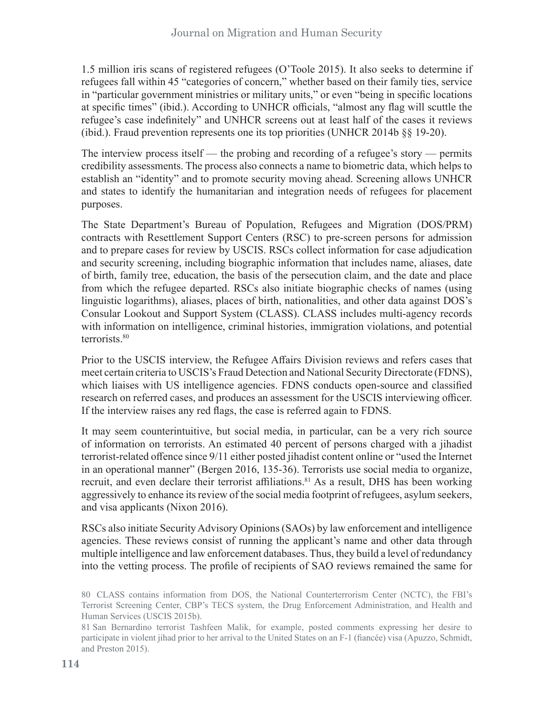1.5 million iris scans of registered refugees (O'Toole 2015). It also seeks to determine if refugees fall within 45 "categories of concern," whether based on their family ties, service in "particular government ministries or military units," or even "being in specific locations at specific times" (ibid.). According to UNHCR officials, "almost any flag will scuttle the refugee's case indefinitely" and UNHCR screens out at least half of the cases it reviews (ibid.). Fraud prevention represents one its top priorities (UNHCR 2014b §§ 19-20).

The interview process itself — the probing and recording of a refugee's story — permits credibility assessments. The process also connects a name to biometric data, which helps to establish an "identity" and to promote security moving ahead. Screening allows UNHCR and states to identify the humanitarian and integration needs of refugees for placement purposes.

The State Department's Bureau of Population, Refugees and Migration (DOS/PRM) contracts with Resettlement Support Centers (RSC) to pre-screen persons for admission and to prepare cases for review by USCIS. RSCs collect information for case adjudication and security screening, including biographic information that includes name, aliases, date of birth, family tree, education, the basis of the persecution claim, and the date and place from which the refugee departed. RSCs also initiate biographic checks of names (using linguistic logarithms), aliases, places of birth, nationalities, and other data against DOS's Consular Lookout and Support System (CLASS). CLASS includes multi-agency records with information on intelligence, criminal histories, immigration violations, and potential terrorists.<sup>80</sup>

Prior to the USCIS interview, the Refugee Affairs Division reviews and refers cases that meet certain criteria to USCIS's Fraud Detection and National Security Directorate (FDNS), which liaises with US intelligence agencies. FDNS conducts open-source and classified research on referred cases, and produces an assessment for the USCIS interviewing officer. If the interview raises any red flags, the case is referred again to FDNS.

It may seem counterintuitive, but social media, in particular, can be a very rich source of information on terrorists. An estimated 40 percent of persons charged with a jihadist terrorist-related offence since 9/11 either posted jihadist content online or "used the Internet in an operational manner" (Bergen 2016, 135-36). Terrorists use social media to organize, recruit, and even declare their terrorist affiliations.<sup>81</sup> As a result, DHS has been working aggressively to enhance its review of the social media footprint of refugees, asylum seekers, and visa applicants (Nixon 2016).

RSCs also initiate Security Advisory Opinions (SAOs) by law enforcement and intelligence agencies. These reviews consist of running the applicant's name and other data through multiple intelligence and law enforcement databases. Thus, they build a level of redundancy into the vetting process. The profile of recipients of SAO reviews remained the same for

<sup>80</sup> CLASS contains information from DOS, the National Counterterrorism Center (NCTC), the FBI's Terrorist Screening Center, CBP's TECS system, the Drug Enforcement Administration, and Health and Human Services (USCIS 2015b).

<sup>81</sup> San Bernardino terrorist Tashfeen Malik, for example, posted comments expressing her desire to participate in violent jihad prior to her arrival to the United States on an F-1 (fiancée) visa (Apuzzo, Schmidt, and Preston 2015).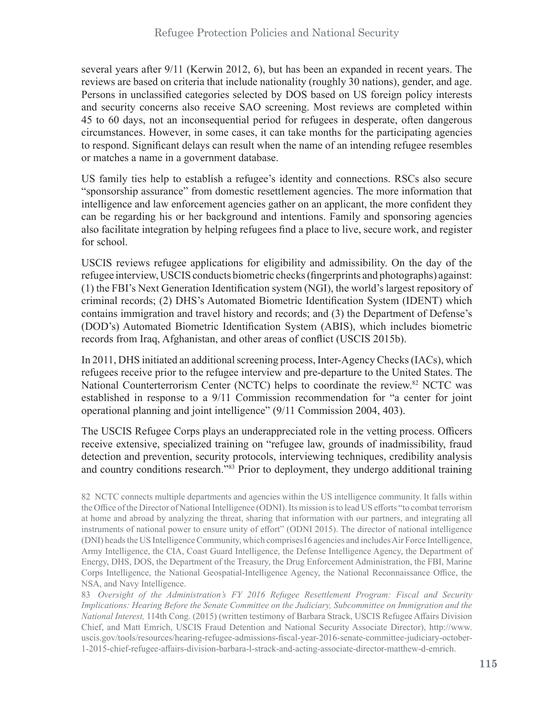several years after 9/11 (Kerwin 2012, 6), but has been an expanded in recent years. The reviews are based on criteria that include nationality (roughly 30 nations), gender, and age. Persons in unclassified categories selected by DOS based on US foreign policy interests and security concerns also receive SAO screening. Most reviews are completed within 45 to 60 days, not an inconsequential period for refugees in desperate, often dangerous circumstances. However, in some cases, it can take months for the participating agencies to respond. Significant delays can result when the name of an intending refugee resembles or matches a name in a government database.

US family ties help to establish a refugee's identity and connections. RSCs also secure "sponsorship assurance" from domestic resettlement agencies. The more information that intelligence and law enforcement agencies gather on an applicant, the more confident they can be regarding his or her background and intentions. Family and sponsoring agencies also facilitate integration by helping refugees find a place to live, secure work, and register for school.

USCIS reviews refugee applications for eligibility and admissibility. On the day of the refugee interview, USCIS conducts biometric checks (fingerprints and photographs) against: (1) the FBI's Next Generation Identification system (NGI), the world's largest repository of criminal records; (2) DHS's Automated Biometric Identification System (IDENT) which contains immigration and travel history and records; and (3) the Department of Defense's (DOD's) Automated Biometric Identification System (ABIS), which includes biometric records from Iraq, Afghanistan, and other areas of conflict (USCIS 2015b).

In 2011, DHS initiated an additional screening process, Inter-Agency Checks (IACs), which refugees receive prior to the refugee interview and pre-departure to the United States. The National Counterterrorism Center (NCTC) helps to coordinate the review.<sup>82</sup> NCTC was established in response to a 9/11 Commission recommendation for "a center for joint operational planning and joint intelligence" (9/11 Commission 2004, 403).

The USCIS Refugee Corps plays an underappreciated role in the vetting process. Officers receive extensive, specialized training on "refugee law, grounds of inadmissibility, fraud detection and prevention, security protocols, interviewing techniques, credibility analysis and country conditions research."83 Prior to deployment, they undergo additional training

83 *Oversight of the Administration's FY 2016 Refugee Resettlement Program: Fiscal and Security Implications: Hearing Before the Senate Committee on the Judiciary, Subcommittee on Immigration and the National Interest,* 114th Cong. (2015) (written testimony of Barbara Strack, USCIS Refugee Affairs Division Chief, and Matt Emrich, USCIS Fraud Detention and National Security Associate Director), http://www. uscis.gov/tools/resources/hearing-refugee-admissions-fiscal-year-2016-senate-committee-judiciary-october-1-2015-chief-refugee-affairs-division-barbara-l-strack-and-acting-associate-director-matthew-d-emrich.

<sup>82</sup> NCTC connects multiple departments and agencies within the US intelligence community. It falls within the Office of the Director of National Intelligence (ODNI). Its mission is to lead US efforts "to combat terrorism at home and abroad by analyzing the threat, sharing that information with our partners, and integrating all instruments of national power to ensure unity of effort" (ODNI 2015). The director of national intelligence (DNI) heads the US Intelligence Community, which comprises16 agencies and includes Air Force Intelligence, Army Intelligence, the CIA, Coast Guard Intelligence, the Defense Intelligence Agency, the Department of Energy, DHS, DOS, the Department of the Treasury, the Drug Enforcement Administration, the FBI, Marine Corps Intelligence, the National Geospatial-Intelligence Agency, the National Reconnaissance Office, the NSA, and Navy Intelligence.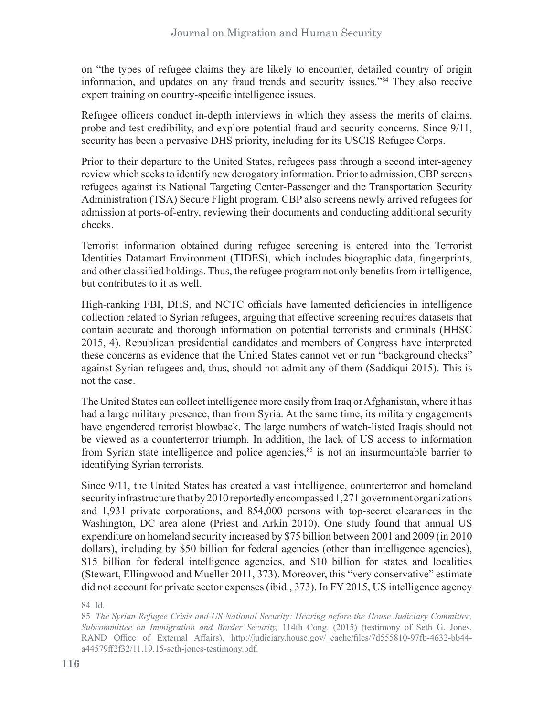on "the types of refugee claims they are likely to encounter, detailed country of origin information, and updates on any fraud trends and security issues."84 They also receive expert training on country-specific intelligence issues.

Refugee officers conduct in-depth interviews in which they assess the merits of claims, probe and test credibility, and explore potential fraud and security concerns. Since 9/11, security has been a pervasive DHS priority, including for its USCIS Refugee Corps.

Prior to their departure to the United States, refugees pass through a second inter-agency review which seeks to identify new derogatory information. Prior to admission, CBP screens refugees against its National Targeting Center-Passenger and the Transportation Security Administration (TSA) Secure Flight program. CBP also screens newly arrived refugees for admission at ports-of-entry, reviewing their documents and conducting additional security checks.

Terrorist information obtained during refugee screening is entered into the Terrorist Identities Datamart Environment (TIDES), which includes biographic data, fingerprints, and other classified holdings. Thus, the refugee program not only benefits from intelligence, but contributes to it as well.

High-ranking FBI, DHS, and NCTC officials have lamented deficiencies in intelligence collection related to Syrian refugees, arguing that effective screening requires datasets that contain accurate and thorough information on potential terrorists and criminals (HHSC 2015, 4). Republican presidential candidates and members of Congress have interpreted these concerns as evidence that the United States cannot vet or run "background checks" against Syrian refugees and, thus, should not admit any of them (Saddiqui 2015). This is not the case.

The United States can collect intelligence more easily from Iraq or Afghanistan, where it has had a large military presence, than from Syria. At the same time, its military engagements have engendered terrorist blowback. The large numbers of watch-listed Iraqis should not be viewed as a counterterror triumph. In addition, the lack of US access to information from Syrian state intelligence and police agencies, $85$  is not an insurmountable barrier to identifying Syrian terrorists.

Since 9/11, the United States has created a vast intelligence, counterterror and homeland security infrastructure that by 2010 reportedly encompassed 1,271 government organizations and 1,931 private corporations, and 854,000 persons with top-secret clearances in the Washington, DC area alone (Priest and Arkin 2010). One study found that annual US expenditure on homeland security increased by \$75 billion between 2001 and 2009 (in 2010 dollars), including by \$50 billion for federal agencies (other than intelligence agencies), \$15 billion for federal intelligence agencies, and \$10 billion for states and localities (Stewart, Ellingwood and Mueller 2011, 373). Moreover, this "very conservative" estimate did not account for private sector expenses (ibid., 373). In FY 2015, US intelligence agency

#### 84 Id.

85 *The Syrian Refugee Crisis and US National Security: Hearing before the House Judiciary Committee, Subcommittee on Immigration and Border Security,* 114th Cong. (2015) (testimony of Seth G. Jones, RAND Office of External Affairs), http://judiciary.house.gov/\_cache/files/7d555810-97fb-4632-bb44 a44579ff2f32/11.19.15-seth-jones-testimony.pdf.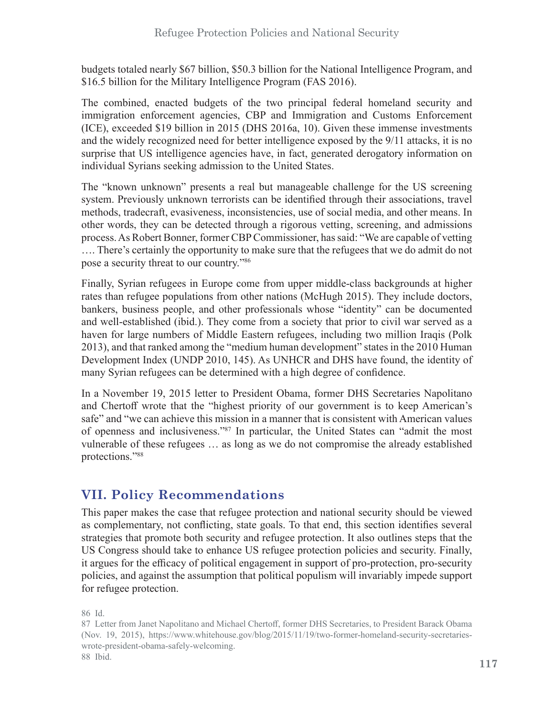budgets totaled nearly \$67 billion, \$50.3 billion for the National Intelligence Program, and \$16.5 billion for the Military Intelligence Program (FAS 2016).

The combined, enacted budgets of the two principal federal homeland security and immigration enforcement agencies, CBP and Immigration and Customs Enforcement (ICE), exceeded \$19 billion in 2015 (DHS 2016a, 10). Given these immense investments and the widely recognized need for better intelligence exposed by the 9/11 attacks, it is no surprise that US intelligence agencies have, in fact, generated derogatory information on individual Syrians seeking admission to the United States.

The "known unknown" presents a real but manageable challenge for the US screening system. Previously unknown terrorists can be identified through their associations, travel methods, tradecraft, evasiveness, inconsistencies, use of social media, and other means. In other words, they can be detected through a rigorous vetting, screening, and admissions process. As Robert Bonner, former CBP Commissioner, has said: "We are capable of vetting …. There's certainly the opportunity to make sure that the refugees that we do admit do not pose a security threat to our country."86

Finally, Syrian refugees in Europe come from upper middle-class backgrounds at higher rates than refugee populations from other nations (McHugh 2015). They include doctors, bankers, business people, and other professionals whose "identity" can be documented and well-established (ibid.). They come from a society that prior to civil war served as a haven for large numbers of Middle Eastern refugees, including two million Iraqis (Polk 2013), and that ranked among the "medium human development" states in the 2010 Human Development Index (UNDP 2010, 145). As UNHCR and DHS have found, the identity of many Syrian refugees can be determined with a high degree of confidence.

In a November 19, 2015 letter to President Obama, former DHS Secretaries Napolitano and Chertoff wrote that the "highest priority of our government is to keep American's safe" and "we can achieve this mission in a manner that is consistent with American values of openness and inclusiveness."87 In particular, the United States can "admit the most vulnerable of these refugees … as long as we do not compromise the already established protections."88

# **VII. Policy Recommendations**

This paper makes the case that refugee protection and national security should be viewed as complementary, not conflicting, state goals. To that end, this section identifies several strategies that promote both security and refugee protection. It also outlines steps that the US Congress should take to enhance US refugee protection policies and security. Finally, it argues for the efficacy of political engagement in support of pro-protection, pro-security policies, and against the assumption that political populism will invariably impede support for refugee protection.

86 Id.

<sup>87</sup> Letter from Janet Napolitano and Michael Chertoff, former DHS Secretaries, to President Barack Obama (Nov. 19, 2015), https://www.whitehouse.gov/blog/2015/11/19/two-former-homeland-security-secretarieswrote-president-obama-safely-welcoming. 88 Ibid.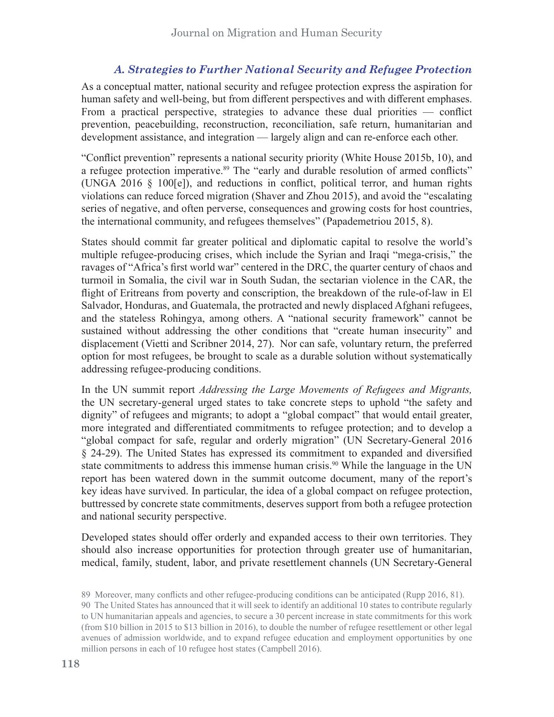# *A. Strategies to Further National Security and Refugee Protection*

As a conceptual matter, national security and refugee protection express the aspiration for human safety and well-being, but from different perspectives and with different emphases. From a practical perspective, strategies to advance these dual priorities — conflict prevention, peacebuilding, reconstruction, reconciliation, safe return, humanitarian and development assistance, and integration — largely align and can re-enforce each other.

"Conflict prevention" represents a national security priority (White House 2015b, 10), and a refugee protection imperative.<sup>89</sup> The "early and durable resolution of armed conflicts" (UNGA 2016 § 100[e]), and reductions in conflict, political terror, and human rights violations can reduce forced migration (Shaver and Zhou 2015), and avoid the "escalating series of negative, and often perverse, consequences and growing costs for host countries, the international community, and refugees themselves" (Papademetriou 2015, 8).

States should commit far greater political and diplomatic capital to resolve the world's multiple refugee-producing crises, which include the Syrian and Iraqi "mega-crisis," the ravages of "Africa's first world war" centered in the DRC, the quarter century of chaos and turmoil in Somalia, the civil war in South Sudan, the sectarian violence in the CAR, the flight of Eritreans from poverty and conscription, the breakdown of the rule-of-law in El Salvador, Honduras, and Guatemala, the protracted and newly displaced Afghani refugees, and the stateless Rohingya, among others. A "national security framework" cannot be sustained without addressing the other conditions that "create human insecurity" and displacement (Vietti and Scribner 2014, 27). Nor can safe, voluntary return, the preferred option for most refugees, be brought to scale as a durable solution without systematically addressing refugee-producing conditions.

In the UN summit report *Addressing the Large Movements of Refugees and Migrants,*  the UN secretary-general urged states to take concrete steps to uphold "the safety and dignity" of refugees and migrants; to adopt a "global compact" that would entail greater, more integrated and differentiated commitments to refugee protection; and to develop a "global compact for safe, regular and orderly migration" (UN Secretary-General 2016 § 24-29). The United States has expressed its commitment to expanded and diversified state commitments to address this immense human crisis.<sup>90</sup> While the language in the UN report has been watered down in the summit outcome document, many of the report's key ideas have survived. In particular, the idea of a global compact on refugee protection, buttressed by concrete state commitments, deserves support from both a refugee protection and national security perspective.

Developed states should offer orderly and expanded access to their own territories. They should also increase opportunities for protection through greater use of humanitarian, medical, family, student, labor, and private resettlement channels (UN Secretary-General

<sup>89</sup> Moreover, many conflicts and other refugee-producing conditions can be anticipated (Rupp 2016, 81). 90 The United States has announced that it will seek to identify an additional 10 states to contribute regularly to UN humanitarian appeals and agencies, to secure a 30 percent increase in state commitments for this work (from \$10 billion in 2015 to \$13 billion in 2016), to double the number of refugee resettlement or other legal avenues of admission worldwide, and to expand refugee education and employment opportunities by one million persons in each of 10 refugee host states (Campbell 2016).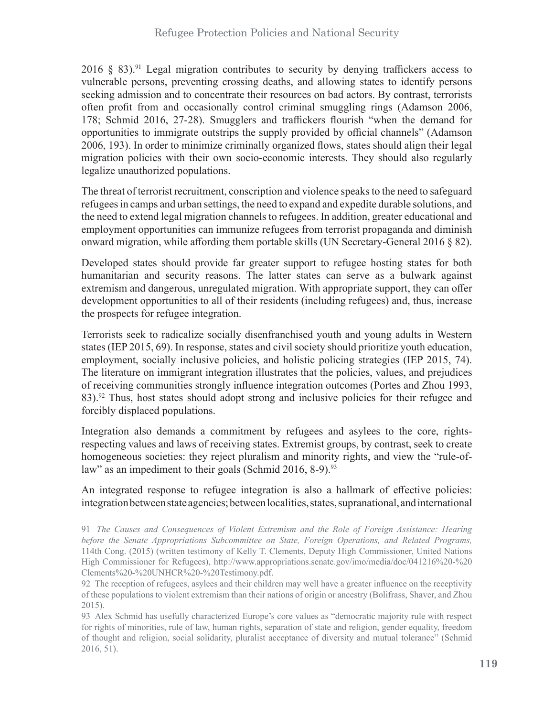2016  $§$  83).<sup>91</sup> Legal migration contributes to security by denying traffickers access to vulnerable persons, preventing crossing deaths, and allowing states to identify persons seeking admission and to concentrate their resources on bad actors. By contrast, terrorists often profit from and occasionally control criminal smuggling rings (Adamson 2006, 178; Schmid 2016, 27-28). Smugglers and traffickers flourish "when the demand for opportunities to immigrate outstrips the supply provided by official channels" (Adamson 2006, 193). In order to minimize criminally organized flows, states should align their legal migration policies with their own socio-economic interests. They should also regularly legalize unauthorized populations.

The threat of terrorist recruitment, conscription and violence speaks to the need to safeguard refugees in camps and urban settings, the need to expand and expedite durable solutions, and the need to extend legal migration channels to refugees. In addition, greater educational and employment opportunities can immunize refugees from terrorist propaganda and diminish onward migration, while affording them portable skills (UN Secretary-General 2016 § 82).

Developed states should provide far greater support to refugee hosting states for both humanitarian and security reasons. The latter states can serve as a bulwark against extremism and dangerous, unregulated migration. With appropriate support, they can offer development opportunities to all of their residents (including refugees) and, thus, increase the prospects for refugee integration.

Terrorists seek to radicalize socially disenfranchised youth and young adults in Western states (IEP 2015, 69). In response, states and civil society should prioritize youth education, employment, socially inclusive policies, and holistic policing strategies (IEP 2015, 74). The literature on immigrant integration illustrates that the policies, values, and prejudices of receiving communities strongly influence integration outcomes (Portes and Zhou 1993, 83).<sup>92</sup> Thus, host states should adopt strong and inclusive policies for their refugee and forcibly displaced populations.

Integration also demands a commitment by refugees and asylees to the core, rightsrespecting values and laws of receiving states. Extremist groups, by contrast, seek to create homogeneous societies: they reject pluralism and minority rights, and view the "rule-oflaw" as an impediment to their goals (Schmid 2016, 8-9).<sup>93</sup>

An integrated response to refugee integration is also a hallmark of effective policies: integration between state agencies; between localities, states, supranational, and international

93   Alex Schmid has usefully characterized Europe's core values as "democratic majority rule with respect for rights of minorities, rule of law, human rights, separation of state and religion, gender equality, freedom of thought and religion, social solidarity, pluralist acceptance of diversity and mutual tolerance" (Schmid 2016, 51).

<sup>91</sup> *The Causes and Consequences of Violent Extremism and the Role of Foreign Assistance: Hearing before the Senate Appropriations Subcommittee on State, Foreign Operations, and Related Programs,*  114th Cong. (2015) (written testimony of Kelly T. Clements, Deputy High Commissioner, United Nations High Commissioner for Refugees), http://www.appropriations.senate.gov/imo/media/doc/041216%20-%20 Clements%20-%20UNHCR%20-%20Testimony.pdf.

<sup>92</sup> The reception of refugees, asylees and their children may well have a greater influence on the receptivity of these populations to violent extremism than their nations of origin or ancestry (Bolifrass, Shaver, and Zhou 2015).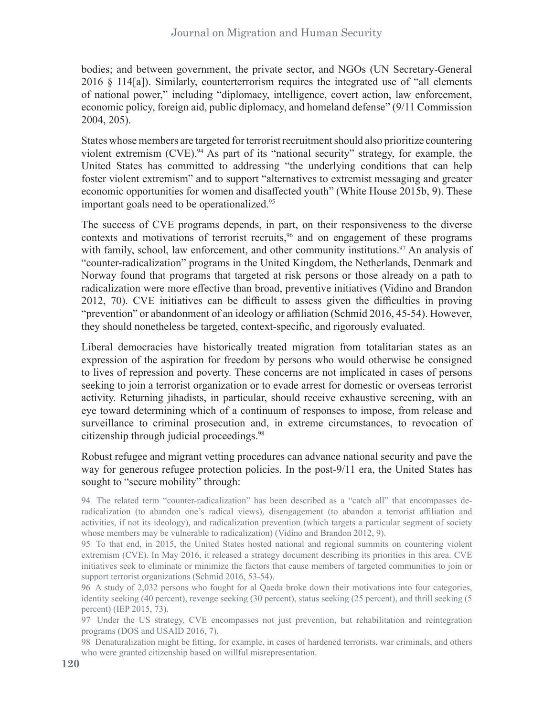bodies; and between government, the private sector, and NGOs (UN Secretary-General 2016 § 114[a]). Similarly, counterterrorism requires the integrated use of "all elements of national power," including "diplomacy, intelligence, covert action, law enforcement, economic policy, foreign aid, public diplomacy, and homeland defense" (9/11 Commission 2004, 205).

States whose members are targeted for terrorist recruitment should also prioritize countering violent extremism (CVE).94 As part of its "national security" strategy, for example, the United States has committed to addressing "the underlying conditions that can help foster violent extremism" and to support "alternatives to extremist messaging and greater economic opportunities for women and disaffected youth" (White House 2015b, 9). These important goals need to be operationalized.95

The success of CVE programs depends, in part, on their responsiveness to the diverse contexts and motivations of terrorist recruits,<sup>96</sup> and on engagement of these programs with family, school, law enforcement, and other community institutions.<sup>97</sup> An analysis of "counter-radicalization" programs in the United Kingdom, the Netherlands, Denmark and Norway found that programs that targeted at risk persons or those already on a path to radicalization were more effective than broad, preventive initiatives (Vidino and Brandon 2012, 70). CVE initiatives can be difficult to assess given the difficulties in proving "prevention" or abandonment of an ideology or affiliation (Schmid 2016, 45-54). However, they should nonetheless be targeted, context-specific, and rigorously evaluated.

Liberal democracies have historically treated migration from totalitarian states as an expression of the aspiration for freedom by persons who would otherwise be consigned to lives of repression and poverty. These concerns are not implicated in cases of persons seeking to join a terrorist organization or to evade arrest for domestic or overseas terrorist activity. Returning jihadists, in particular, should receive exhaustive screening, with an eye toward determining which of a continuum of responses to impose, from release and surveillance to criminal prosecution and, in extreme circumstances, to revocation of citizenship through judicial proceedings.98

Robust refugee and migrant vetting procedures can advance national security and pave the way for generous refugee protection policies. In the post-9/11 era, the United States has sought to "secure mobility" through:

94 The related term "counter-radicalization" has been described as a "catch all" that encompasses deradicalization (to abandon one's radical views), disengagement (to abandon a terrorist affiliation and activities, if not its ideology), and radicalization prevention (which targets a particular segment of society whose members may be vulnerable to radicalization) (Vidino and Brandon 2012, 9).

95 To that end, in 2015, the United States hosted national and regional summits on countering violent extremism (CVE). In May 2016, it released a strategy document describing its priorities in this area. CVE initiatives seek to eliminate or minimize the factors that cause members of targeted communities to join or support terrorist organizations (Schmid 2016, 53-54).

96 A study of 2,032 persons who fought for al Qaeda broke down their motivations into four categories, identity seeking (40 percent), revenge seeking (30 percent), status seeking (25 percent), and thrill seeking (5 percent) (IEP 2015, 73).

97   Under the US strategy, CVE encompasses not just prevention, but rehabilitation and reintegration programs (DOS and USAID 2016, 7).

98   Denaturalization might be fitting, for example, in cases of hardened terrorists, war criminals, and others who were granted citizenship based on willful misrepresentation.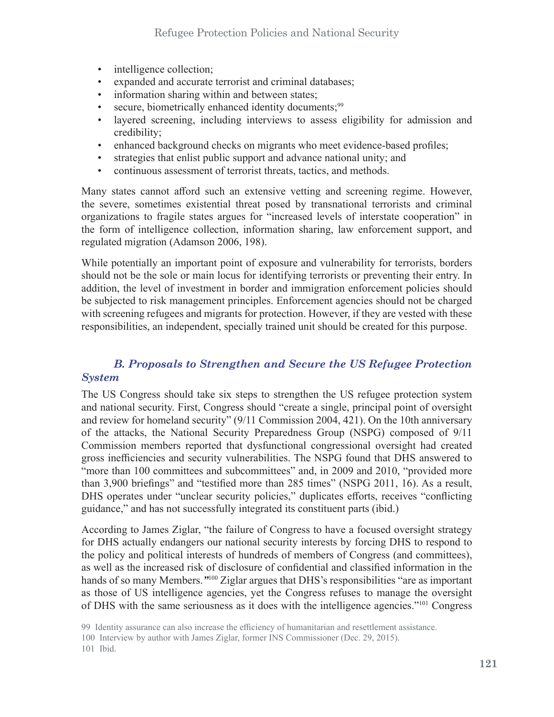- intelligence collection;
- expanded and accurate terrorist and criminal databases;
- information sharing within and between states;
- secure, biometrically enhanced identity documents;<sup>99</sup>
- layered screening, including interviews to assess eligibility for admission and credibility;
- enhanced background checks on migrants who meet evidence-based profiles;
- strategies that enlist public support and advance national unity; and
- continuous assessment of terrorist threats, tactics, and methods.

Many states cannot afford such an extensive vetting and screening regime. However, the severe, sometimes existential threat posed by transnational terrorists and criminal organizations to fragile states argues for "increased levels of interstate cooperation" in the form of intelligence collection, information sharing, law enforcement support, and regulated migration (Adamson 2006, 198).

While potentially an important point of exposure and vulnerability for terrorists, borders should not be the sole or main locus for identifying terrorists or preventing their entry. In addition, the level of investment in border and immigration enforcement policies should be subjected to risk management principles. Enforcement agencies should not be charged with screening refugees and migrants for protection. However, if they are vested with these responsibilities, an independent, specially trained unit should be created for this purpose.

#### *B. Proposals to Strengthen and Secure the US Refugee Protection System*

The US Congress should take six steps to strengthen the US refugee protection system and national security. First, Congress should "create a single, principal point of oversight and review for homeland security" (9/11 Commission 2004, 421). On the 10th anniversary of the attacks, the National Security Preparedness Group (NSPG) composed of 9/11 Commission members reported that dysfunctional congressional oversight had created gross inefficiencies and security vulnerabilities. The NSPG found that DHS answered to "more than 100 committees and subcommittees" and, in 2009 and 2010, "provided more than 3,900 briefings" and "testified more than 285 times" (NSPG 2011, 16). As a result, DHS operates under "unclear security policies," duplicates efforts, receives "conflicting guidance," and has not successfully integrated its constituent parts (ibid.)

According to James Ziglar, "the failure of Congress to have a focused oversight strategy for DHS actually endangers our national security interests by forcing DHS to respond to the policy and political interests of hundreds of members of Congress (and committees), as well as the increased risk of disclosure of confidential and classified information in the hands of so many Members.*"*<sup>100</sup> Ziglar argues that DHS's responsibilities "are as important as those of US intelligence agencies, yet the Congress refuses to manage the oversight of DHS with the same seriousness as it does with the intelligence agencies."101 Congress

<sup>99</sup> Identity assurance can also increase the efficiency of humanitarian and resettlement assistance.

<sup>100</sup> Interview by author with James Ziglar, former INS Commissioner (Dec. 29, 2015).

<sup>101</sup> Ibid.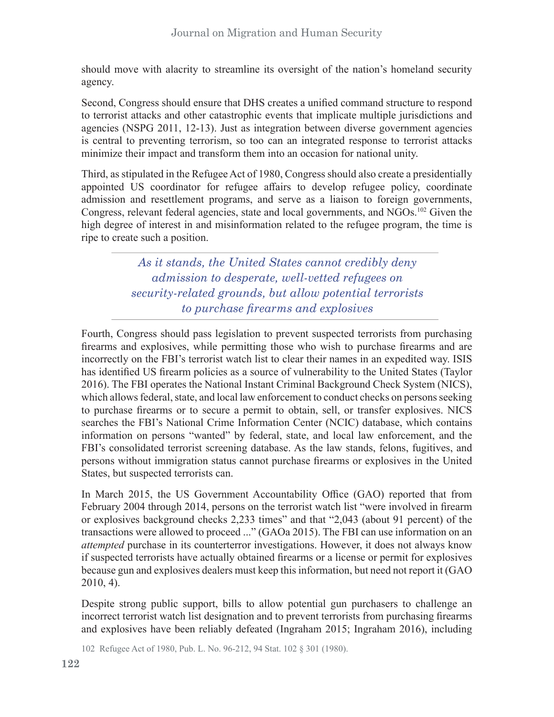should move with alacrity to streamline its oversight of the nation's homeland security agency.

Second, Congress should ensure that DHS creates a unified command structure to respond to terrorist attacks and other catastrophic events that implicate multiple jurisdictions and agencies (NSPG 2011, 12-13). Just as integration between diverse government agencies is central to preventing terrorism, so too can an integrated response to terrorist attacks minimize their impact and transform them into an occasion for national unity.

Third, as stipulated in the Refugee Act of 1980, Congress should also create a presidentially appointed US coordinator for refugee affairs to develop refugee policy, coordinate admission and resettlement programs, and serve as a liaison to foreign governments, Congress, relevant federal agencies, state and local governments, and NGOs.<sup>102</sup> Given the high degree of interest in and misinformation related to the refugee program, the time is ripe to create such a position.

> *As it stands, the United States cannot credibly deny admission to desperate, well-vetted refugees on security-related grounds, but allow potential terrorists to purchase firearms and explosives*

Fourth, Congress should pass legislation to prevent suspected terrorists from purchasing firearms and explosives, while permitting those who wish to purchase firearms and are incorrectly on the FBI's terrorist watch list to clear their names in an expedited way. ISIS has identified US firearm policies as a source of vulnerability to the United States (Taylor 2016). The FBI operates the National Instant Criminal Background Check System (NICS), which allows federal, state, and local law enforcement to conduct checks on persons seeking to purchase firearms or to secure a permit to obtain, sell, or transfer explosives. NICS searches the FBI's National Crime Information Center (NCIC) database, which contains information on persons "wanted" by federal, state, and local law enforcement, and the FBI's consolidated terrorist screening database. As the law stands, felons, fugitives, and persons without immigration status cannot purchase firearms or explosives in the United States, but suspected terrorists can.

In March 2015, the US Government Accountability Office (GAO) reported that from February 2004 through 2014, persons on the terrorist watch list "were involved in firearm or explosives background checks 2,233 times" and that "2,043 (about 91 percent) of the transactions were allowed to proceed ..." (GAOa 2015). The FBI can use information on an *attempted* purchase in its counterterror investigations. However, it does not always know if suspected terrorists have actually obtained firearms or a license or permit for explosives because gun and explosives dealers must keep this information, but need not report it (GAO 2010, 4).

Despite strong public support, bills to allow potential gun purchasers to challenge an incorrect terrorist watch list designation and to prevent terrorists from purchasing firearms and explosives have been reliably defeated (Ingraham 2015; Ingraham 2016), including

<sup>102</sup> Refugee Act of 1980, Pub. L. No. 96-212, 94 Stat. 102 § 301 (1980).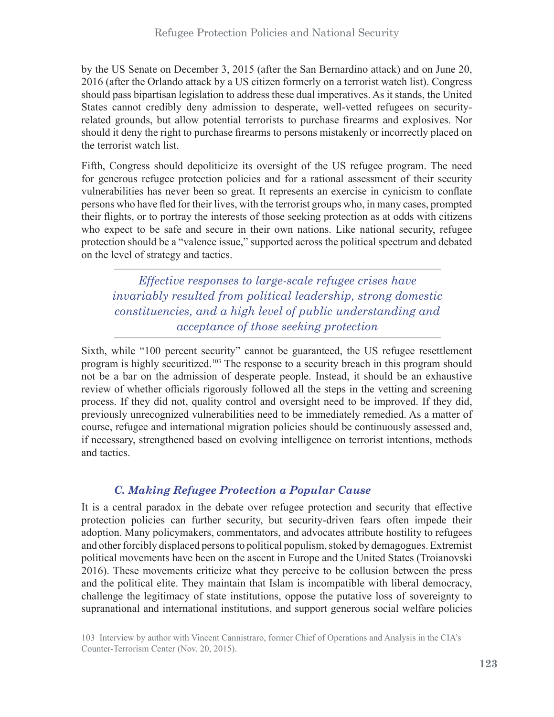by the US Senate on December 3, 2015 (after the San Bernardino attack) and on June 20, 2016 (after the Orlando attack by a US citizen formerly on a terrorist watch list). Congress should pass bipartisan legislation to address these dual imperatives. As it stands, the United States cannot credibly deny admission to desperate, well-vetted refugees on securityrelated grounds, but allow potential terrorists to purchase firearms and explosives. Nor should it deny the right to purchase firearms to persons mistakenly or incorrectly placed on the terrorist watch list.

Fifth, Congress should depoliticize its oversight of the US refugee program. The need for generous refugee protection policies and for a rational assessment of their security vulnerabilities has never been so great. It represents an exercise in cynicism to conflate persons who have fled for their lives, with the terrorist groups who, in many cases, prompted their flights, or to portray the interests of those seeking protection as at odds with citizens who expect to be safe and secure in their own nations. Like national security, refugee protection should be a "valence issue," supported across the political spectrum and debated on the level of strategy and tactics.

*Effective responses to large-scale refugee crises have invariably resulted from political leadership, strong domestic constituencies, and a high level of public understanding and acceptance of those seeking protection*

Sixth, while "100 percent security" cannot be guaranteed, the US refugee resettlement program is highly securitized.103 The response to a security breach in this program should not be a bar on the admission of desperate people. Instead, it should be an exhaustive review of whether officials rigorously followed all the steps in the vetting and screening process. If they did not, quality control and oversight need to be improved. If they did, previously unrecognized vulnerabilities need to be immediately remedied. As a matter of course, refugee and international migration policies should be continuously assessed and, if necessary, strengthened based on evolving intelligence on terrorist intentions, methods and tactics.

#### *C. Making Refugee Protection a Popular Cause*

It is a central paradox in the debate over refugee protection and security that effective protection policies can further security, but security-driven fears often impede their adoption. Many policymakers, commentators, and advocates attribute hostility to refugees and other forcibly displaced persons to political populism, stoked by demagogues. Extremist political movements have been on the ascent in Europe and the United States (Troianovski 2016). These movements criticize what they perceive to be collusion between the press and the political elite. They maintain that Islam is incompatible with liberal democracy, challenge the legitimacy of state institutions, oppose the putative loss of sovereignty to supranational and international institutions, and support generous social welfare policies

103 Interview by author with Vincent Cannistraro, former Chief of Operations and Analysis in the CIA's Counter-Terrorism Center (Nov. 20, 2015).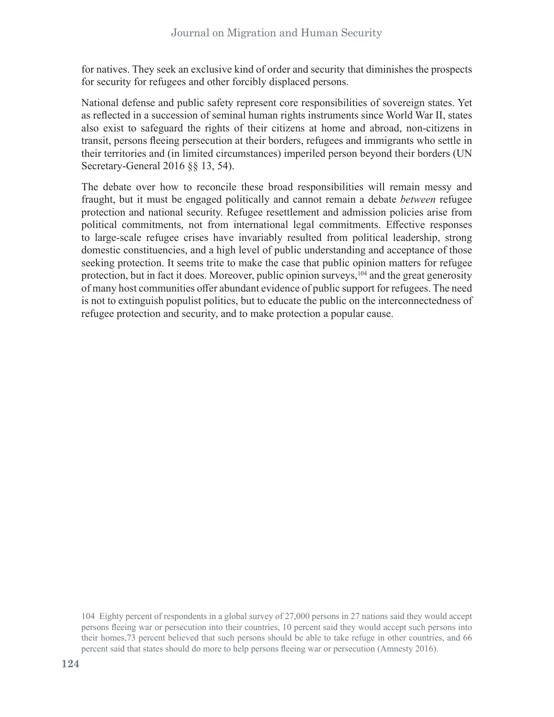for natives. They seek an exclusive kind of order and security that diminishes the prospects for security for refugees and other forcibly displaced persons.

National defense and public safety represent core responsibilities of sovereign states. Yet as reflected in a succession of seminal human rights instruments since World War II, states also exist to safeguard the rights of their citizens at home and abroad, non-citizens in transit, persons fleeing persecution at their borders, refugees and immigrants who settle in their territories and (in limited circumstances) imperiled person beyond their borders (UN Secretary-General 2016 §§ 13, 54).

The debate over how to reconcile these broad responsibilities will remain messy and fraught, but it must be engaged politically and cannot remain a debate *between* refugee protection and national security. Refugee resettlement and admission policies arise from political commitments, not from international legal commitments. Effective responses to large-scale refugee crises have invariably resulted from political leadership, strong domestic constituencies, and a high level of public understanding and acceptance of those seeking protection. It seems trite to make the case that public opinion matters for refugee protection, but in fact it does. Moreover, public opinion surveys,<sup>104</sup> and the great generosity of many host communities offer abundant evidence of public support for refugees. The need is not to extinguish populist politics, but to educate the public on the interconnectedness of refugee protection and security, and to make protection a popular cause.

104   Eighty percent of respondents in a global survey of 27,000 persons in 27 nations said they would accept persons fleeing war or persecution into their countries, 10 percent said they would accept such persons into their homes,73 percent believed that such persons should be able to take refuge in other countries, and 66 percent said that states should do more to help persons fleeing war or persecution (Amnesty 2016).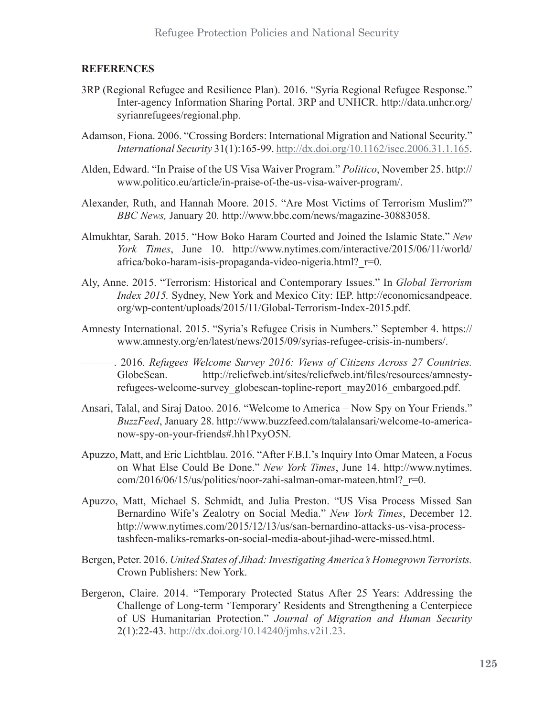#### **REFERENCES**

- 3RP (Regional Refugee and Resilience Plan). 2016. "Syria Regional Refugee Response." Inter-agency Information Sharing Portal. 3RP and UNHCR. http://data.unhcr.org/ syrianrefugees/regional.php.
- Adamson, Fiona. 2006. "Crossing Borders: International Migration and National Security." *International Security* 31(1):165-99. http://dx.doi.org/10.1162/isec.2006.31.1.165.
- Alden, Edward. "In Praise of the US Visa Waiver Program." *Politico*, November 25. http:// www.politico.eu/article/in-praise-of-the-us-visa-waiver-program/.
- Alexander, Ruth, and Hannah Moore. 2015. "Are Most Victims of Terrorism Muslim?" *BBC News,* January 20*.* http://www.bbc.com/news/magazine-30883058.
- Almukhtar, Sarah. 2015. "How Boko Haram Courted and Joined the Islamic State." *New York Times*, June 10. http://www.nytimes.com/interactive/2015/06/11/world/ africa/boko-haram-isis-propaganda-video-nigeria.html?\_r=0.
- Aly, Anne. 2015. "Terrorism: Historical and Contemporary Issues." In *Global Terrorism Index 2015.* Sydney, New York and Mexico City: IEP. http://economicsandpeace. org/wp-content/uploads/2015/11/Global-Terrorism-Index-2015.pdf.
- Amnesty International. 2015. "Syria's Refugee Crisis in Numbers." September 4. https:// www.amnesty.org/en/latest/news/2015/09/syrias-refugee-crisis-in-numbers/.
- ———. 2016. *Refugees Welcome Survey 2016: Views of Citizens Across 27 Countries.*  GlobeScan. http://reliefweb.int/sites/reliefweb.int/files/resources/amnestyrefugees-welcome-survey\_globescan-topline-report\_may2016\_embargoed.pdf.
- Ansari, Talal, and Siraj Datoo. 2016. "Welcome to America Now Spy on Your Friends." *BuzzFeed*, January 28. http://www.buzzfeed.com/talalansari/welcome-to-americanow-spy-on-your-friends#.hh1PxyO5N.
- Apuzzo, Matt, and Eric Lichtblau. 2016. "After F.B.I.'s Inquiry Into Omar Mateen, a Focus on What Else Could Be Done." *New York Times*, June 14. http://www.nytimes. com/2016/06/15/us/politics/noor-zahi-salman-omar-mateen.html? r=0.
- Apuzzo, Matt, Michael S. Schmidt, and Julia Preston. "US Visa Process Missed San Bernardino Wife's Zealotry on Social Media." *New York Times*, December 12. http://www.nytimes.com/2015/12/13/us/san-bernardino-attacks-us-visa-processtashfeen-maliks-remarks-on-social-media-about-jihad-were-missed.html.
- Bergen, Peter. 2016. *United States of Jihad: Investigating America's Homegrown Terrorists.*  Crown Publishers: New York.
- Bergeron, Claire. 2014. "Temporary Protected Status After 25 Years: Addressing the Challenge of Long-term 'Temporary' Residents and Strengthening a Centerpiece of US Humanitarian Protection." *Journal of Migration and Human Security*  2(1):22-43. http://dx.doi.org/10.14240/jmhs.v2i1.23.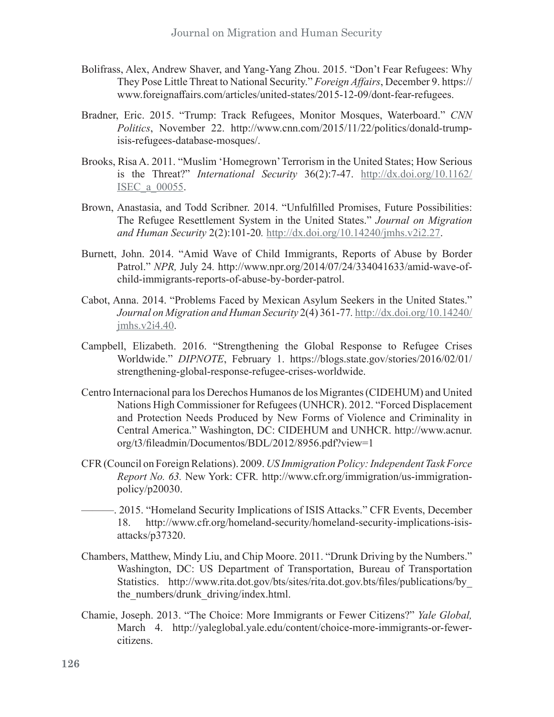- Bolifrass, Alex, Andrew Shaver, and Yang-Yang Zhou. 2015. "Don't Fear Refugees: Why They Pose Little Threat to National Security." *Foreign Affairs*, December 9. https:// www.foreignaffairs.com/articles/united-states/2015-12-09/dont-fear-refugees.
- Bradner, Eric. 2015. "Trump: Track Refugees, Monitor Mosques, Waterboard." *CNN Politics*, November 22. http://www.cnn.com/2015/11/22/politics/donald-trumpisis-refugees-database-mosques/.
- Brooks, Risa A. 2011. "Muslim 'Homegrown' Terrorism in the United States; How Serious is the Threat?" *International Security* 36(2):7-47. http://dx.doi.org/10.1162/ ISEC\_a\_00055.
- Brown, Anastasia, and Todd Scribner. 2014. "Unfulfilled Promises, Future Possibilities: The Refugee Resettlement System in the United States." *Journal on Migration and Human Security* 2(2):101-20*.* http://dx.doi.org/10.14240/jmhs.v2i2.27.
- Burnett, John. 2014. "Amid Wave of Child Immigrants, Reports of Abuse by Border Patrol." *NPR,* July 24*.* http://www.npr.org/2014/07/24/334041633/amid-wave-ofchild-immigrants-reports-of-abuse-by-border-patrol.
- Cabot, Anna. 2014. "Problems Faced by Mexican Asylum Seekers in the United States." *Journal on Migration and Human Security* 2(4) 361-77*.* http://dx.doi.org/10.14240/ jmhs.v2i4.40.
- Campbell, Elizabeth. 2016. "Strengthening the Global Response to Refugee Crises Worldwide." *DIPNOTE*, February 1. https://blogs.state.gov/stories/2016/02/01/ strengthening-global-response-refugee-crises-worldwide.
- Centro Internacional para los Derechos Humanos de los Migrantes (CIDEHUM) and United Nations High Commissioner for Refugees (UNHCR). 2012. "Forced Displacement and Protection Needs Produced by New Forms of Violence and Criminality in Central America." Washington, DC: CIDEHUM and UNHCR. http://www.acnur. org/t3/fileadmin/Documentos/BDL/2012/8956.pdf?view=1
- CFR (Council on Foreign Relations). 2009. *US Immigration Policy: Independent Task Force Report No. 63.* New York: CFR*.* http://www.cfr.org/immigration/us-immigrationpolicy/p20030.
- ———. 2015. "Homeland Security Implications of ISIS Attacks." CFR Events, December 18. http://www.cfr.org/homeland-security/homeland-security-implications-isisattacks/p37320.
- Chambers, Matthew, Mindy Liu, and Chip Moore. 2011. "Drunk Driving by the Numbers." Washington, DC: US Department of Transportation, Bureau of Transportation Statistics. http://www.rita.dot.gov/bts/sites/rita.dot.gov.bts/files/publications/by\_ the numbers/drunk driving/index.html.
- Chamie, Joseph. 2013. "The Choice: More Immigrants or Fewer Citizens?" *Yale Global,*  March 4. http://yaleglobal.yale.edu/content/choice-more-immigrants-or-fewercitizens.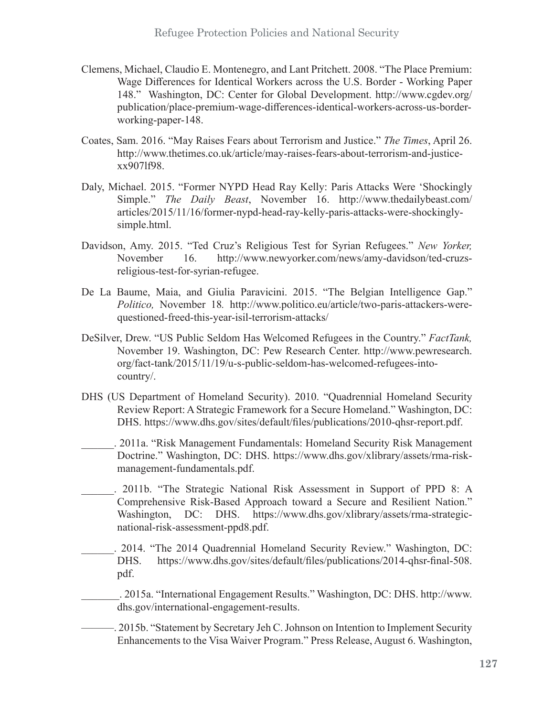- Clemens, Michael, Claudio E. Montenegro, and Lant Pritchett. 2008. "The Place Premium: Wage Differences for Identical Workers across the U.S. Border - Working Paper 148." Washington, DC: Center for Global Development. http://www.cgdev.org/ publication/place-premium-wage-differences-identical-workers-across-us-borderworking-paper-148.
- Coates, Sam. 2016. "May Raises Fears about Terrorism and Justice." *The Times*, April 26. http://www.thetimes.co.uk/article/may-raises-fears-about-terrorism-and-justicexx907lf98.
- Daly, Michael. 2015. "Former NYPD Head Ray Kelly: Paris Attacks Were 'Shockingly Simple." *The Daily Beast*, November 16. http://www.thedailybeast.com/ articles/2015/11/16/former-nypd-head-ray-kelly-paris-attacks-were-shockinglysimple.html.
- Davidson, Amy. 2015. "Ted Cruz's Religious Test for Syrian Refugees." *New Yorker,*  November 16. http://www.newyorker.com/news/amy-davidson/ted-cruzsreligious-test-for-syrian-refugee.
- De La Baume, Maia, and Giulia Paravicini. 2015. "The Belgian Intelligence Gap." *Politico,* November 18*.* http://www.politico.eu/article/two-paris-attackers-werequestioned-freed-this-year-isil-terrorism-attacks/
- DeSilver, Drew. "US Public Seldom Has Welcomed Refugees in the Country." *FactTank,*  November 19. Washington, DC: Pew Research Center. http://www.pewresearch. org/fact-tank/2015/11/19/u-s-public-seldom-has-welcomed-refugees-intocountry/.
- DHS (US Department of Homeland Security). 2010. "Quadrennial Homeland Security Review Report: A Strategic Framework for a Secure Homeland." Washington, DC: DHS. https://www.dhs.gov/sites/default/files/publications/2010-qhsr-report.pdf.
	- \_\_\_\_\_\_. 2011a. "Risk Management Fundamentals: Homeland Security Risk Management Doctrine." Washington, DC: DHS. https://www.dhs.gov/xlibrary/assets/rma-riskmanagement-fundamentals.pdf.
- \_\_\_\_\_\_. 2011b. "The Strategic National Risk Assessment in Support of PPD 8: A Comprehensive Risk-Based Approach toward a Secure and Resilient Nation." Washington, DC: DHS. https://www.dhs.gov/xlibrary/assets/rma-strategicnational-risk-assessment-ppd8.pdf.
	- \_\_\_\_\_\_. 2014. "The 2014 Quadrennial Homeland Security Review." Washington, DC: DHS. https://www.dhs.gov/sites/default/files/publications/2014-qhsr-final-508. pdf.
- \_\_\_\_\_\_\_. 2015a. "International Engagement Results." Washington, DC: DHS. http://www. dhs.gov/international-engagement-results.
- ———. 2015b. "Statement by Secretary Jeh C. Johnson on Intention to Implement Security Enhancements to the Visa Waiver Program." Press Release, August 6. Washington,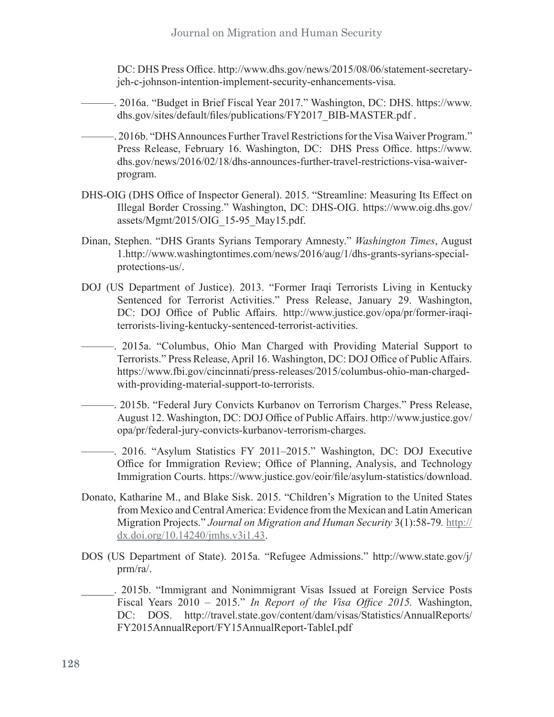DC: DHS Press Office. http://www.dhs.gov/news/2015/08/06/statement-secretaryjeh-c-johnson-intention-implement-security-enhancements-visa.

- ———. 2016a. "Budget in Brief Fiscal Year 2017." Washington, DC: DHS. https://www. dhs.gov/sites/default/files/publications/FY2017\_BIB-MASTER.pdf .
- ———. 2016b. "DHS Announces Further Travel Restrictions for the Visa Waiver Program." Press Release, February 16. Washington, DC: DHS Press Office. https://www. dhs.gov/news/2016/02/18/dhs-announces-further-travel-restrictions-visa-waiverprogram.
- DHS-OIG (DHS Office of Inspector General). 2015. "Streamline: Measuring Its Effect on Illegal Border Crossing." Washington, DC: DHS-OIG. https://www.oig.dhs.gov/ assets/Mgmt/2015/OIG\_15-95\_May15.pdf.
- Dinan, Stephen. "DHS Grants Syrians Temporary Amnesty." *Washington Times*, August 1.http://www.washingtontimes.com/news/2016/aug/1/dhs-grants-syrians-specialprotections-us/.
- DOJ (US Department of Justice). 2013. "Former Iraqi Terrorists Living in Kentucky Sentenced for Terrorist Activities." Press Release, January 29. Washington, DC: DOJ Office of Public Affairs. http://www.justice.gov/opa/pr/former-iraqiterrorists-living-kentucky-sentenced-terrorist-activities.
- ———. 2015a. "Columbus, Ohio Man Charged with Providing Material Support to Terrorists." Press Release, April 16. Washington, DC: DOJ Office of Public Affairs. https://www.fbi.gov/cincinnati/press-releases/2015/columbus-ohio-man-chargedwith-providing-material-support-to-terrorists.
- ———. 2015b. "Federal Jury Convicts Kurbanov on Terrorism Charges." Press Release, August 12. Washington, DC: DOJ Office of Public Affairs. http://www.justice.gov/ opa/pr/federal-jury-convicts-kurbanov-terrorism-charges.
- ———. 2016. "Asylum Statistics FY 2011–2015." Washington, DC: DOJ Executive Office for Immigration Review; Office of Planning, Analysis, and Technology Immigration Courts. https://www.justice.gov/eoir/file/asylum-statistics/download.
- Donato, Katharine M., and Blake Sisk. 2015. "Children's Migration to the United States from Mexico and Central America: Evidence from the Mexican and Latin American Migration Projects." *Journal on Migration and Human Security* 3(1):58-79*.* http:// dx.doi.org/10.14240/jmhs.v3i1.43.
- DOS (US Department of State). 2015a. "Refugee Admissions." http://www.state.gov/j/ prm/ra/.
- \_\_\_\_\_\_. 2015b. "Immigrant and Nonimmigrant Visas Issued at Foreign Service Posts Fiscal Years 2010 – 2015." *In Report of the Visa Office 2015.* Washington, DC: DOS. http://travel.state.gov/content/dam/visas/Statistics/AnnualReports/ FY2015AnnualReport/FY15AnnualReport-TableI.pdf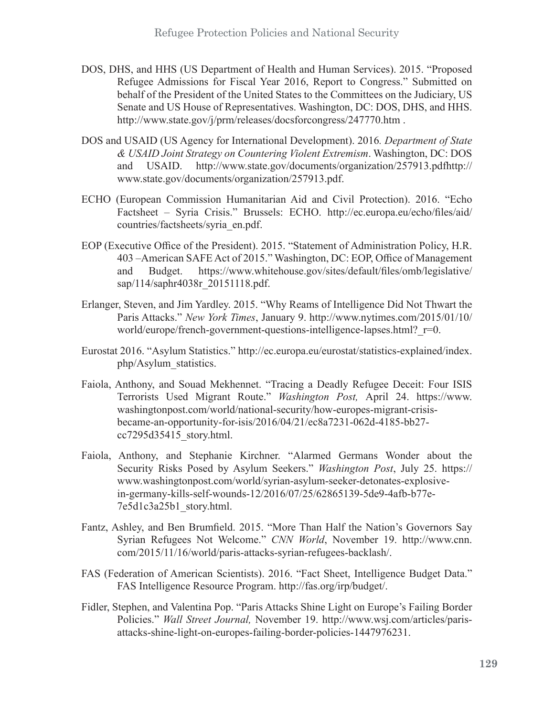- DOS, DHS, and HHS (US Department of Health and Human Services). 2015. "Proposed Refugee Admissions for Fiscal Year 2016, Report to Congress." Submitted on behalf of the President of the United States to the Committees on the Judiciary, US Senate and US House of Representatives. Washington, DC: DOS, DHS, and HHS. http://www.state.gov/j/prm/releases/docsforcongress/247770.htm .
- DOS and USAID (US Agency for International Development). 2016*. Department of State & USAID Joint Strategy on Countering Violent Extremism*. Washington, DC: DOS and USAID. http://www.state.gov/documents/organization/257913.pdfhttp:// www.state.gov/documents/organization/257913.pdf.
- ECHO (European Commission Humanitarian Aid and Civil Protection). 2016. "Echo Factsheet – Syria Crisis." Brussels: ECHO. http://ec.europa.eu/echo/files/aid/ countries/factsheets/syria\_en.pdf.
- EOP (Executive Office of the President). 2015. "Statement of Administration Policy, H.R. 403 –American SAFE Act of 2015." Washington, DC: EOP, Office of Management and Budget. https://www.whitehouse.gov/sites/default/files/omb/legislative/ sap/114/saphr4038r\_20151118.pdf.
- Erlanger, Steven, and Jim Yardley. 2015. "Why Reams of Intelligence Did Not Thwart the Paris Attacks." *New York Times*, January 9. http://www.nytimes.com/2015/01/10/ world/europe/french-government-questions-intelligence-lapses.html? r=0.
- Eurostat 2016. "Asylum Statistics." http://ec.europa.eu/eurostat/statistics-explained/index. php/Asylum\_statistics.
- Faiola, Anthony, and Souad Mekhennet. "Tracing a Deadly Refugee Deceit: Four ISIS Terrorists Used Migrant Route." *Washington Post,* April 24. https://www. washingtonpost.com/world/national-security/how-europes-migrant-crisisbecame-an-opportunity-for-isis/2016/04/21/ec8a7231-062d-4185-bb27 cc7295d35415\_story.html.
- Faiola, Anthony, and Stephanie Kirchner. "Alarmed Germans Wonder about the Security Risks Posed by Asylum Seekers." *Washington Post*, July 25. https:// www.washingtonpost.com/world/syrian-asylum-seeker-detonates-explosivein-germany-kills-self-wounds-12/2016/07/25/62865139-5de9-4afb-b77e-7e5d1c3a25b1\_story.html.
- Fantz, Ashley, and Ben Brumfield. 2015. "More Than Half the Nation's Governors Say Syrian Refugees Not Welcome." *CNN World*, November 19. http://www.cnn. com/2015/11/16/world/paris-attacks-syrian-refugees-backlash/.
- FAS (Federation of American Scientists). 2016. "Fact Sheet, Intelligence Budget Data." FAS Intelligence Resource Program. http://fas.org/irp/budget/.
- Fidler, Stephen, and Valentina Pop. "Paris Attacks Shine Light on Europe's Failing Border Policies." *Wall Street Journal,* November 19. http://www.wsj.com/articles/parisattacks-shine-light-on-europes-failing-border-policies-1447976231.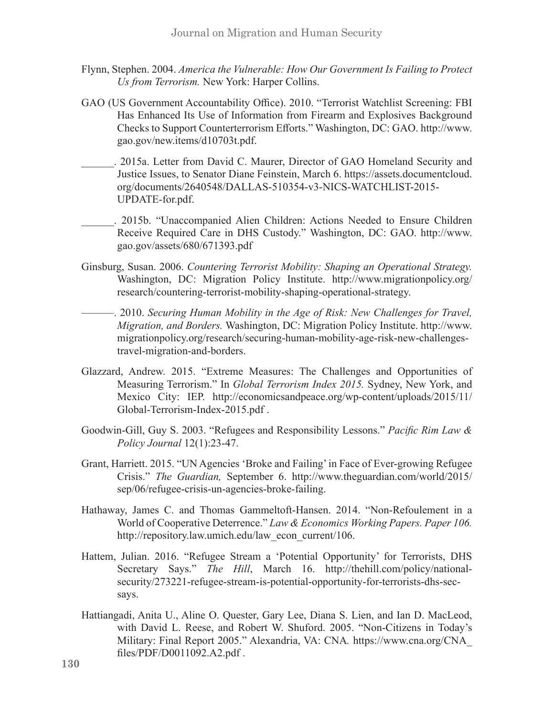- Flynn, Stephen. 2004. *America the Vulnerable: How Our Government Is Failing to Protect Us from Terrorism.* New York: Harper Collins.
- GAO (US Government Accountability Office). 2010. "Terrorist Watchlist Screening: FBI Has Enhanced Its Use of Information from Firearm and Explosives Background Checks to Support Counterterrorism Efforts." Washington, DC: GAO. http://www. gao.gov/new.items/d10703t.pdf.
- . 2015a. Letter from David C. Maurer, Director of GAO Homeland Security and Justice Issues, to Senator Diane Feinstein, March 6. https://assets.documentcloud. org/documents/2640548/DALLAS-510354-v3-NICS-WATCHLIST-2015- UPDATE-for.pdf.
- \_\_\_\_\_\_. 2015b. "Unaccompanied Alien Children: Actions Needed to Ensure Children Receive Required Care in DHS Custody." Washington, DC: GAO. http://www. gao.gov/assets/680/671393.pdf
- Ginsburg, Susan. 2006. *Countering Terrorist Mobility: Shaping an Operational Strategy.*  Washington, DC: Migration Policy Institute. http://www.migrationpolicy.org/ research/countering-terrorist-mobility-shaping-operational-strategy.
	- ———. 2010. *Securing Human Mobility in the Age of Risk: New Challenges for Travel, Migration, and Borders.* Washington, DC: Migration Policy Institute. http://www. migrationpolicy.org/research/securing-human-mobility-age-risk-new-challengestravel-migration-and-borders.
- Glazzard, Andrew. 2015. "Extreme Measures: The Challenges and Opportunities of Measuring Terrorism." In *Global Terrorism Index 2015.* Sydney, New York, and Mexico City: IEP. http://economicsandpeace.org/wp-content/uploads/2015/11/ Global-Terrorism-Index-2015.pdf .
- Goodwin-Gill, Guy S. 2003. "Refugees and Responsibility Lessons." *Pacific Rim Law & Policy Journal* 12(1):23-47.
- Grant, Harriett. 2015. "UN Agencies 'Broke and Failing' in Face of Ever-growing Refugee Crisis." *The Guardian,* September 6. http://www.theguardian.com/world/2015/ sep/06/refugee-crisis-un-agencies-broke-failing.
- Hathaway, James C. and Thomas Gammeltoft-Hansen. 2014. "Non-Refoulement in a World of Cooperative Deterrence." *Law & Economics Working Papers. Paper 106.* http://repository.law.umich.edu/law\_econ\_current/106.
- Hattem, Julian. 2016. "Refugee Stream a 'Potential Opportunity' for Terrorists, DHS Secretary Says." *The Hill*, March 16. http://thehill.com/policy/nationalsecurity/273221-refugee-stream-is-potential-opportunity-for-terrorists-dhs-secsays.
- Hattiangadi, Anita U., Aline O. Quester, Gary Lee, Diana S. Lien, and Ian D. MacLeod, with David L. Reese, and Robert W. Shuford. 2005. "Non-Citizens in Today's Military: Final Report 2005." Alexandria, VA: CNA*.* https://www.cna.org/CNA\_ files/PDF/D0011092.A2.pdf .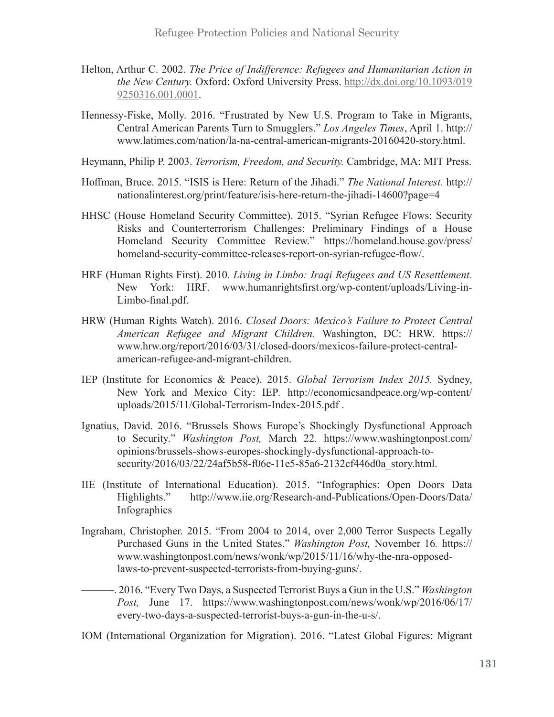- Helton, Arthur C. 2002. *The Price of Indifference: Refugees and Humanitarian Action in the New Century.* Oxford: Oxford University Press. http://dx.doi.org/10.1093/019 9250316.001.0001.
- Hennessy-Fiske, Molly. 2016. "Frustrated by New U.S. Program to Take in Migrants, Central American Parents Turn to Smugglers." *Los Angeles Times*, April 1. http:// www.latimes.com/nation/la-na-central-american-migrants-20160420-story.html.
- Heymann, Philip P. 2003. *Terrorism, Freedom, and Security.* Cambridge, MA: MIT Press.
- Hoffman, Bruce. 2015. "ISIS is Here: Return of the Jihadi." *The National Interest.* http:// nationalinterest.org/print/feature/isis-here-return-the-jihadi-14600?page=4
- HHSC (House Homeland Security Committee). 2015. "Syrian Refugee Flows: Security Risks and Counterterrorism Challenges: Preliminary Findings of a House Homeland Security Committee Review." https://homeland.house.gov/press/ homeland-security-committee-releases-report-on-syrian-refugee-flow/.
- HRF (Human Rights First). 2010. *Living in Limbo: Iraqi Refugees and US Resettlement.*  New York: HRF. www.humanrightsfirst.org/wp-content/uploads/Living-in-Limbo-final.pdf.
- HRW (Human Rights Watch). 2016. *Closed Doors: Mexico's Failure to Protect Central American Refugee and Migrant Children.* Washington, DC: HRW. https:// www.hrw.org/report/2016/03/31/closed-doors/mexicos-failure-protect-centralamerican-refugee-and-migrant-children.
- IEP (Institute for Economics & Peace). 2015. *Global Terrorism Index 2015.* Sydney, New York and Mexico City: IEP*.* http://economicsandpeace.org/wp-content/ uploads/2015/11/Global-Terrorism-Index-2015.pdf .
- Ignatius, David. 2016. "Brussels Shows Europe's Shockingly Dysfunctional Approach to Security." *Washington Post,* March 22. https://www.washingtonpost.com/ opinions/brussels-shows-europes-shockingly-dysfunctional-approach-tosecurity/2016/03/22/24af5b58-f06e-11e5-85a6-2132cf446d0a\_story.html.
- IIE (Institute of International Education). 2015. "Infographics: Open Doors Data Highlights." http://www.iie.org/Research-and-Publications/Open-Doors/Data/ Infographics
- Ingraham, Christopher. 2015. "From 2004 to 2014, over 2,000 Terror Suspects Legally Purchased Guns in the United States." *Washington Post,* November 16*.* https:// www.washingtonpost.com/news/wonk/wp/2015/11/16/why-the-nra-opposedlaws-to-prevent-suspected-terrorists-from-buying-guns/.
- ———. 2016. "Every Two Days, a Suspected Terrorist Buys a Gun in the U.S." *Washington Post,* June 17. https://www.washingtonpost.com/news/wonk/wp/2016/06/17/ every-two-days-a-suspected-terrorist-buys-a-gun-in-the-u-s/.
- IOM (International Organization for Migration). 2016. "Latest Global Figures: Migrant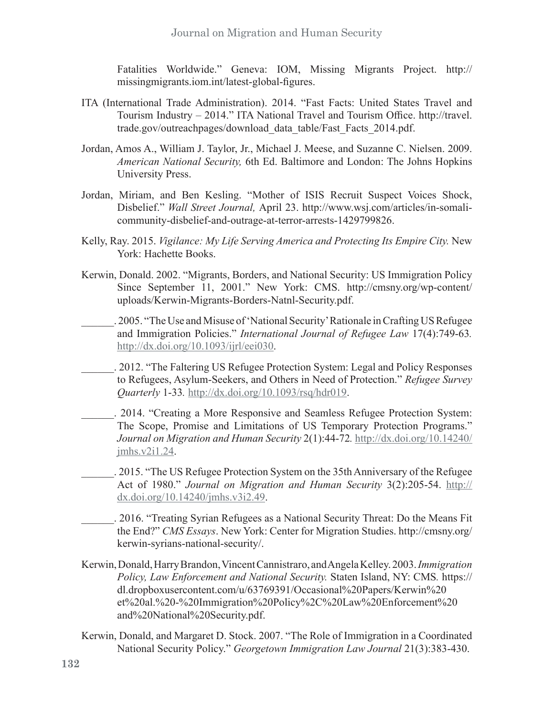Fatalities Worldwide." Geneva: IOM, Missing Migrants Project. http:// missingmigrants.iom.int/latest-global-figures.

- ITA (International Trade Administration). 2014. "Fast Facts: United States Travel and Tourism Industry – 2014." ITA National Travel and Tourism Office. http://travel. trade.gov/outreachpages/download\_data\_table/Fast\_Facts\_2014.pdf.
- Jordan, Amos A., William J. Taylor, Jr., Michael J. Meese, and Suzanne C. Nielsen. 2009. *American National Security,* 6th Ed. Baltimore and London: The Johns Hopkins University Press.
- Jordan, Miriam, and Ben Kesling. "Mother of ISIS Recruit Suspect Voices Shock, Disbelief." *Wall Street Journal,* April 23. http://www.wsj.com/articles/in-somalicommunity-disbelief-and-outrage-at-terror-arrests-1429799826.
- Kelly, Ray. 2015. *Vigilance: My Life Serving America and Protecting Its Empire City.* New York: Hachette Books.
- Kerwin, Donald. 2002. "Migrants, Borders, and National Security: US Immigration Policy Since September 11, 2001." New York: CMS. http://cmsny.org/wp-content/ uploads/Kerwin-Migrants-Borders-Natnl-Security.pdf.
- \_\_\_\_\_\_. 2005. "The Use and Misuse of 'National Security' Rationale in Crafting US Refugee and Immigration Policies." *International Journal of Refugee Law* 17(4):749-63*.*  http://dx.doi.org/10.1093/ijrl/eei030.
- . 2012. "The Faltering US Refugee Protection System: Legal and Policy Responses to Refugees, Asylum-Seekers, and Others in Need of Protection." *Refugee Survey Quarterly* 1-33*.* http://dx.doi.org/10.1093/rsq/hdr019.
- \_\_\_\_\_\_. 2014. "Creating a More Responsive and Seamless Refugee Protection System: The Scope, Promise and Limitations of US Temporary Protection Programs." *Journal on Migration and Human Security* 2(1):44-72*.* http://dx.doi.org/10.14240/ jmhs.v2i1.24.
- . 2015. "The US Refugee Protection System on the 35th Anniversary of the Refugee Act of 1980." *Journal on Migration and Human Security* 3(2):205-54. http:// dx.doi.org/10.14240/jmhs.v3i2.49.
- \_\_\_\_\_\_. 2016. "Treating Syrian Refugees as a National Security Threat: Do the Means Fit the End?" *CMS Essays*. New York: Center for Migration Studies. http://cmsny.org/ kerwin-syrians-national-security/.
- Kerwin, Donald, Harry Brandon, Vincent Cannistraro, and Angela Kelley. 2003. *Immigration Policy, Law Enforcement and National Security.* Staten Island, NY: CMS*.* https:// dl.dropboxusercontent.com/u/63769391/Occasional%20Papers/Kerwin%20 et%20al.%20-%20Immigration%20Policy%2C%20Law%20Enforcement%20 and%20National%20Security.pdf.
- Kerwin, Donald, and Margaret D. Stock. 2007. "The Role of Immigration in a Coordinated National Security Policy." *Georgetown Immigration Law Journal* 21(3):383-430.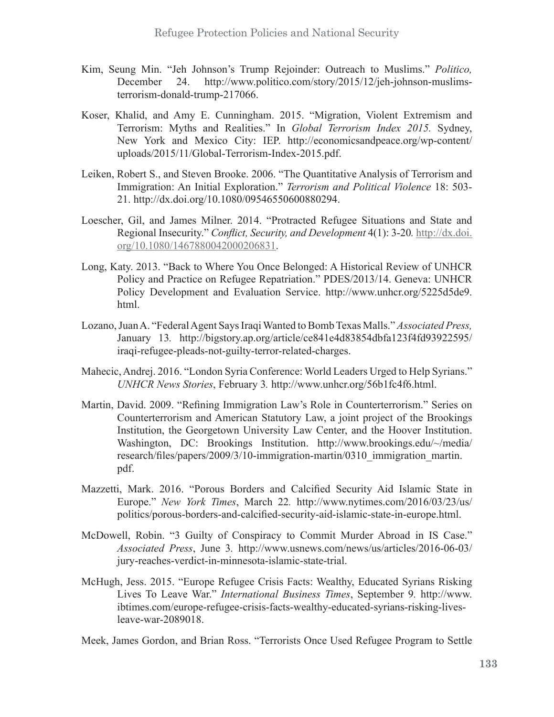- Kim, Seung Min. "Jeh Johnson's Trump Rejoinder: Outreach to Muslims." *Politico,*  December 24. http://www.politico.com/story/2015/12/jeh-johnson-muslimsterrorism-donald-trump-217066.
- Koser, Khalid, and Amy E. Cunningham. 2015. "Migration, Violent Extremism and Terrorism: Myths and Realities." In *Global Terrorism Index 2015.* Sydney, New York and Mexico City: IEP. http://economicsandpeace.org/wp-content/ uploads/2015/11/Global-Terrorism-Index-2015.pdf.
- Leiken, Robert S., and Steven Brooke. 2006. "The Quantitative Analysis of Terrorism and Immigration: An Initial Exploration." *Terrorism and Political Violence* 18: 503- 21. http://dx.doi.org/10.1080/09546550600880294.
- Loescher, Gil, and James Milner. 2014. "Protracted Refugee Situations and State and Regional Insecurity." *Conflict, Security, and Development* 4(1): 3-20*.* http://dx.doi. org/10.1080/1467880042000206831.
- Long, Katy. 2013. "Back to Where You Once Belonged: A Historical Review of UNHCR Policy and Practice on Refugee Repatriation." PDES/2013/14. Geneva: UNHCR Policy Development and Evaluation Service. http://www.unhcr.org/5225d5de9. html.
- Lozano, Juan A. "Federal Agent Says Iraqi Wanted to Bomb Texas Malls." *Associated Press,*  January 13*.* http://bigstory.ap.org/article/ce841e4d83854dbfa123f4fd93922595/ iraqi-refugee-pleads-not-guilty-terror-related-charges.
- Mahecic, Andrej. 2016. "London Syria Conference: World Leaders Urged to Help Syrians." *UNHCR News Stories*, February 3*.* http://www.unhcr.org/56b1fc4f6.html.
- Martin, David. 2009. "Refining Immigration Law's Role in Counterterrorism." Series on Counterterrorism and American Statutory Law, a joint project of the Brookings Institution, the Georgetown University Law Center, and the Hoover Institution. Washington, DC: Brookings Institution. http://www.brookings.edu/~/media/ research/files/papers/2009/3/10-immigration-martin/0310\_immigration\_martin. pdf.
- Mazzetti, Mark. 2016. "Porous Borders and Calcified Security Aid Islamic State in Europe." *New York Times*, March 22*.* http://www.nytimes.com/2016/03/23/us/ politics/porous-borders-and-calcified-security-aid-islamic-state-in-europe.html.
- McDowell, Robin. "3 Guilty of Conspiracy to Commit Murder Abroad in IS Case." *Associated Press*, June 3*.* http://www.usnews.com/news/us/articles/2016-06-03/ jury-reaches-verdict-in-minnesota-islamic-state-trial.
- McHugh, Jess. 2015. "Europe Refugee Crisis Facts: Wealthy, Educated Syrians Risking Lives To Leave War." *International Business Times*, September 9*.* http://www. ibtimes.com/europe-refugee-crisis-facts-wealthy-educated-syrians-risking-livesleave-war-2089018.

Meek, James Gordon, and Brian Ross. "Terrorists Once Used Refugee Program to Settle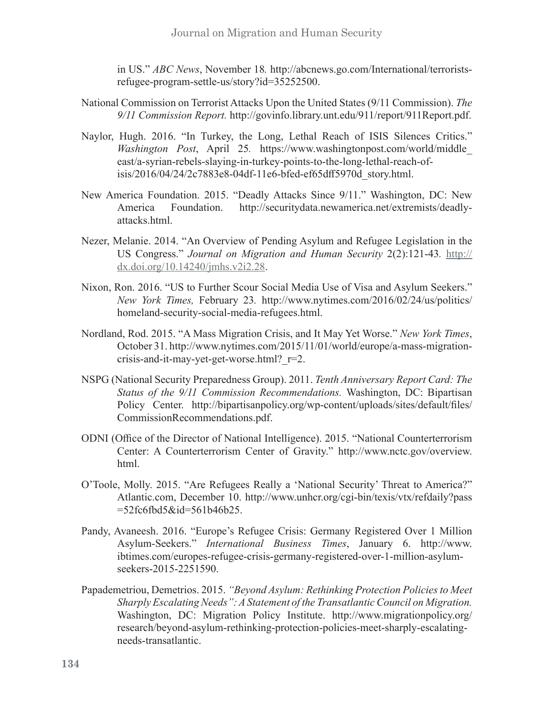in US." *ABC News*, November 18*.* http://abcnews.go.com/International/terroristsrefugee-program-settle-us/story?id=35252500.

- National Commission on Terrorist Attacks Upon the United States (9/11 Commission). *The 9/11 Commission Report.* http://govinfo.library.unt.edu/911/report/911Report.pdf.
- Naylor, Hugh. 2016. "In Turkey, the Long, Lethal Reach of ISIS Silences Critics." *Washington Post*, April 25*.* https://www.washingtonpost.com/world/middle\_ east/a-syrian-rebels-slaying-in-turkey-points-to-the-long-lethal-reach-ofisis/2016/04/24/2c7883e8-04df-11e6-bfed-ef65dff5970d\_story.html.
- New America Foundation. 2015. "Deadly Attacks Since 9/11." Washington, DC: New America Foundation. http://securitydata.newamerica.net/extremists/deadlyattacks.html.
- Nezer, Melanie. 2014. "An Overview of Pending Asylum and Refugee Legislation in the US Congress." *Journal on Migration and Human Security* 2(2):121-43*.* http:// dx.doi.org/10.14240/jmhs.v2i2.28.
- Nixon, Ron. 2016. "US to Further Scour Social Media Use of Visa and Asylum Seekers." *New York Times,* February 23*.* http://www.nytimes.com/2016/02/24/us/politics/ homeland-security-social-media-refugees.html.
- Nordland, Rod. 2015. "A Mass Migration Crisis, and It May Yet Worse." *New York Times*, October 31. http://www.nytimes.com/2015/11/01/world/europe/a-mass-migrationcrisis-and-it-may-yet-get-worse.html?\_r=2.
- NSPG (National Security Preparedness Group). 2011. *Tenth Anniversary Report Card: The Status of the 9/11 Commission Recommendations.* Washington, DC: Bipartisan Policy Center. http://bipartisanpolicy.org/wp-content/uploads/sites/default/files/ CommissionRecommendations.pdf.
- ODNI (Office of the Director of National Intelligence). 2015. "National Counterterrorism Center: A Counterterrorism Center of Gravity." http://www.nctc.gov/overview. html.
- O'Toole, Molly. 2015. "Are Refugees Really a 'National Security' Threat to America?" Atlantic.com, December 10. http://www.unhcr.org/cgi-bin/texis/vtx/refdaily?pass =52fc6fbd5&id=561b46b25.
- Pandy, Avaneesh. 2016. "Europe's Refugee Crisis: Germany Registered Over 1 Million Asylum-Seekers." *International Business Times*, January 6. http://www. ibtimes.com/europes-refugee-crisis-germany-registered-over-1-million-asylumseekers-2015-2251590.
- Papademetriou, Demetrios. 2015. *"Beyond Asylum: Rethinking Protection Policies to Meet Sharply Escalating Needs": A Statement of the Transatlantic Council on Migration.*  Washington, DC: Migration Policy Institute. http://www.migrationpolicy.org/ research/beyond-asylum-rethinking-protection-policies-meet-sharply-escalatingneeds-transatlantic.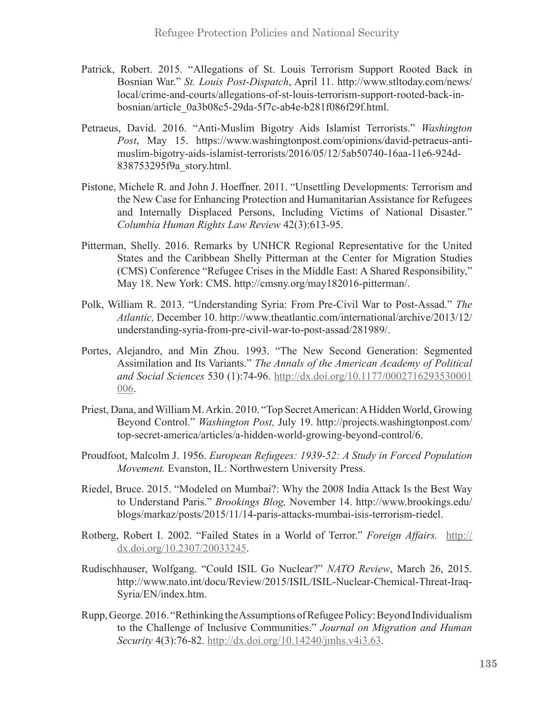- Patrick, Robert. 2015. "Allegations of St. Louis Terrorism Support Rooted Back in Bosnian War." *St. Louis Post-Dispatch*, April 11. http://www.stltoday.com/news/ local/crime-and-courts/allegations-of-st-louis-terrorism-support-rooted-back-inbosnian/article\_0a3b08c5-29da-5f7c-ab4e-b281f086f29f.html.
- Petraeus, David. 2016. "Anti-Muslim Bigotry Aids Islamist Terrorists." *Washington Post*, May 15. https://www.washingtonpost.com/opinions/david-petraeus-antimuslim-bigotry-aids-islamist-terrorists/2016/05/12/5ab50740-16aa-11e6-924d-838753295f9a\_story.html.
- Pistone, Michele R. and John J. Hoeffner. 2011. "Unsettling Developments: Terrorism and the New Case for Enhancing Protection and Humanitarian Assistance for Refugees and Internally Displaced Persons, Including Victims of National Disaster." *Columbia Human Rights Law Review* 42(3):613-95.
- Pitterman, Shelly. 2016. Remarks by UNHCR Regional Representative for the United States and the Caribbean Shelly Pitterman at the Center for Migration Studies (CMS) Conference "Refugee Crises in the Middle East: A Shared Responsibility," May 18. New York: CMS. http://cmsny.org/may182016-pitterman/.
- Polk, William R. 2013. "Understanding Syria: From Pre-Civil War to Post-Assad." *The Atlantic,* December 10. http://www.theatlantic.com/international/archive/2013/12/ understanding-syria-from-pre-civil-war-to-post-assad/281989/.
- Portes, Alejandro, and Min Zhou. 1993. "The New Second Generation: Segmented Assimilation and Its Variants." *The Annals of the American Academy of Political and Social Sciences* 530 (1):74-96. http://dx.doi.org/10.1177/0002716293530001 006.
- Priest, Dana, and William M. Arkin. 2010. "Top Secret American: A Hidden World, Growing Beyond Control." *Washington Post,* July 19. http://projects.washingtonpost.com/ top-secret-america/articles/a-hidden-world-growing-beyond-control/6.
- Proudfoot, Malcolm J. 1956. *European Refugees: 1939-52: A Study in Forced Population Movement.* Evanston, IL: Northwestern University Press.
- Riedel, Bruce. 2015. "Modeled on Mumbai?: Why the 2008 India Attack Is the Best Way to Understand Paris." *Brookings Blog,* November 14. http://www.brookings.edu/ blogs/markaz/posts/2015/11/14-paris-attacks-mumbai-isis-terrorism-riedel.
- Rotberg, Robert I. 2002. "Failed States in a World of Terror." *Foreign Affairs.* http:// dx.doi.org/10.2307/20033245.
- Rudischhauser, Wolfgang. "Could ISIL Go Nuclear?" *NATO Review*, March 26, 2015. http://www.nato.int/docu/Review/2015/ISIL/ISIL-Nuclear-Chemical-Threat-Iraq-Syria/EN/index.htm.
- Rupp, George. 2016. "Rethinking the Assumptions of Refugee Policy: Beyond Individualism to the Challenge of Inclusive Communities." *Journal on Migration and Human Security* 4(3):76-82. http://dx.doi.org/10.14240/jmhs.v4i3.63.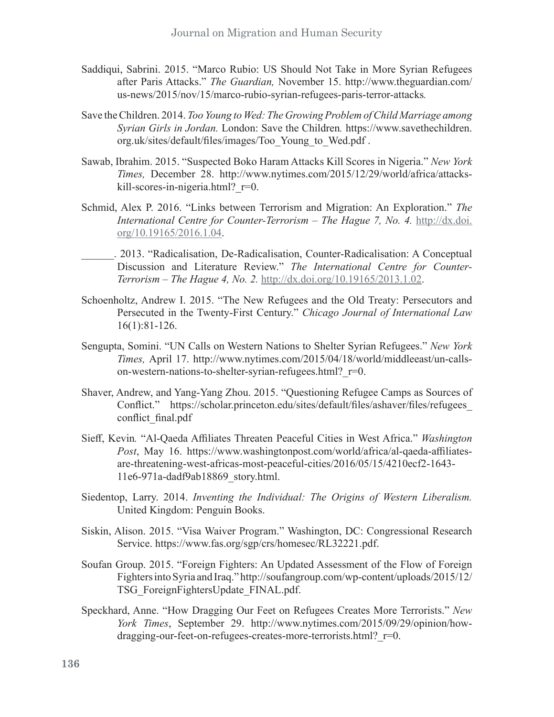- Saddiqui, Sabrini. 2015. "Marco Rubio: US Should Not Take in More Syrian Refugees after Paris Attacks." *The Guardian,* November 15. http://www.theguardian.com/ us-news/2015/nov/15/marco-rubio-syrian-refugees-paris-terror-attacks*.*
- Save the Children. 2014. *Too Young to Wed: The Growing Problem of Child Marriage among Syrian Girls in Jordan.* London: Save the Children*.* https://www.savethechildren. org.uk/sites/default/files/images/Too\_Young\_to\_Wed.pdf .
- Sawab, Ibrahim. 2015. "Suspected Boko Haram Attacks Kill Scores in Nigeria." *New York Times,* December 28. http://www.nytimes.com/2015/12/29/world/africa/attackskill-scores-in-nigeria.html? $r=0$ .
- Schmid, Alex P. 2016. "Links between Terrorism and Migration: An Exploration." *The International Centre for Counter-Terrorism – The Hague 7, No. 4.* http://dx.doi. org/10.19165/2016.1.04.
- \_\_\_\_\_\_. 2013. "Radicalisation, De-Radicalisation, Counter-Radicalisation: A Conceptual Discussion and Literature Review." *The International Centre for Counter-Terrorism – The Hague 4, No. 2.* http://dx.doi.org/10.19165/2013.1.02.
- Schoenholtz, Andrew I. 2015. "The New Refugees and the Old Treaty: Persecutors and Persecuted in the Twenty-First Century." *Chicago Journal of International Law*  16(1):81-126.
- Sengupta, Somini. "UN Calls on Western Nations to Shelter Syrian Refugees." *New York Times,* April 17. http://www.nytimes.com/2015/04/18/world/middleeast/un-callson-western-nations-to-shelter-syrian-refugees.html? r=0.
- Shaver, Andrew, and Yang-Yang Zhou. 2015. "Questioning Refugee Camps as Sources of Conflict." https://scholar.princeton.edu/sites/default/files/ashaver/files/refugees\_ conflict\_final.pdf
- Sieff, Kevin*.* "Al-Qaeda Affiliates Threaten Peaceful Cities in West Africa." *Washington Post*, May 16. https://www.washingtonpost.com/world/africa/al-qaeda-affiliatesare-threatening-west-africas-most-peaceful-cities/2016/05/15/4210ecf2-1643- 11e6-971a-dadf9ab18869\_story.html.
- Siedentop, Larry. 2014. *Inventing the Individual: The Origins of Western Liberalism.*  United Kingdom: Penguin Books.
- Siskin, Alison. 2015. "Visa Waiver Program." Washington, DC: Congressional Research Service. https://www.fas.org/sgp/crs/homesec/RL32221.pdf.
- Soufan Group. 2015. "Foreign Fighters: An Updated Assessment of the Flow of Foreign Fighters into Syria and Iraq." http://soufangroup.com/wp-content/uploads/2015/12/ TSG\_ForeignFightersUpdate\_FINAL.pdf.
- Speckhard, Anne. "How Dragging Our Feet on Refugees Creates More Terrorists." *New York Times*, September 29. http://www.nytimes.com/2015/09/29/opinion/howdragging-our-feet-on-refugees-creates-more-terrorists.html? r=0.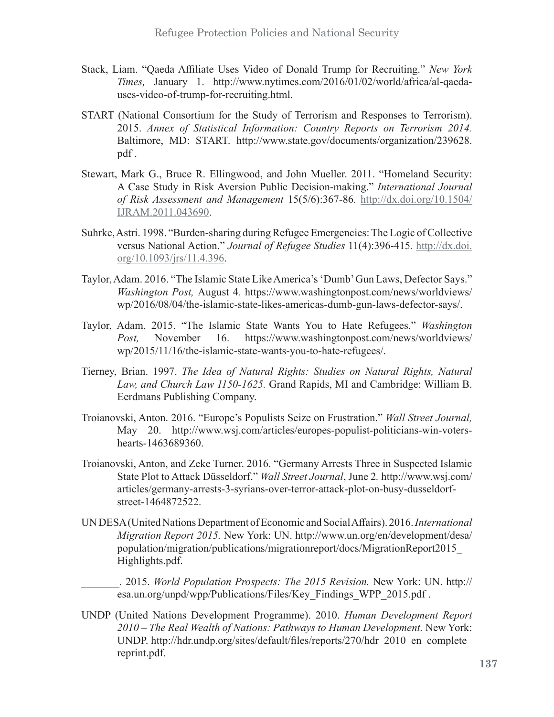- Stack, Liam. "Qaeda Affiliate Uses Video of Donald Trump for Recruiting." *New York Times,* January 1. http://www.nytimes.com/2016/01/02/world/africa/al-qaedauses-video-of-trump-for-recruiting.html.
- START (National Consortium for the Study of Terrorism and Responses to Terrorism). 2015. *Annex of Statistical Information: Country Reports on Terrorism 2014.*  Baltimore, MD: START. http://www.state.gov/documents/organization/239628. pdf .
- Stewart, Mark G., Bruce R. Ellingwood, and John Mueller. 2011. "Homeland Security: A Case Study in Risk Aversion Public Decision-making." *International Journal of Risk Assessment and Management* 15(5/6):367-86. http://dx.doi.org/10.1504/ IJRAM.2011.043690.
- Suhrke, Astri. 1998. "Burden-sharing during Refugee Emergencies: The Logic of Collective versus National Action." *Journal of Refugee Studies* 11(4):396-415*.* http://dx.doi. org/10.1093/jrs/11.4.396.
- Taylor, Adam. 2016. "The Islamic State Like America's 'Dumb' Gun Laws, Defector Says." *Washington Post,* August 4*.* https://www.washingtonpost.com/news/worldviews/ wp/2016/08/04/the-islamic-state-likes-americas-dumb-gun-laws-defector-says/.
- Taylor, Adam. 2015. "The Islamic State Wants You to Hate Refugees." *Washington Post,* November 16. https://www.washingtonpost.com/news/worldviews/ wp/2015/11/16/the-islamic-state-wants-you-to-hate-refugees/.
- Tierney, Brian. 1997. *The Idea of Natural Rights: Studies on Natural Rights, Natural Law, and Church Law 1150-1625.* Grand Rapids, MI and Cambridge: William B. Eerdmans Publishing Company.
- Troianovski, Anton. 2016. "Europe's Populists Seize on Frustration." *Wall Street Journal,*  May 20. http://www.wsj.com/articles/europes-populist-politicians-win-votershearts-1463689360.
- Troianovski, Anton, and Zeke Turner. 2016. "Germany Arrests Three in Suspected Islamic State Plot to Attack Düsseldorf." *Wall Street Journal*, June 2*.* http://www.wsj.com/ articles/germany-arrests-3-syrians-over-terror-attack-plot-on-busy-dusseldorfstreet-1464872522.
- UN DESA (United Nations Department of Economic and Social Affairs). 2016. *International Migration Report 2015.* New York: UN. http://www.un.org/en/development/desa/ population/migration/publications/migrationreport/docs/MigrationReport2015\_ Highlights.pdf.

\_\_\_\_\_\_\_. 2015. *World Population Prospects: The 2015 Revision.* New York: UN. http:// esa.un.org/unpd/wpp/Publications/Files/Key\_Findings\_WPP\_2015.pdf .

UNDP (United Nations Development Programme). 2010. *Human Development Report 2010 – The Real Wealth of Nations: Pathways to Human Development.* New York: UNDP. http://hdr.undp.org/sites/default/files/reports/270/hdr\_2010\_en\_complete\_ reprint.pdf.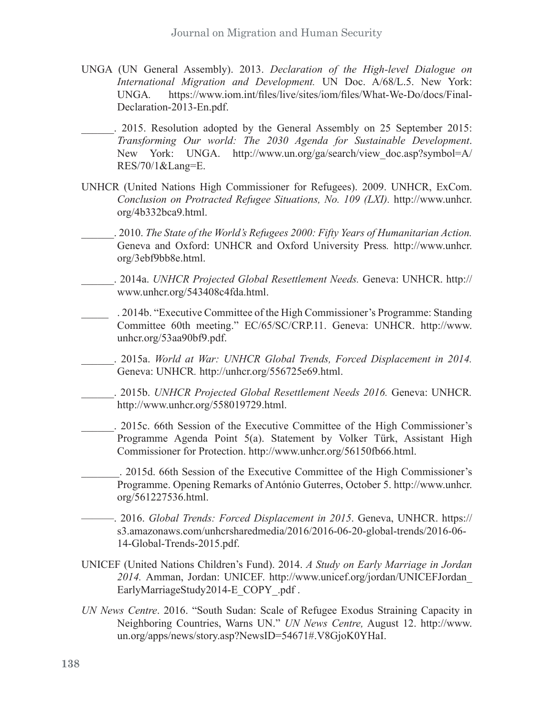- UNGA (UN General Assembly). 2013. *Declaration of the High-level Dialogue on International Migration and Development.* UN Doc. A/68/L.5. New York: UNGA*.* https://www.iom.int/files/live/sites/iom/files/What-We-Do/docs/Final-Declaration-2013-En.pdf.
- . 2015. Resolution adopted by the General Assembly on 25 September 2015: *Transforming Our world: The 2030 Agenda for Sustainable Development*. New York: UNGA. http://www.un.org/ga/search/view\_doc.asp?symbol=A/ RES/70/1&Lang=E.
- UNHCR (United Nations High Commissioner for Refugees). 2009. UNHCR, ExCom. *Conclusion on Protracted Refugee Situations, No. 109 (LXI).* http://www.unhcr. org/4b332bca9.html.
- \_\_\_\_\_\_. 2010. *The State of the World's Refugees 2000: Fifty Years of Humanitarian Action.* Geneva and Oxford: UNHCR and Oxford University Press*.* http://www.unhcr. org/3ebf9bb8e.html.
	- \_\_\_\_\_\_. 2014a. *UNHCR Projected Global Resettlement Needs.* Geneva: UNHCR. http:// www.unhcr.org/543408c4fda.html.
- \_\_\_\_\_ . 2014b. "Executive Committee of the High Commissioner's Programme: Standing Committee 60th meeting." EC/65/SC/CRP.11. Geneva: UNHCR. http://www. unhcr.org/53aa90bf9.pdf.
- \_\_\_\_\_\_. 2015a. *World at War: UNHCR Global Trends, Forced Displacement in 2014.*  Geneva: UNHCR*.* http://unhcr.org/556725e69.html.
- \_\_\_\_\_\_. 2015b. *UNHCR Projected Global Resettlement Needs 2016.* Geneva: UNHCR*.*  http://www.unhcr.org/558019729.html.
- \_\_\_\_\_\_. 2015c. 66th Session of the Executive Committee of the High Commissioner's Programme Agenda Point 5(a). Statement by Volker Türk, Assistant High Commissioner for Protection. http://www.unhcr.org/56150fb66.html.
- \_\_\_\_\_\_\_. 2015d. 66th Session of the Executive Committee of the High Commissioner's Programme. Opening Remarks of António Guterres, October 5. http://www.unhcr. org/561227536.html.
	- ———. 2016. *Global Trends: Forced Displacement in 2015*. Geneva, UNHCR. https:// s3.amazonaws.com/unhcrsharedmedia/2016/2016-06-20-global-trends/2016-06- 14-Global-Trends-2015.pdf.
- UNICEF (United Nations Children's Fund). 2014. *A Study on Early Marriage in Jordan 2014.* Amman, Jordan: UNICEF. http://www.unicef.org/jordan/UNICEFJordan\_ EarlyMarriageStudy2014-E\_COPY\_.pdf.
- *UN News Centre*. 2016. "South Sudan: Scale of Refugee Exodus Straining Capacity in Neighboring Countries, Warns UN." *UN News Centre,* August 12. http://www. un.org/apps/news/story.asp?NewsID=54671#.V8GjoK0YHaI.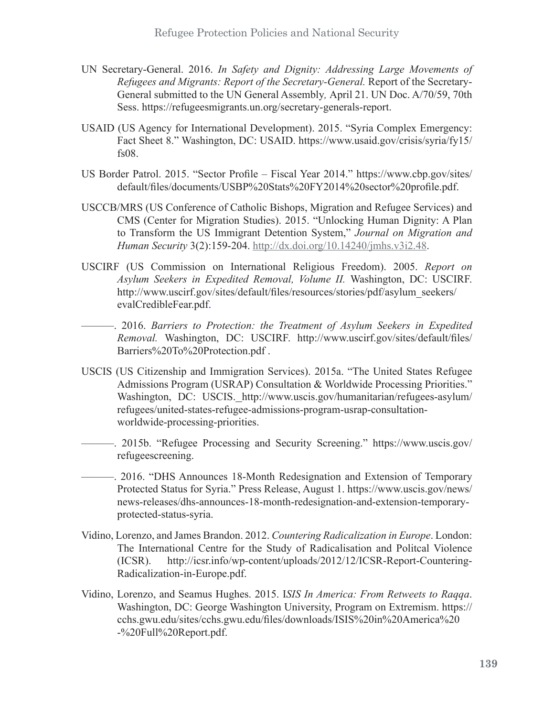- UN Secretary-General. 2016. *In Safety and Dignity: Addressing Large Movements of Refugees and Migrants: Report of the Secretary-General.* Report of the Secretary-General submitted to the UN General Assembly*,* April 21. UN Doc. A/70/59, 70th Sess. https://refugeesmigrants.un.org/secretary-generals-report.
- USAID (US Agency for International Development). 2015. "Syria Complex Emergency: Fact Sheet 8." Washington, DC: USAID. https://www.usaid.gov/crisis/syria/fy15/ fs08.
- US Border Patrol. 2015. "Sector Profile Fiscal Year 2014." https://www.cbp.gov/sites/ default/files/documents/USBP%20Stats%20FY2014%20sector%20profile.pdf.
- USCCB/MRS (US Conference of Catholic Bishops, Migration and Refugee Services) and CMS (Center for Migration Studies). 2015. "Unlocking Human Dignity: A Plan to Transform the US Immigrant Detention System," *Journal on Migration and Human Security* 3(2):159-204. http://dx.doi.org/10.14240/jmhs.v3i2.48.
- USCIRF (US Commission on International Religious Freedom). 2005. *Report on Asylum Seekers in Expedited Removal, Volume II.* Washington, DC: USCIRF. http://www.uscirf.gov/sites/default/files/resources/stories/pdf/asylum\_seekers/ evalCredibleFear.pdf.
- ———. 2016. *Barriers to Protection: the Treatment of Asylum Seekers in Expedited Removal.* Washington, DC: USCIRF. http://www.uscirf.gov/sites/default/files/ Barriers%20To%20Protection.pdf .
- USCIS (US Citizenship and Immigration Services). 2015a. "The United States Refugee Admissions Program (USRAP) Consultation & Worldwide Processing Priorities." Washington, DC: USCIS. http://www.uscis.gov/humanitarian/refugees-asylum/ refugees/united-states-refugee-admissions-program-usrap-consultationworldwide-processing-priorities.
- ———. 2015b. "Refugee Processing and Security Screening." https://www.uscis.gov/ refugeescreening.
- ———. 2016. "DHS Announces 18-Month Redesignation and Extension of Temporary Protected Status for Syria." Press Release, August 1. https://www.uscis.gov/news/ news-releases/dhs-announces-18-month-redesignation-and-extension-temporaryprotected-status-syria.
- Vidino, Lorenzo, and James Brandon. 2012. *Countering Radicalization in Europe*. London: The International Centre for the Study of Radicalisation and Politcal Violence (ICSR). http://icsr.info/wp-content/uploads/2012/12/ICSR-Report-Countering-Radicalization-in-Europe.pdf.
- Vidino, Lorenzo, and Seamus Hughes. 2015. I*SIS In America: From Retweets to Raqqa*. Washington, DC: George Washington University, Program on Extremism. https:// cchs.gwu.edu/sites/cchs.gwu.edu/files/downloads/ISIS%20in%20America%20 -%20Full%20Report.pdf.